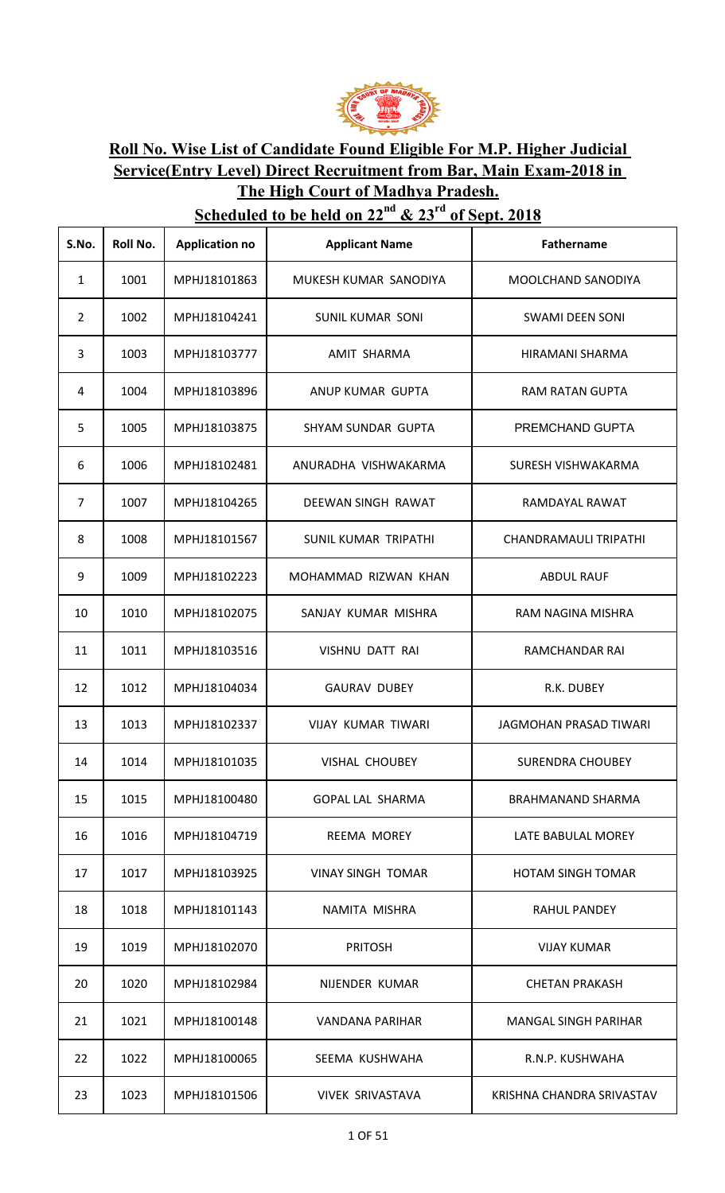

## **Roll No. Wise List of Candidate Found Eligible For M.P. Higher Judicial Service(Entry Level) Direct Recruitment from Bar, Main Exam-2018 in The High Court of Madhya Pradesh.**

## **Scheduled to be held on**  $22^{nd}$  **&**  $23^{rd}$  **of Sept. 2018**

| S.No.          | Roll No. | <b>Application no</b> | <b>Applicant Name</b>    | Fathername                   |
|----------------|----------|-----------------------|--------------------------|------------------------------|
| 1              | 1001     | MPHJ18101863          | MUKESH KUMAR SANODIYA    | MOOLCHAND SANODIYA           |
| $\overline{2}$ | 1002     | MPHJ18104241          | <b>SUNIL KUMAR SONI</b>  | <b>SWAMI DEEN SONI</b>       |
| 3              | 1003     | MPHJ18103777          | AMIT SHARMA              | HIRAMANI SHARMA              |
| 4              | 1004     | MPHJ18103896          | ANUP KUMAR GUPTA         | <b>RAM RATAN GUPTA</b>       |
| 5              | 1005     | MPHJ18103875          | SHYAM SUNDAR GUPTA       | PREMCHAND GUPTA              |
| 6              | 1006     | MPHJ18102481          | ANURADHA VISHWAKARMA     | SURESH VISHWAKARMA           |
| $\overline{7}$ | 1007     | MPHJ18104265          | DEEWAN SINGH RAWAT       | RAMDAYAL RAWAT               |
| 8              | 1008     | MPHJ18101567          | SUNIL KUMAR TRIPATHI     | <b>CHANDRAMAULI TRIPATHI</b> |
| 9              | 1009     | MPHJ18102223          | MOHAMMAD RIZWAN KHAN     | <b>ABDUL RAUF</b>            |
| 10             | 1010     | MPHJ18102075          | SANJAY KUMAR MISHRA      | RAM NAGINA MISHRA            |
| 11             | 1011     | MPHJ18103516          | VISHNU DATT RAI          | RAMCHANDAR RAI               |
| 12             | 1012     | MPHJ18104034          | <b>GAURAV DUBEY</b>      | R.K. DUBEY                   |
| 13             | 1013     | MPHJ18102337          | VIJAY KUMAR TIWARI       | JAGMOHAN PRASAD TIWARI       |
| 14             | 1014     | MPHJ18101035          | <b>VISHAL CHOUBEY</b>    | <b>SURENDRA CHOUBEY</b>      |
| 15             | 1015     | MPHJ18100480          | <b>GOPAL LAL SHARMA</b>  | <b>BRAHMANAND SHARMA</b>     |
| 16             | 1016     | MPHJ18104719          | <b>REEMA MOREY</b>       | LATE BABULAL MOREY           |
| 17             | 1017     | MPHJ18103925          | <b>VINAY SINGH TOMAR</b> | <b>HOTAM SINGH TOMAR</b>     |
| 18             | 1018     | MPHJ18101143          | NAMITA MISHRA            | RAHUL PANDEY                 |
| 19             | 1019     | MPHJ18102070          | <b>PRITOSH</b>           | <b>VIJAY KUMAR</b>           |
| 20             | 1020     | MPHJ18102984          | NIJENDER KUMAR           | <b>CHETAN PRAKASH</b>        |
| 21             | 1021     | MPHJ18100148          | VANDANA PARIHAR          | <b>MANGAL SINGH PARIHAR</b>  |
| 22             | 1022     | MPHJ18100065          | SEEMA KUSHWAHA           | R.N.P. KUSHWAHA              |
| 23             | 1023     | MPHJ18101506          | VIVEK SRIVASTAVA         | KRISHNA CHANDRA SRIVASTAV    |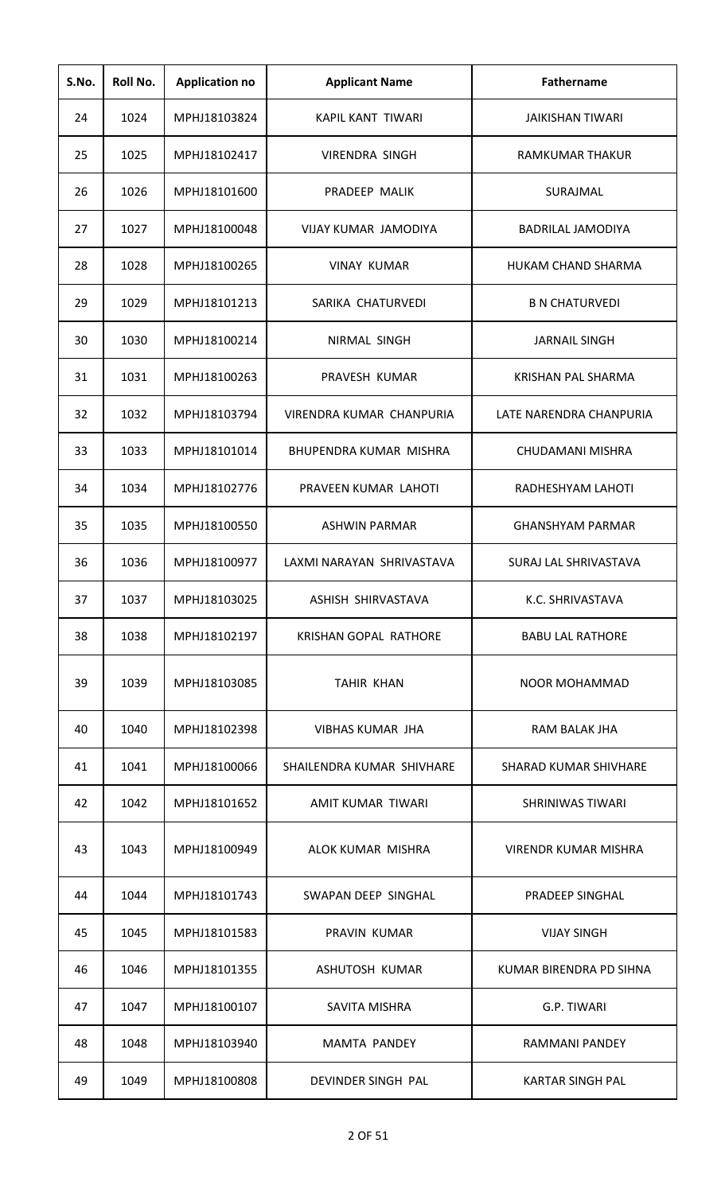| S.No. | Roll No. | <b>Application no</b> | <b>Applicant Name</b>     | <b>Fathername</b>         |
|-------|----------|-----------------------|---------------------------|---------------------------|
| 24    | 1024     | MPHJ18103824          | KAPIL KANT TIWARI         | <b>JAIKISHAN TIWARI</b>   |
| 25    | 1025     | MPHJ18102417          | VIRENDRA SINGH            | RAMKUMAR THAKUR           |
| 26    | 1026     | MPHJ18101600          | PRADEEP MALIK             | SURAJMAL                  |
| 27    | 1027     | MPHJ18100048          | VIJAY KUMAR JAMODIYA      | <b>BADRILAL JAMODIYA</b>  |
| 28    | 1028     | MPHJ18100265          | <b>VINAY KUMAR</b>        | HUKAM CHAND SHARMA        |
| 29    | 1029     | MPHJ18101213          | SARIKA CHATURVEDI         | <b>B N CHATURVEDI</b>     |
| 30    | 1030     | MPHJ18100214          | NIRMAL SINGH              | <b>JARNAIL SINGH</b>      |
| 31    | 1031     | MPHJ18100263          | PRAVESH KUMAR             | <b>KRISHAN PAL SHARMA</b> |
| 32    | 1032     | MPHJ18103794          | VIRENDRA KUMAR CHANPURIA  | LATE NARENDRA CHANPURIA   |
| 33    | 1033     | MPHJ18101014          | BHUPENDRA KUMAR MISHRA    | CHUDAMANI MISHRA          |
| 34    | 1034     | MPHJ18102776          | PRAVEEN KUMAR LAHOTI      | RADHESHYAM LAHOTI         |
| 35    | 1035     | MPHJ18100550          | <b>ASHWIN PARMAR</b>      | <b>GHANSHYAM PARMAR</b>   |
| 36    | 1036     | MPHJ18100977          | LAXMI NARAYAN SHRIVASTAVA | SURAJ LAL SHRIVASTAVA     |
| 37    | 1037     | MPHJ18103025          | ASHISH SHIRVASTAVA        | K.C. SHRIVASTAVA          |
| 38    | 1038     | MPHJ18102197          | KRISHAN GOPAL RATHORE     | <b>BABU LAL RATHORE</b>   |
| 39    | 1039     | MPHJ18103085          | <b>TAHIR KHAN</b>         | <b>NOOR MOHAMMAD</b>      |
| 40    | 1040     | MPHJ18102398          | VIBHAS KUMAR JHA          | RAM BALAK JHA             |
| 41    | 1041     | MPHJ18100066          | SHAILENDRA KUMAR SHIVHARE | SHARAD KUMAR SHIVHARE     |
| 42    | 1042     | MPHJ18101652          | AMIT KUMAR TIWARI         | SHRINIWAS TIWARI          |
| 43    | 1043     | MPHJ18100949          | ALOK KUMAR MISHRA         | VIRENDR KUMAR MISHRA      |
| 44    | 1044     | MPHJ18101743          | SWAPAN DEEP SINGHAL       | PRADEEP SINGHAL           |
| 45    | 1045     | MPHJ18101583          | PRAVIN KUMAR              | <b>VIJAY SINGH</b>        |
| 46    | 1046     | MPHJ18101355          | ASHUTOSH KUMAR            | KUMAR BIRENDRA PD SIHNA   |
| 47    | 1047     | MPHJ18100107          | <b>SAVITA MISHRA</b>      | G.P. TIWARI               |
| 48    | 1048     | MPHJ18103940          | <b>MAMTA PANDEY</b>       | RAMMANI PANDEY            |
| 49    | 1049     | MPHJ18100808          | DEVINDER SINGH PAL        | <b>KARTAR SINGH PAL</b>   |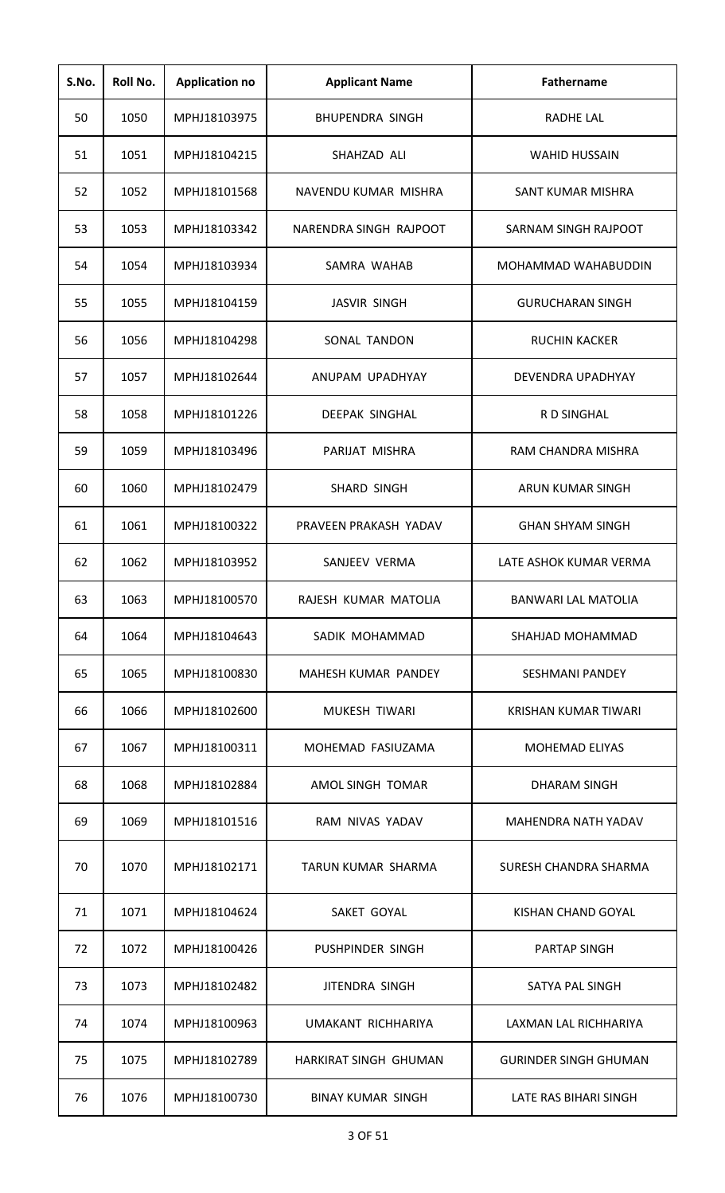| S.No. | Roll No. | <b>Application no</b> | <b>Applicant Name</b>    | <b>Fathername</b>            |
|-------|----------|-----------------------|--------------------------|------------------------------|
| 50    | 1050     | MPHJ18103975          | <b>BHUPENDRA SINGH</b>   | <b>RADHE LAL</b>             |
| 51    | 1051     | MPHJ18104215          | SHAHZAD ALI              | <b>WAHID HUSSAIN</b>         |
| 52    | 1052     | MPHJ18101568          | NAVENDU KUMAR MISHRA     | SANT KUMAR MISHRA            |
| 53    | 1053     | MPHJ18103342          | NARENDRA SINGH RAJPOOT   | SARNAM SINGH RAJPOOT         |
| 54    | 1054     | MPHJ18103934          | SAMRA WAHAB              | MOHAMMAD WAHABUDDIN          |
| 55    | 1055     | MPHJ18104159          | <b>JASVIR SINGH</b>      | <b>GURUCHARAN SINGH</b>      |
| 56    | 1056     | MPHJ18104298          | SONAL TANDON             | <b>RUCHIN KACKER</b>         |
| 57    | 1057     | MPHJ18102644          | ANUPAM UPADHYAY          | DEVENDRA UPADHYAY            |
| 58    | 1058     | MPHJ18101226          | <b>DEEPAK SINGHAL</b>    | <b>RD SINGHAL</b>            |
| 59    | 1059     | MPHJ18103496          | PARIJAT MISHRA           | RAM CHANDRA MISHRA           |
| 60    | 1060     | MPHJ18102479          | SHARD SINGH              | ARUN KUMAR SINGH             |
| 61    | 1061     | MPHJ18100322          | PRAVEEN PRAKASH YADAV    | <b>GHAN SHYAM SINGH</b>      |
| 62    | 1062     | MPHJ18103952          | SANJEEV VERMA            | LATE ASHOK KUMAR VERMA       |
| 63    | 1063     | MPHJ18100570          | RAJESH KUMAR MATOLIA     | <b>BANWARI LAL MATOLIA</b>   |
| 64    | 1064     | MPHJ18104643          | SADIK MOHAMMAD           | SHAHJAD MOHAMMAD             |
| 65    | 1065     | MPHJ18100830          | MAHESH KUMAR PANDEY      | <b>SESHMANI PANDEY</b>       |
| 66    | 1066     | MPHJ18102600          | MUKESH TIWARI            | KRISHAN KUMAR TIWARI         |
| 67    | 1067     | MPHJ18100311          | MOHEMAD FASIUZAMA        | <b>MOHEMAD ELIYAS</b>        |
| 68    | 1068     | MPHJ18102884          | AMOL SINGH TOMAR         | DHARAM SINGH                 |
| 69    | 1069     | MPHJ18101516          | RAM NIVAS YADAV          | <b>MAHENDRA NATH YADAV</b>   |
| 70    | 1070     | MPHJ18102171          | TARUN KUMAR SHARMA       | SURESH CHANDRA SHARMA        |
| 71    | 1071     | MPHJ18104624          | SAKET GOYAL              | KISHAN CHAND GOYAL           |
| 72    | 1072     | MPHJ18100426          | PUSHPINDER SINGH         | <b>PARTAP SINGH</b>          |
| 73    | 1073     | MPHJ18102482          | JITENDRA SINGH           | SATYA PAL SINGH              |
| 74    | 1074     | MPHJ18100963          | UMAKANT RICHHARIYA       | LAXMAN LAL RICHHARIYA        |
| 75    | 1075     | MPHJ18102789          | HARKIRAT SINGH GHUMAN    | <b>GURINDER SINGH GHUMAN</b> |
| 76    | 1076     | MPHJ18100730          | <b>BINAY KUMAR SINGH</b> | LATE RAS BIHARI SINGH        |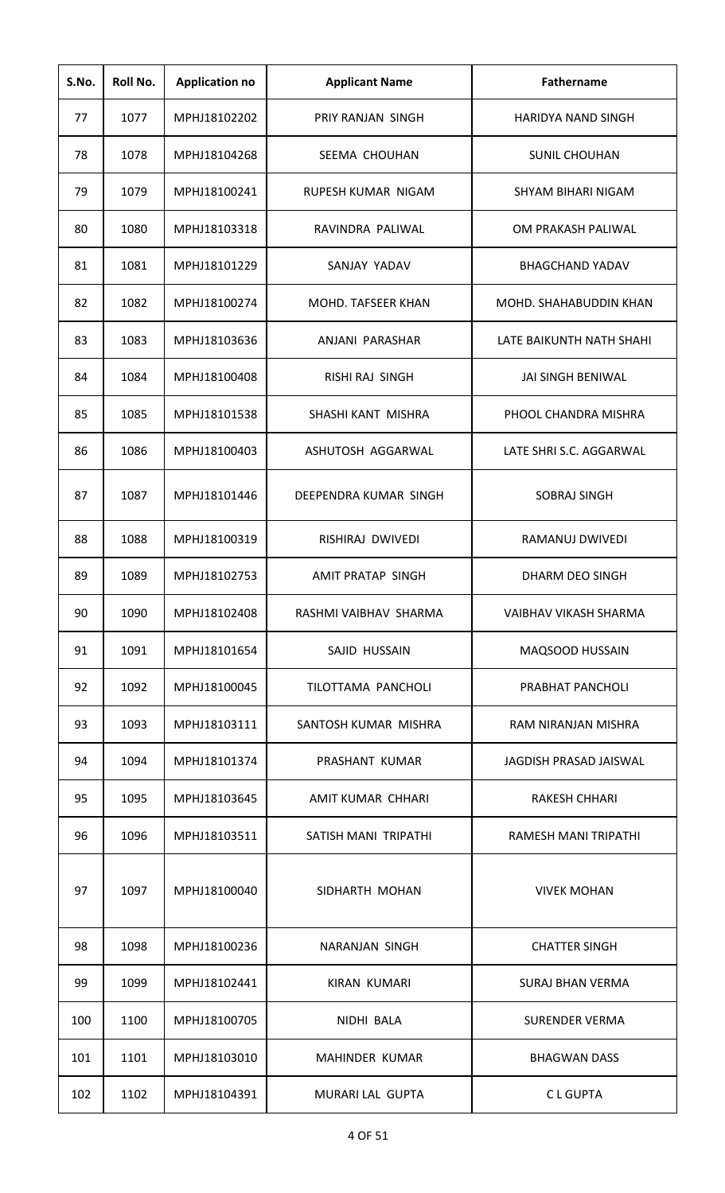| S.No. | Roll No. | <b>Application no</b> | <b>Applicant Name</b>    | Fathername                |
|-------|----------|-----------------------|--------------------------|---------------------------|
| 77    | 1077     | MPHJ18102202          | PRIY RANJAN SINGH        | <b>HARIDYA NAND SINGH</b> |
| 78    | 1078     | MPHJ18104268          | SEEMA CHOUHAN            | <b>SUNIL CHOUHAN</b>      |
| 79    | 1079     | MPHJ18100241          | RUPESH KUMAR NIGAM       | SHYAM BIHARI NIGAM        |
| 80    | 1080     | MPHJ18103318          | RAVINDRA PALIWAL         | OM PRAKASH PALIWAL        |
| 81    | 1081     | MPHJ18101229          | SANJAY YADAV             | <b>BHAGCHAND YADAV</b>    |
| 82    | 1082     | MPHJ18100274          | MOHD. TAFSEER KHAN       | MOHD. SHAHABUDDIN KHAN    |
| 83    | 1083     | MPHJ18103636          | ANJANI PARASHAR          | LATE BAIKUNTH NATH SHAHI  |
| 84    | 1084     | MPHJ18100408          | <b>RISHI RAJ SINGH</b>   | JAI SINGH BENIWAL         |
| 85    | 1085     | MPHJ18101538          | SHASHI KANT MISHRA       | PHOOL CHANDRA MISHRA      |
| 86    | 1086     | MPHJ18100403          | ASHUTOSH AGGARWAL        | LATE SHRI S.C. AGGARWAL   |
| 87    | 1087     | MPHJ18101446          | DEEPENDRA KUMAR SINGH    | <b>SOBRAJ SINGH</b>       |
| 88    | 1088     | MPHJ18100319          | RISHIRAJ DWIVEDI         | RAMANUJ DWIVEDI           |
| 89    | 1089     | MPHJ18102753          | <b>AMIT PRATAP SINGH</b> | DHARM DEO SINGH           |
| 90    | 1090     | MPHJ18102408          | RASHMI VAIBHAV SHARMA    | VAIBHAV VIKASH SHARMA     |
| 91    | 1091     | MPHJ18101654          | SAJID HUSSAIN            | <b>MAQSOOD HUSSAIN</b>    |
| 92    | 1092     | MPHJ18100045          | TILOTTAMA PANCHOLI       | PRABHAT PANCHOLI          |
| 93    | 1093     | MPHJ18103111          | SANTOSH KUMAR MISHRA     | RAM NIRANJAN MISHRA       |
| 94    | 1094     | MPHJ18101374          | PRASHANT KUMAR           | JAGDISH PRASAD JAISWAL    |
| 95    | 1095     | MPHJ18103645          | AMIT KUMAR CHHARI        | <b>RAKESH CHHARI</b>      |
| 96    | 1096     | MPHJ18103511          | SATISH MANI TRIPATHI     | RAMESH MANI TRIPATHI      |
| 97    | 1097     | MPHJ18100040          | SIDHARTH MOHAN           | <b>VIVEK MOHAN</b>        |
| 98    | 1098     | MPHJ18100236          | NARANJAN SINGH           | <b>CHATTER SINGH</b>      |
| 99    | 1099     | MPHJ18102441          | <b>KIRAN KUMARI</b>      | <b>SURAJ BHAN VERMA</b>   |
| 100   | 1100     | MPHJ18100705          | NIDHI BALA               | <b>SURENDER VERMA</b>     |
| 101   | 1101     | MPHJ18103010          | MAHINDER KUMAR           | <b>BHAGWAN DASS</b>       |
| 102   | 1102     | MPHJ18104391          | MURARI LAL GUPTA         | <b>CLGUPTA</b>            |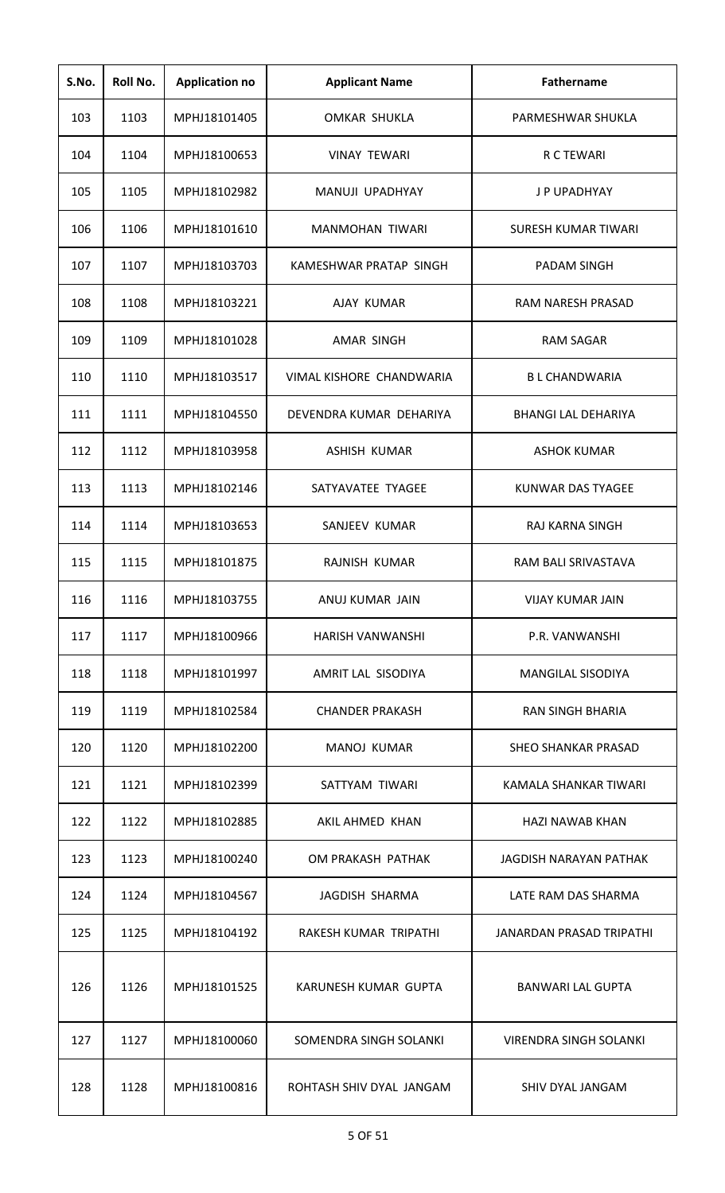| S.No. | Roll No. | <b>Application no</b> | <b>Applicant Name</b>    | <b>Fathername</b>               |
|-------|----------|-----------------------|--------------------------|---------------------------------|
| 103   | 1103     | MPHJ18101405          | OMKAR SHUKLA             | PARMESHWAR SHUKLA               |
| 104   | 1104     | MPHJ18100653          | <b>VINAY TEWARI</b>      | R C TEWARI                      |
| 105   | 1105     | MPHJ18102982          | MANUJI UPADHYAY          | J P UPADHYAY                    |
| 106   | 1106     | MPHJ18101610          | <b>MANMOHAN TIWARI</b>   | SURESH KUMAR TIWARI             |
| 107   | 1107     | MPHJ18103703          | KAMESHWAR PRATAP SINGH   | <b>PADAM SINGH</b>              |
| 108   | 1108     | MPHJ18103221          | AJAY KUMAR               | RAM NARESH PRASAD               |
| 109   | 1109     | MPHJ18101028          | AMAR SINGH               | <b>RAM SAGAR</b>                |
| 110   | 1110     | MPHJ18103517          | VIMAL KISHORE CHANDWARIA | <b>BL CHANDWARIA</b>            |
| 111   | 1111     | MPHJ18104550          | DEVENDRA KUMAR DEHARIYA  | <b>BHANGI LAL DEHARIYA</b>      |
| 112   | 1112     | MPHJ18103958          | ASHISH KUMAR             | <b>ASHOK KUMAR</b>              |
| 113   | 1113     | MPHJ18102146          | SATYAVATEE TYAGEE        | KUNWAR DAS TYAGEE               |
| 114   | 1114     | MPHJ18103653          | SANJEEV KUMAR            | RAJ KARNA SINGH                 |
| 115   | 1115     | MPHJ18101875          | RAJNISH KUMAR            | RAM BALI SRIVASTAVA             |
| 116   | 1116     | MPHJ18103755          | ANUJ KUMAR JAIN          | <b>VIJAY KUMAR JAIN</b>         |
| 117   | 1117     | MPHJ18100966          | HARISH VANWANSHI         | P.R. VANWANSHI                  |
| 118   | 1118     | MPHJ18101997          | AMRIT LAL SISODIYA       | <b>MANGILAL SISODIYA</b>        |
| 119   | 1119     | MPHJ18102584          | <b>CHANDER PRAKASH</b>   | <b>RAN SINGH BHARIA</b>         |
| 120   | 1120     | MPHJ18102200          | MANOJ KUMAR              | <b>SHEO SHANKAR PRASAD</b>      |
| 121   | 1121     | MPHJ18102399          | SATTYAM TIWARI           | KAMALA SHANKAR TIWARI           |
| 122   | 1122     | MPHJ18102885          | AKIL AHMED KHAN          | <b>HAZI NAWAB KHAN</b>          |
| 123   | 1123     | MPHJ18100240          | OM PRAKASH PATHAK        | JAGDISH NARAYAN PATHAK          |
| 124   | 1124     | MPHJ18104567          | JAGDISH SHARMA           | LATE RAM DAS SHARMA             |
| 125   | 1125     | MPHJ18104192          | RAKESH KUMAR TRIPATHI    | <b>JANARDAN PRASAD TRIPATHI</b> |
| 126   | 1126     | MPHJ18101525          | KARUNESH KUMAR GUPTA     | <b>BANWARI LAL GUPTA</b>        |
| 127   | 1127     | MPHJ18100060          | SOMENDRA SINGH SOLANKI   | <b>VIRENDRA SINGH SOLANKI</b>   |
| 128   | 1128     | MPHJ18100816          | ROHTASH SHIV DYAL JANGAM | SHIV DYAL JANGAM                |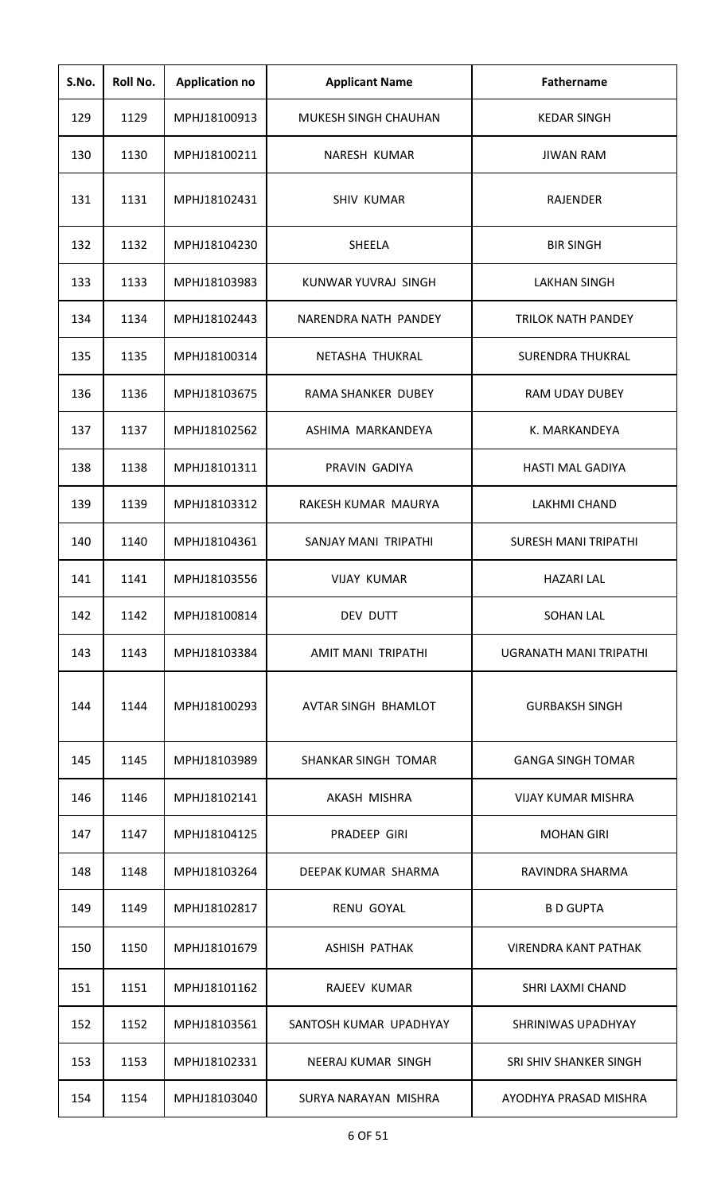| S.No. | Roll No. | <b>Application no</b> | <b>Applicant Name</b>       | <b>Fathername</b>           |
|-------|----------|-----------------------|-----------------------------|-----------------------------|
| 129   | 1129     | MPHJ18100913          | <b>MUKESH SINGH CHAUHAN</b> | <b>KEDAR SINGH</b>          |
| 130   | 1130     | MPHJ18100211          | NARESH KUMAR                | <b>JIWAN RAM</b>            |
| 131   | 1131     | MPHJ18102431          | <b>SHIV KUMAR</b>           | <b>RAJENDER</b>             |
| 132   | 1132     | MPHJ18104230          | SHEELA                      | <b>BIR SINGH</b>            |
| 133   | 1133     | MPHJ18103983          | KUNWAR YUVRAJ SINGH         | LAKHAN SINGH                |
| 134   | 1134     | MPHJ18102443          | NARENDRA NATH PANDEY        | <b>TRILOK NATH PANDEY</b>   |
| 135   | 1135     | MPHJ18100314          | NETASHA THUKRAL             | <b>SURENDRA THUKRAL</b>     |
| 136   | 1136     | MPHJ18103675          | <b>RAMA SHANKER DUBEY</b>   | <b>RAM UDAY DUBEY</b>       |
| 137   | 1137     | MPHJ18102562          | ASHIMA MARKANDEYA           | K. MARKANDEYA               |
| 138   | 1138     | MPHJ18101311          | PRAVIN GADIYA               | <b>HASTI MAL GADIYA</b>     |
| 139   | 1139     | MPHJ18103312          | RAKESH KUMAR MAURYA         | LAKHMI CHAND                |
| 140   | 1140     | MPHJ18104361          | SANJAY MANI TRIPATHI        | <b>SURESH MANI TRIPATHI</b> |
| 141   | 1141     | MPHJ18103556          | <b>VIJAY KUMAR</b>          | <b>HAZARI LAL</b>           |
| 142   | 1142     | MPHJ18100814          | DEV DUTT                    | <b>SOHAN LAL</b>            |
| 143   | 1143     | MPHJ18103384          | <b>AMIT MANI TRIPATHI</b>   | UGRANATH MANI TRIPATHI      |
| 144   | 1144     | MPHJ18100293          | AVTAR SINGH BHAMLOT         | <b>GURBAKSH SINGH</b>       |
| 145   | 1145     | MPHJ18103989          | SHANKAR SINGH TOMAR         | <b>GANGA SINGH TOMAR</b>    |
| 146   | 1146     | MPHJ18102141          | AKASH MISHRA                | VIJAY KUMAR MISHRA          |
| 147   | 1147     | MPHJ18104125          | PRADEEP GIRI                | <b>MOHAN GIRI</b>           |
| 148   | 1148     | MPHJ18103264          | DEEPAK KUMAR SHARMA         | RAVINDRA SHARMA             |
| 149   | 1149     | MPHJ18102817          | <b>RENU GOYAL</b>           | <b>B D GUPTA</b>            |
| 150   | 1150     | MPHJ18101679          | <b>ASHISH PATHAK</b>        | VIRENDRA KANT PATHAK        |
| 151   | 1151     | MPHJ18101162          | RAJEEV KUMAR                | SHRI LAXMI CHAND            |
| 152   | 1152     | MPHJ18103561          | SANTOSH KUMAR UPADHYAY      | SHRINIWAS UPADHYAY          |
| 153   | 1153     | MPHJ18102331          | NEERAJ KUMAR SINGH          | SRI SHIV SHANKER SINGH      |
| 154   | 1154     | MPHJ18103040          | SURYA NARAYAN MISHRA        | AYODHYA PRASAD MISHRA       |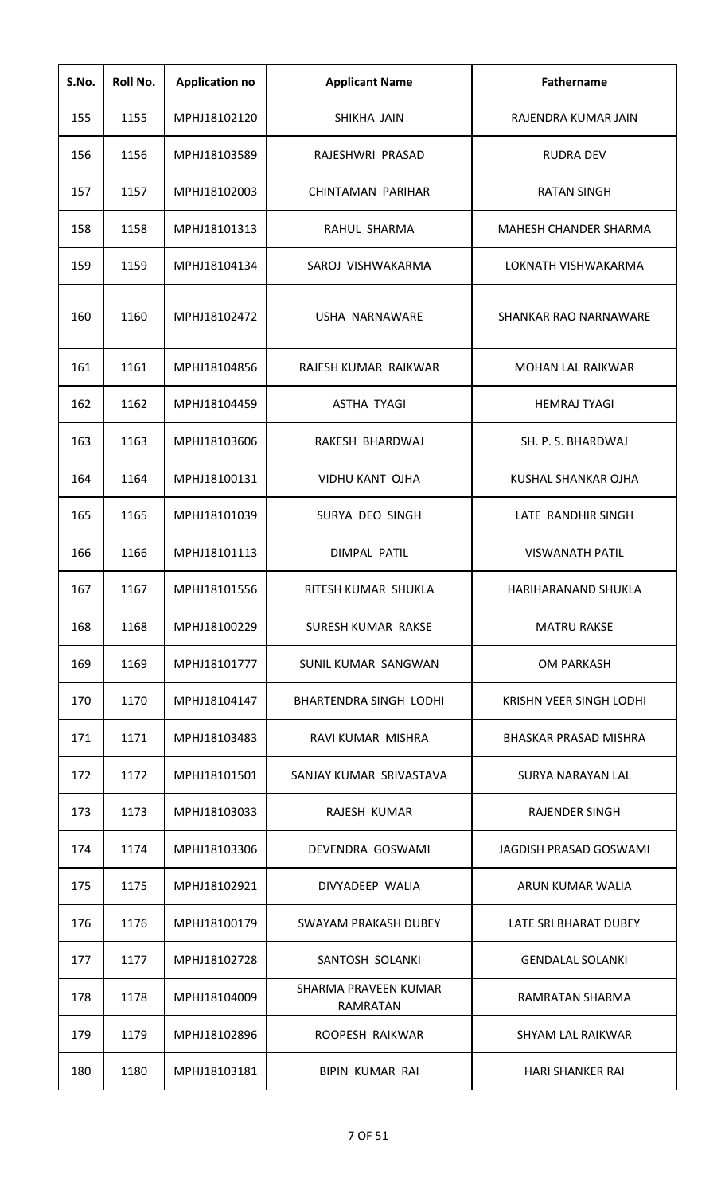| S.No. | Roll No. | <b>Application no</b> | <b>Applicant Name</b>            | <b>Fathername</b>            |
|-------|----------|-----------------------|----------------------------------|------------------------------|
| 155   | 1155     | MPHJ18102120          | SHIKHA JAIN                      | RAJENDRA KUMAR JAIN          |
| 156   | 1156     | MPHJ18103589          | RAJESHWRI PRASAD                 | RUDRA DEV                    |
| 157   | 1157     | MPHJ18102003          | CHINTAMAN PARIHAR                | <b>RATAN SINGH</b>           |
| 158   | 1158     | MPHJ18101313          | RAHUL SHARMA                     | MAHESH CHANDER SHARMA        |
| 159   | 1159     | MPHJ18104134          | SAROJ VISHWAKARMA                | LOKNATH VISHWAKARMA          |
| 160   | 1160     | MPHJ18102472          | USHA NARNAWARE                   | SHANKAR RAO NARNAWARE        |
| 161   | 1161     | MPHJ18104856          | RAJESH KUMAR RAIKWAR             | <b>MOHAN LAL RAIKWAR</b>     |
| 162   | 1162     | MPHJ18104459          | <b>ASTHA TYAGI</b>               | <b>HEMRAJ TYAGI</b>          |
| 163   | 1163     | MPHJ18103606          | RAKESH BHARDWAJ                  | SH. P. S. BHARDWAJ           |
| 164   | 1164     | MPHJ18100131          | <b>VIDHU KANT OJHA</b>           | KUSHAL SHANKAR OJHA          |
| 165   | 1165     | MPHJ18101039          | SURYA DEO SINGH                  | LATE RANDHIR SINGH           |
| 166   | 1166     | MPHJ18101113          | DIMPAL PATIL                     | <b>VISWANATH PATIL</b>       |
| 167   | 1167     | MPHJ18101556          | RITESH KUMAR SHUKLA              | HARIHARANAND SHUKLA          |
| 168   | 1168     | MPHJ18100229          | SURESH KUMAR RAKSE               | <b>MATRU RAKSE</b>           |
| 169   | 1169     | MPHJ18101777          | SUNIL KUMAR SANGWAN              | <b>OM PARKASH</b>            |
| 170   | 1170     | MPHJ18104147          | <b>BHARTENDRA SINGH LODHI</b>    | KRISHN VEER SINGH LODHI      |
| 171   | 1171     | MPHJ18103483          | RAVI KUMAR MISHRA                | <b>BHASKAR PRASAD MISHRA</b> |
| 172   | 1172     | MPHJ18101501          | SANJAY KUMAR SRIVASTAVA          | SURYA NARAYAN LAL            |
| 173   | 1173     | MPHJ18103033          | RAJESH KUMAR                     | RAJENDER SINGH               |
| 174   | 1174     | MPHJ18103306          | DEVENDRA GOSWAMI                 | JAGDISH PRASAD GOSWAMI       |
| 175   | 1175     | MPHJ18102921          | DIVYADEEP WALIA                  | ARUN KUMAR WALIA             |
| 176   | 1176     | MPHJ18100179          | SWAYAM PRAKASH DUBEY             | LATE SRI BHARAT DUBEY        |
| 177   | 1177     | MPHJ18102728          | SANTOSH SOLANKI                  | <b>GENDALAL SOLANKI</b>      |
| 178   | 1178     | MPHJ18104009          | SHARMA PRAVEEN KUMAR<br>RAMRATAN | RAMRATAN SHARMA              |
| 179   | 1179     | MPHJ18102896          | ROOPESH RAIKWAR                  | SHYAM LAL RAIKWAR            |
| 180   | 1180     | MPHJ18103181          | BIPIN KUMAR RAI                  | <b>HARI SHANKER RAI</b>      |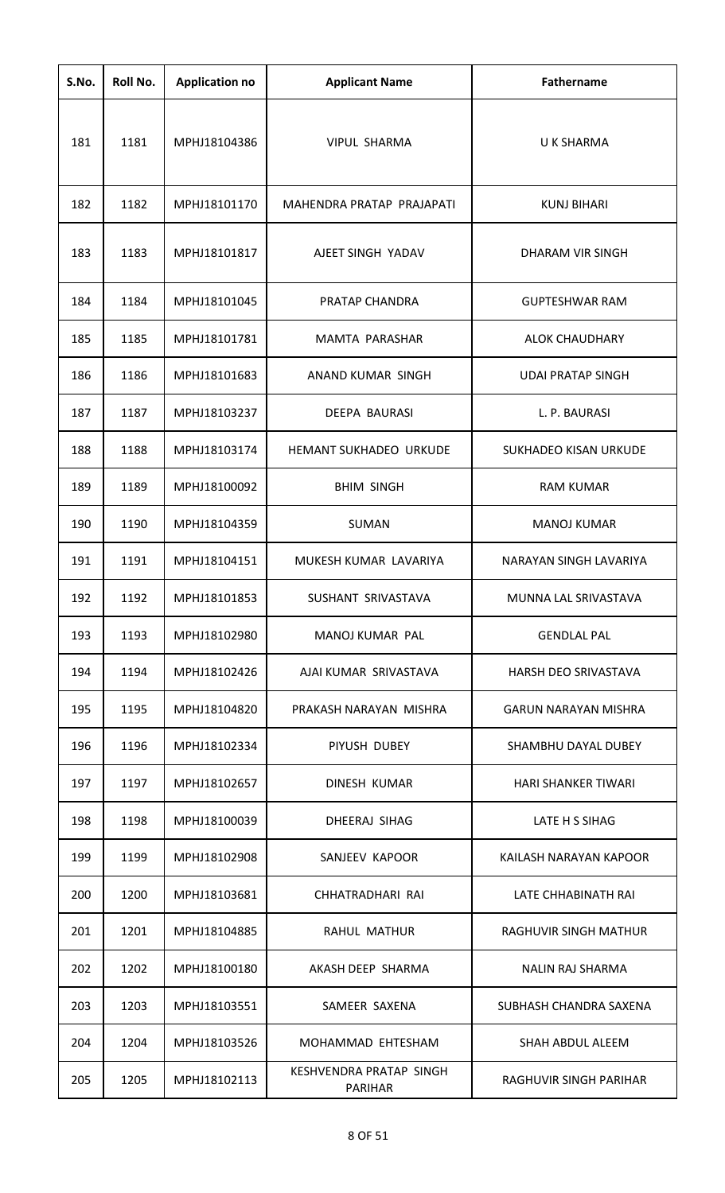| S.No. | Roll No. | <b>Application no</b> | <b>Applicant Name</b>                     | <b>Fathername</b>            |
|-------|----------|-----------------------|-------------------------------------------|------------------------------|
| 181   | 1181     | MPHJ18104386          | <b>VIPUL SHARMA</b>                       | U K SHARMA                   |
| 182   | 1182     | MPHJ18101170          | MAHENDRA PRATAP PRAJAPATI                 | <b>KUNJ BIHARI</b>           |
| 183   | 1183     | MPHJ18101817          | AJEET SINGH YADAV                         | DHARAM VIR SINGH             |
| 184   | 1184     | MPHJ18101045          | PRATAP CHANDRA                            | <b>GUPTESHWAR RAM</b>        |
| 185   | 1185     | MPHJ18101781          | MAMTA PARASHAR                            | <b>ALOK CHAUDHARY</b>        |
| 186   | 1186     | MPHJ18101683          | ANAND KUMAR SINGH                         | <b>UDAI PRATAP SINGH</b>     |
| 187   | 1187     | MPHJ18103237          | <b>DEEPA BAURASI</b>                      | L. P. BAURASI                |
| 188   | 1188     | MPHJ18103174          | <b>HEMANT SUKHADEO URKUDE</b>             | <b>SUKHADEO KISAN URKUDE</b> |
| 189   | 1189     | MPHJ18100092          | <b>BHIM SINGH</b>                         | <b>RAM KUMAR</b>             |
| 190   | 1190     | MPHJ18104359          | <b>SUMAN</b>                              | <b>MANOJ KUMAR</b>           |
| 191   | 1191     | MPHJ18104151          | MUKESH KUMAR LAVARIYA                     | NARAYAN SINGH LAVARIYA       |
| 192   | 1192     | MPHJ18101853          | SUSHANT SRIVASTAVA                        | MUNNA LAL SRIVASTAVA         |
| 193   | 1193     | MPHJ18102980          | MANOJ KUMAR PAL                           | <b>GENDLAL PAL</b>           |
| 194   | 1194     | MPHJ18102426          | AJAI KUMAR SRIVASTAVA                     | HARSH DEO SRIVASTAVA         |
| 195   | 1195     | MPHJ18104820          | PRAKASH NARAYAN MISHRA                    | <b>GARUN NARAYAN MISHRA</b>  |
| 196   | 1196     | MPHJ18102334          | PIYUSH DUBEY                              | SHAMBHU DAYAL DUBEY          |
| 197   | 1197     | MPHJ18102657          | DINESH KUMAR                              | <b>HARI SHANKER TIWARI</b>   |
| 198   | 1198     | MPHJ18100039          | DHEERAJ SIHAG                             | LATE H S SIHAG               |
| 199   | 1199     | MPHJ18102908          | SANJEEV KAPOOR                            | KAILASH NARAYAN KAPOOR       |
| 200   | 1200     | MPHJ18103681          | CHHATRADHARI RAI                          | LATE CHHABINATH RAI          |
| 201   | 1201     | MPHJ18104885          | <b>RAHUL MATHUR</b>                       | RAGHUVIR SINGH MATHUR        |
| 202   | 1202     | MPHJ18100180          | AKASH DEEP SHARMA                         | <b>NALIN RAJ SHARMA</b>      |
| 203   | 1203     | MPHJ18103551          | SAMEER SAXENA                             | SUBHASH CHANDRA SAXENA       |
| 204   | 1204     | MPHJ18103526          | MOHAMMAD EHTESHAM                         | SHAH ABDUL ALEEM             |
| 205   | 1205     | MPHJ18102113          | KESHVENDRA PRATAP SINGH<br><b>PARIHAR</b> | RAGHUVIR SINGH PARIHAR       |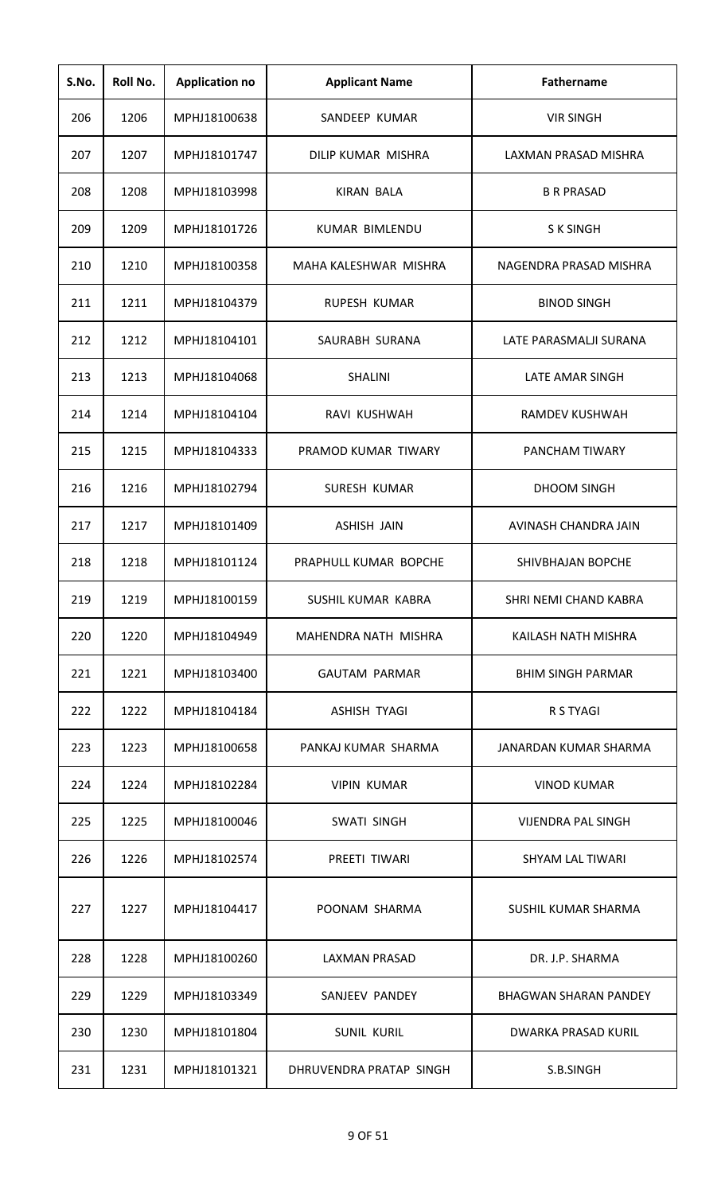| S.No. | Roll No. | <b>Application no</b> | <b>Applicant Name</b>   | <b>Fathername</b>            |
|-------|----------|-----------------------|-------------------------|------------------------------|
| 206   | 1206     | MPHJ18100638          | SANDEEP KUMAR           | <b>VIR SINGH</b>             |
| 207   | 1207     | MPHJ18101747          | DILIP KUMAR MISHRA      | LAXMAN PRASAD MISHRA         |
| 208   | 1208     | MPHJ18103998          | KIRAN BALA              | <b>B R PRASAD</b>            |
| 209   | 1209     | MPHJ18101726          | KUMAR BIMLENDU          | <b>SK SINGH</b>              |
| 210   | 1210     | MPHJ18100358          | MAHA KALESHWAR MISHRA   | NAGENDRA PRASAD MISHRA       |
| 211   | 1211     | MPHJ18104379          | RUPESH KUMAR            | <b>BINOD SINGH</b>           |
| 212   | 1212     | MPHJ18104101          | SAURABH SURANA          | LATE PARASMALJI SURANA       |
| 213   | 1213     | MPHJ18104068          | <b>SHALINI</b>          | LATE AMAR SINGH              |
| 214   | 1214     | MPHJ18104104          | RAVI KUSHWAH            | RAMDEV KUSHWAH               |
| 215   | 1215     | MPHJ18104333          | PRAMOD KUMAR TIWARY     | PANCHAM TIWARY               |
| 216   | 1216     | MPHJ18102794          | SURESH KUMAR            | <b>DHOOM SINGH</b>           |
| 217   | 1217     | MPHJ18101409          | <b>ASHISH JAIN</b>      | AVINASH CHANDRA JAIN         |
| 218   | 1218     | MPHJ18101124          | PRAPHULL KUMAR BOPCHE   | SHIVBHAJAN BOPCHE            |
| 219   | 1219     | MPHJ18100159          | SUSHIL KUMAR KABRA      | SHRI NEMI CHAND KABRA        |
| 220   | 1220     | MPHJ18104949          | MAHENDRA NATH MISHRA    | KAILASH NATH MISHRA          |
| 221   | 1221     | MPHJ18103400          | <b>GAUTAM PARMAR</b>    | <b>BHIM SINGH PARMAR</b>     |
| 222   | 1222     | MPHJ18104184          | ASHISH TYAGI            | R S TYAGI                    |
| 223   | 1223     | MPHJ18100658          | PANKAJ KUMAR SHARMA     | JANARDAN KUMAR SHARMA        |
| 224   | 1224     | MPHJ18102284          | <b>VIPIN KUMAR</b>      | <b>VINOD KUMAR</b>           |
| 225   | 1225     | MPHJ18100046          | <b>SWATI SINGH</b>      | <b>VIJENDRA PAL SINGH</b>    |
| 226   | 1226     | MPHJ18102574          | PREETI TIWARI           | <b>SHYAM LAL TIWARI</b>      |
| 227   | 1227     | MPHJ18104417          | POONAM SHARMA           | SUSHIL KUMAR SHARMA          |
| 228   | 1228     | MPHJ18100260          | <b>LAXMAN PRASAD</b>    | DR. J.P. SHARMA              |
| 229   | 1229     | MPHJ18103349          | SANJEEV PANDEY          | <b>BHAGWAN SHARAN PANDEY</b> |
| 230   | 1230     | MPHJ18101804          | <b>SUNIL KURIL</b>      | <b>DWARKA PRASAD KURIL</b>   |
| 231   | 1231     | MPHJ18101321          | DHRUVENDRA PRATAP SINGH | S.B.SINGH                    |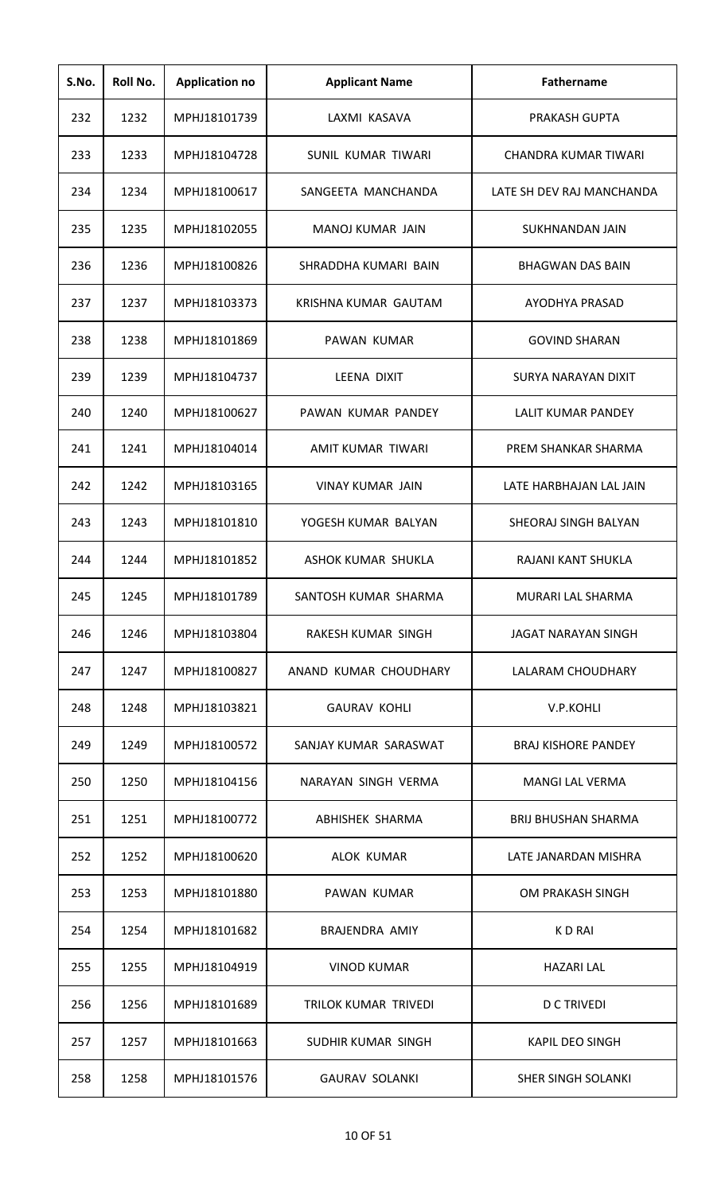| S.No. | Roll No. | <b>Application no</b> | <b>Applicant Name</b>   | <b>Fathername</b>          |
|-------|----------|-----------------------|-------------------------|----------------------------|
| 232   | 1232     | MPHJ18101739          | LAXMI KASAVA            | PRAKASH GUPTA              |
| 233   | 1233     | MPHJ18104728          | SUNIL KUMAR TIWARI      | CHANDRA KUMAR TIWARI       |
| 234   | 1234     | MPHJ18100617          | SANGEETA MANCHANDA      | LATE SH DEV RAJ MANCHANDA  |
| 235   | 1235     | MPHJ18102055          | MANOJ KUMAR JAIN        | SUKHNANDAN JAIN            |
| 236   | 1236     | MPHJ18100826          | SHRADDHA KUMARI BAIN    | <b>BHAGWAN DAS BAIN</b>    |
| 237   | 1237     | MPHJ18103373          | KRISHNA KUMAR GAUTAM    | AYODHYA PRASAD             |
| 238   | 1238     | MPHJ18101869          | PAWAN KUMAR             | <b>GOVIND SHARAN</b>       |
| 239   | 1239     | MPHJ18104737          | LEENA DIXIT             | <b>SURYA NARAYAN DIXIT</b> |
| 240   | 1240     | MPHJ18100627          | PAWAN KUMAR PANDEY      | <b>LALIT KUMAR PANDEY</b>  |
| 241   | 1241     | MPHJ18104014          | AMIT KUMAR TIWARI       | PREM SHANKAR SHARMA        |
| 242   | 1242     | MPHJ18103165          | <b>VINAY KUMAR JAIN</b> | LATE HARBHAJAN LAL JAIN    |
| 243   | 1243     | MPHJ18101810          | YOGESH KUMAR BALYAN     | SHEORAJ SINGH BALYAN       |
| 244   | 1244     | MPHJ18101852          | ASHOK KUMAR SHUKLA      | RAJANI KANT SHUKLA         |
| 245   | 1245     | MPHJ18101789          | SANTOSH KUMAR SHARMA    | MURARI LAL SHARMA          |
| 246   | 1246     | MPHJ18103804          | RAKESH KUMAR SINGH      | JAGAT NARAYAN SINGH        |
| 247   | 1247     | MPHJ18100827          | ANAND KUMAR CHOUDHARY   | LALARAM CHOUDHARY          |
| 248   | 1248     | MPHJ18103821          | <b>GAURAV KOHLI</b>     | V.P.KOHLI                  |
| 249   | 1249     | MPHJ18100572          | SANJAY KUMAR SARASWAT   | <b>BRAJ KISHORE PANDEY</b> |
| 250   | 1250     | MPHJ18104156          | NARAYAN SINGH VERMA     | <b>MANGI LAL VERMA</b>     |
| 251   | 1251     | MPHJ18100772          | ABHISHEK SHARMA         | <b>BRIJ BHUSHAN SHARMA</b> |
| 252   | 1252     | MPHJ18100620          | ALOK KUMAR              | LATE JANARDAN MISHRA       |
| 253   | 1253     | MPHJ18101880          | PAWAN KUMAR             | OM PRAKASH SINGH           |
| 254   | 1254     | MPHJ18101682          | BRAJENDRA AMIY          | K D RAI                    |
| 255   | 1255     | MPHJ18104919          | <b>VINOD KUMAR</b>      | <b>HAZARI LAL</b>          |
| 256   | 1256     | MPHJ18101689          | TRILOK KUMAR TRIVEDI    | <b>D C TRIVEDI</b>         |
| 257   | 1257     | MPHJ18101663          | SUDHIR KUMAR SINGH      | <b>KAPIL DEO SINGH</b>     |
| 258   | 1258     | MPHJ18101576          | <b>GAURAV SOLANKI</b>   | SHER SINGH SOLANKI         |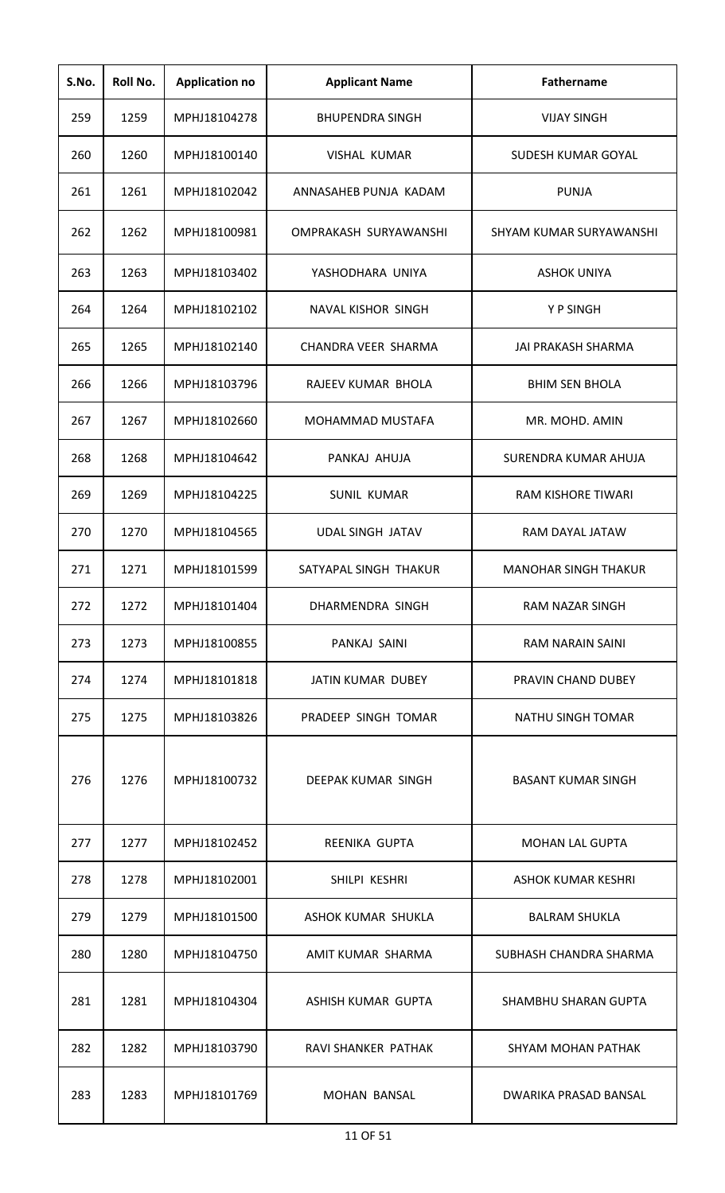| S.No. | Roll No. | <b>Application no</b> | <b>Applicant Name</b>     | <b>Fathername</b>           |
|-------|----------|-----------------------|---------------------------|-----------------------------|
| 259   | 1259     | MPHJ18104278          | <b>BHUPENDRA SINGH</b>    | <b>VIJAY SINGH</b>          |
| 260   | 1260     | MPHJ18100140          | <b>VISHAL KUMAR</b>       | SUDESH KUMAR GOYAL          |
| 261   | 1261     | MPHJ18102042          | ANNASAHEB PUNJA KADAM     | <b>PUNJA</b>                |
| 262   | 1262     | MPHJ18100981          | OMPRAKASH SURYAWANSHI     | SHYAM KUMAR SURYAWANSHI     |
| 263   | 1263     | MPHJ18103402          | YASHODHARA UNIYA          | <b>ASHOK UNIYA</b>          |
| 264   | 1264     | MPHJ18102102          | <b>NAVAL KISHOR SINGH</b> | Y P SINGH                   |
| 265   | 1265     | MPHJ18102140          | CHANDRA VEER SHARMA       | JAI PRAKASH SHARMA          |
| 266   | 1266     | MPHJ18103796          | RAJEEV KUMAR BHOLA        | <b>BHIM SEN BHOLA</b>       |
| 267   | 1267     | MPHJ18102660          | MOHAMMAD MUSTAFA          | MR. MOHD. AMIN              |
| 268   | 1268     | MPHJ18104642          | PANKAJ AHUJA              | SURENDRA KUMAR AHUJA        |
| 269   | 1269     | MPHJ18104225          | <b>SUNIL KUMAR</b>        | RAM KISHORE TIWARI          |
| 270   | 1270     | MPHJ18104565          | <b>UDAL SINGH JATAV</b>   | RAM DAYAL JATAW             |
| 271   | 1271     | MPHJ18101599          | SATYAPAL SINGH THAKUR     | <b>MANOHAR SINGH THAKUR</b> |
| 272   | 1272     | MPHJ18101404          | DHARMENDRA SINGH          | RAM NAZAR SINGH             |
| 273   | 1273     | MPHJ18100855          | PANKAJ SAINI              | <b>RAM NARAIN SAINI</b>     |
| 274   | 1274     | MPHJ18101818          | JATIN KUMAR DUBEY         | PRAVIN CHAND DUBEY          |
| 275   | 1275     | MPHJ18103826          | PRADEEP SINGH TOMAR       | NATHU SINGH TOMAR           |
| 276   | 1276     | MPHJ18100732          | DEEPAK KUMAR SINGH        | <b>BASANT KUMAR SINGH</b>   |
| 277   | 1277     | MPHJ18102452          | REENIKA GUPTA             | <b>MOHAN LAL GUPTA</b>      |
| 278   | 1278     | MPHJ18102001          | SHILPI KESHRI             | <b>ASHOK KUMAR KESHRI</b>   |
| 279   | 1279     | MPHJ18101500          | ASHOK KUMAR SHUKLA        | <b>BALRAM SHUKLA</b>        |
| 280   | 1280     | MPHJ18104750          | AMIT KUMAR SHARMA         | SUBHASH CHANDRA SHARMA      |
| 281   | 1281     | MPHJ18104304          | ASHISH KUMAR GUPTA        | SHAMBHU SHARAN GUPTA        |
| 282   | 1282     | MPHJ18103790          | RAVI SHANKER PATHAK       | SHYAM MOHAN PATHAK          |
| 283   | 1283     | MPHJ18101769          | <b>MOHAN BANSAL</b>       | DWARIKA PRASAD BANSAL       |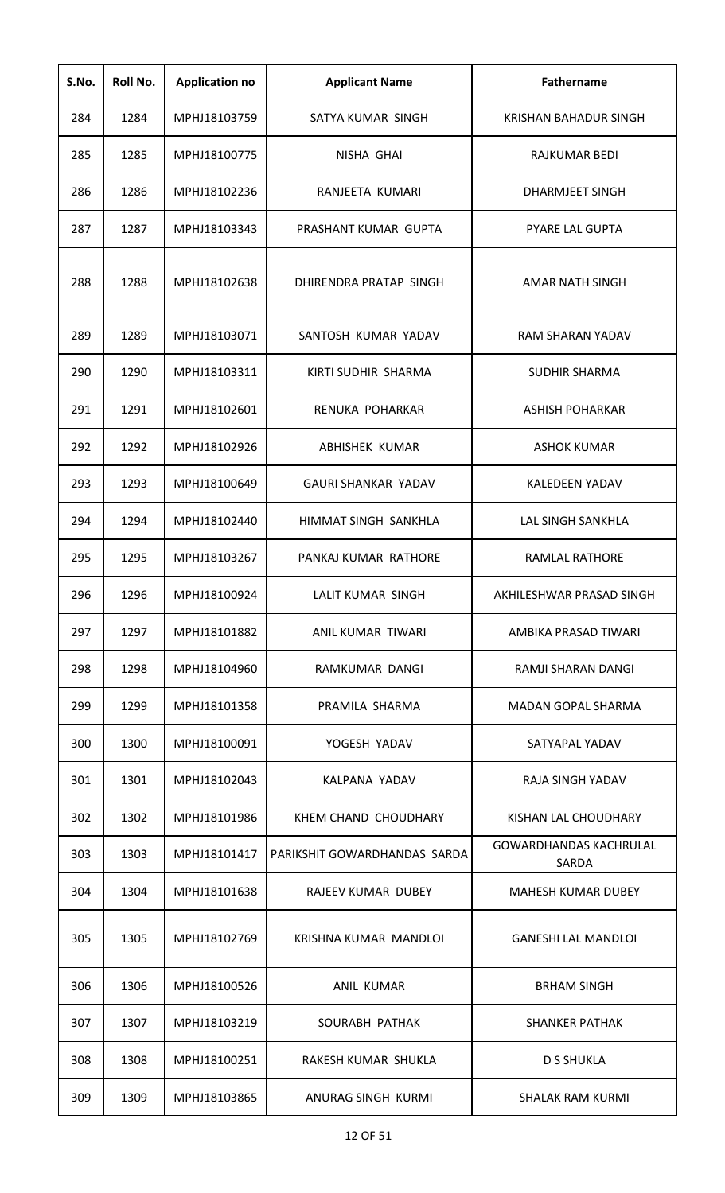| S.No. | Roll No. | <b>Application no</b> | <b>Applicant Name</b>        | Fathername                             |
|-------|----------|-----------------------|------------------------------|----------------------------------------|
| 284   | 1284     | MPHJ18103759          | SATYA KUMAR SINGH            | KRISHAN BAHADUR SINGH                  |
| 285   | 1285     | MPHJ18100775          | NISHA GHAI                   | RAJKUMAR BEDI                          |
| 286   | 1286     | MPHJ18102236          | RANJEETA KUMARI              | <b>DHARMJEET SINGH</b>                 |
| 287   | 1287     | MPHJ18103343          | PRASHANT KUMAR GUPTA         | <b>PYARE LAL GUPTA</b>                 |
| 288   | 1288     | MPHJ18102638          | DHIRENDRA PRATAP SINGH       | <b>AMAR NATH SINGH</b>                 |
| 289   | 1289     | MPHJ18103071          | SANTOSH KUMAR YADAV          | <b>RAM SHARAN YADAV</b>                |
| 290   | 1290     | MPHJ18103311          | KIRTI SUDHIR SHARMA          | <b>SUDHIR SHARMA</b>                   |
| 291   | 1291     | MPHJ18102601          | RENUKA POHARKAR              | ASHISH POHARKAR                        |
| 292   | 1292     | MPHJ18102926          | ABHISHEK KUMAR               | <b>ASHOK KUMAR</b>                     |
| 293   | 1293     | MPHJ18100649          | <b>GAURI SHANKAR YADAV</b>   | KALEDEEN YADAV                         |
| 294   | 1294     | MPHJ18102440          | HIMMAT SINGH SANKHLA         | <b>LAL SINGH SANKHLA</b>               |
| 295   | 1295     | MPHJ18103267          | PANKAJ KUMAR RATHORE         | <b>RAMLAL RATHORE</b>                  |
| 296   | 1296     | MPHJ18100924          | LALIT KUMAR SINGH            | AKHILESHWAR PRASAD SINGH               |
| 297   | 1297     | MPHJ18101882          | ANIL KUMAR TIWARI            | AMBIKA PRASAD TIWARI                   |
| 298   | 1298     | MPHJ18104960          | RAMKUMAR DANGI               | RAMJI SHARAN DANGI                     |
| 299   | 1299     | MPHJ18101358          | PRAMILA SHARMA               | MADAN GOPAL SHARMA                     |
| 300   | 1300     | MPHJ18100091          | YOGESH YADAV                 | SATYAPAL YADAV                         |
| 301   | 1301     | MPHJ18102043          | KALPANA YADAV                | RAJA SINGH YADAV                       |
| 302   | 1302     | MPHJ18101986          | KHEM CHAND CHOUDHARY         | KISHAN LAL CHOUDHARY                   |
| 303   | 1303     | MPHJ18101417          | PARIKSHIT GOWARDHANDAS SARDA | <b>GOWARDHANDAS KACHRULAL</b><br>SARDA |
| 304   | 1304     | MPHJ18101638          | RAJEEV KUMAR DUBEY           | <b>MAHESH KUMAR DUBEY</b>              |
| 305   | 1305     | MPHJ18102769          | KRISHNA KUMAR MANDLOI        | <b>GANESHI LAL MANDLOI</b>             |
| 306   | 1306     | MPHJ18100526          | ANIL KUMAR                   | <b>BRHAM SINGH</b>                     |
| 307   | 1307     | MPHJ18103219          | SOURABH PATHAK               | <b>SHANKER PATHAK</b>                  |
| 308   | 1308     | MPHJ18100251          | RAKESH KUMAR SHUKLA          | <b>D S SHUKLA</b>                      |
| 309   | 1309     | MPHJ18103865          | ANURAG SINGH KURMI           | <b>SHALAK RAM KURMI</b>                |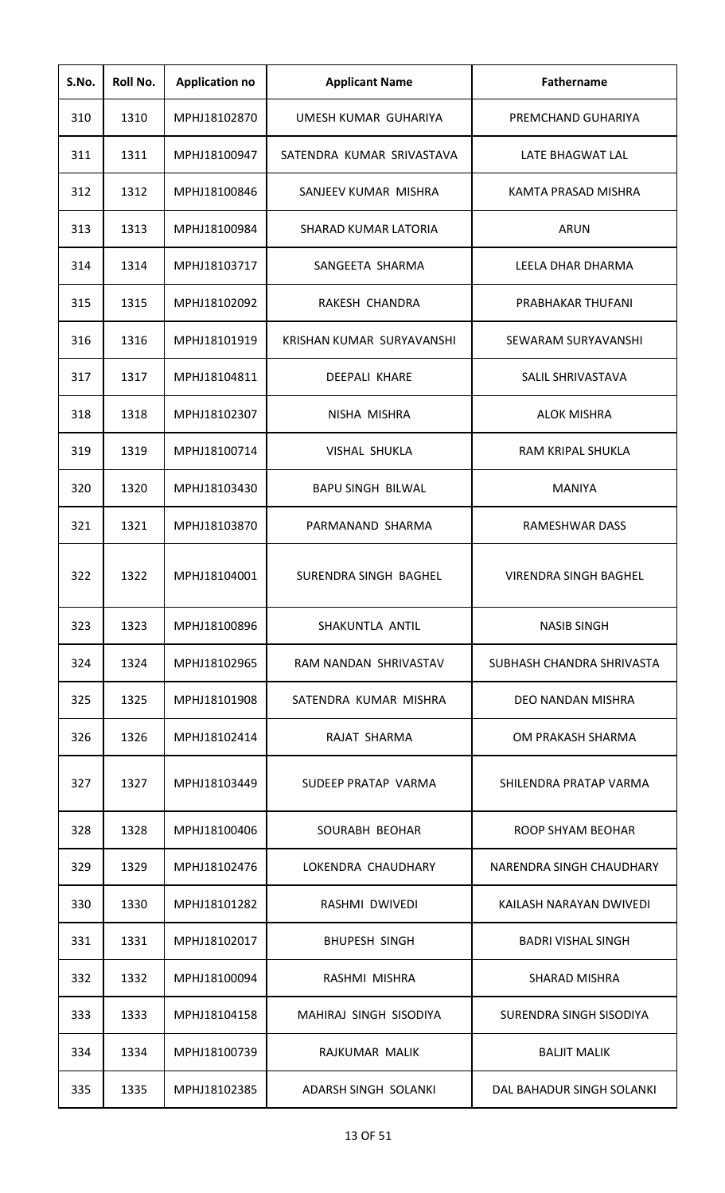| S.No. | Roll No. | <b>Application no</b> | <b>Applicant Name</b>     | <b>Fathername</b>            |
|-------|----------|-----------------------|---------------------------|------------------------------|
| 310   | 1310     | MPHJ18102870          | UMESH KUMAR GUHARIYA      | PREMCHAND GUHARIYA           |
| 311   | 1311     | MPHJ18100947          | SATENDRA KUMAR SRIVASTAVA | LATE BHAGWAT LAL             |
| 312   | 1312     | MPHJ18100846          | SANJEEV KUMAR MISHRA      | KAMTA PRASAD MISHRA          |
| 313   | 1313     | MPHJ18100984          | SHARAD KUMAR LATORIA      | <b>ARUN</b>                  |
| 314   | 1314     | MPHJ18103717          | SANGEETA SHARMA           | LEELA DHAR DHARMA            |
| 315   | 1315     | MPHJ18102092          | <b>RAKESH CHANDRA</b>     | PRABHAKAR THUFANI            |
| 316   | 1316     | MPHJ18101919          | KRISHAN KUMAR SURYAVANSHI | SEWARAM SURYAVANSHI          |
| 317   | 1317     | MPHJ18104811          | <b>DEEPALI KHARE</b>      | SALIL SHRIVASTAVA            |
| 318   | 1318     | MPHJ18102307          | NISHA MISHRA              | <b>ALOK MISHRA</b>           |
| 319   | 1319     | MPHJ18100714          | <b>VISHAL SHUKLA</b>      | RAM KRIPAL SHUKLA            |
| 320   | 1320     | MPHJ18103430          | <b>BAPU SINGH BILWAL</b>  | <b>MANIYA</b>                |
| 321   | 1321     | MPHJ18103870          | PARMANAND SHARMA          | RAMESHWAR DASS               |
| 322   | 1322     | MPHJ18104001          | SURENDRA SINGH BAGHEL     | <b>VIRENDRA SINGH BAGHEL</b> |
| 323   | 1323     | MPHJ18100896          | SHAKUNTLA ANTIL           | <b>NASIB SINGH</b>           |
| 324   | 1324     | MPHJ18102965          | RAM NANDAN SHRIVASTAV     | SUBHASH CHANDRA SHRIVASTA    |
| 325   | 1325     | MPHJ18101908          | SATENDRA KUMAR MISHRA     | DEO NANDAN MISHRA            |
| 326   | 1326     | MPHJ18102414          | RAJAT SHARMA              | OM PRAKASH SHARMA            |
| 327   | 1327     | MPHJ18103449          | SUDEEP PRATAP VARMA       | SHILENDRA PRATAP VARMA       |
| 328   | 1328     | MPHJ18100406          | SOURABH BEOHAR            | ROOP SHYAM BEOHAR            |
| 329   | 1329     | MPHJ18102476          | LOKENDRA CHAUDHARY        | NARENDRA SINGH CHAUDHARY     |
| 330   | 1330     | MPHJ18101282          | RASHMI DWIVEDI            | KAILASH NARAYAN DWIVEDI      |
| 331   | 1331     | MPHJ18102017          | <b>BHUPESH SINGH</b>      | <b>BADRI VISHAL SINGH</b>    |
| 332   | 1332     | MPHJ18100094          | RASHMI MISHRA             | <b>SHARAD MISHRA</b>         |
| 333   | 1333     | MPHJ18104158          | MAHIRAJ SINGH SISODIYA    | SURENDRA SINGH SISODIYA      |
| 334   | 1334     | MPHJ18100739          | RAJKUMAR MALIK            | <b>BALJIT MALIK</b>          |
| 335   | 1335     | MPHJ18102385          | ADARSH SINGH SOLANKI      | DAL BAHADUR SINGH SOLANKI    |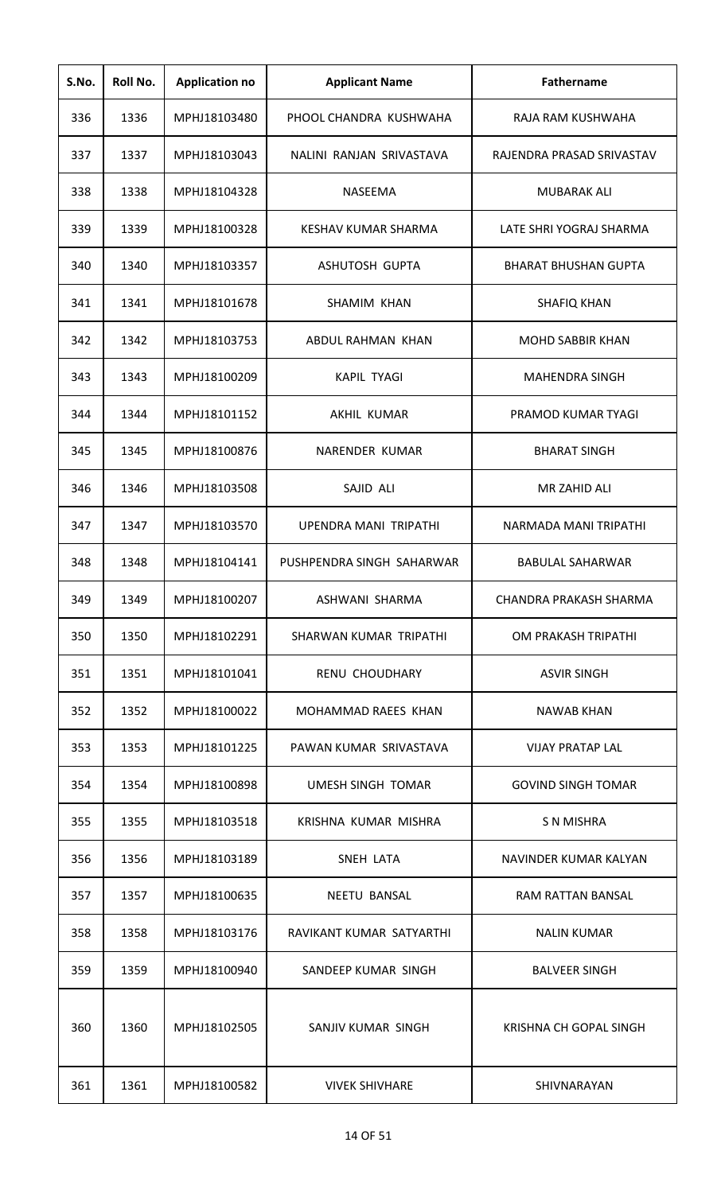| S.No. | Roll No. | <b>Application no</b> | <b>Applicant Name</b>     | <b>Fathername</b>             |
|-------|----------|-----------------------|---------------------------|-------------------------------|
| 336   | 1336     | MPHJ18103480          | PHOOL CHANDRA KUSHWAHA    | RAJA RAM KUSHWAHA             |
| 337   | 1337     | MPHJ18103043          | NALINI RANJAN SRIVASTAVA  | RAJENDRA PRASAD SRIVASTAV     |
| 338   | 1338     | MPHJ18104328          | <b>NASEEMA</b>            | <b>MUBARAK ALI</b>            |
| 339   | 1339     | MPHJ18100328          | KESHAV KUMAR SHARMA       | LATE SHRI YOGRAJ SHARMA       |
| 340   | 1340     | MPHJ18103357          | ASHUTOSH GUPTA            | <b>BHARAT BHUSHAN GUPTA</b>   |
| 341   | 1341     | MPHJ18101678          | <b>SHAMIM KHAN</b>        | <b>SHAFIQ KHAN</b>            |
| 342   | 1342     | MPHJ18103753          | ABDUL RAHMAN KHAN         | <b>MOHD SABBIR KHAN</b>       |
| 343   | 1343     | MPHJ18100209          | <b>KAPIL TYAGI</b>        | <b>MAHENDRA SINGH</b>         |
| 344   | 1344     | MPHJ18101152          | AKHIL KUMAR               | PRAMOD KUMAR TYAGI            |
| 345   | 1345     | MPHJ18100876          | NARENDER KUMAR            | <b>BHARAT SINGH</b>           |
| 346   | 1346     | MPHJ18103508          | SAJID ALI                 | MR ZAHID ALI                  |
| 347   | 1347     | MPHJ18103570          | UPENDRA MANI TRIPATHI     | NARMADA MANI TRIPATHI         |
| 348   | 1348     | MPHJ18104141          | PUSHPENDRA SINGH SAHARWAR | <b>BABULAL SAHARWAR</b>       |
| 349   | 1349     | MPHJ18100207          | ASHWANI SHARMA            | <b>CHANDRA PRAKASH SHARMA</b> |
| 350   | 1350     | MPHJ18102291          | SHARWAN KUMAR TRIPATHI    | OM PRAKASH TRIPATHI           |
| 351   | 1351     | MPHJ18101041          | RENU CHOUDHARY            | <b>ASVIR SINGH</b>            |
| 352   | 1352     | MPHJ18100022          | MOHAMMAD RAEES KHAN       | <b>NAWAB KHAN</b>             |
| 353   | 1353     | MPHJ18101225          | PAWAN KUMAR SRIVASTAVA    | <b>VIJAY PRATAP LAL</b>       |
| 354   | 1354     | MPHJ18100898          | UMESH SINGH TOMAR         | <b>GOVIND SINGH TOMAR</b>     |
| 355   | 1355     | MPHJ18103518          | KRISHNA KUMAR MISHRA      | S N MISHRA                    |
| 356   | 1356     | MPHJ18103189          | SNEH LATA                 | NAVINDER KUMAR KALYAN         |
| 357   | 1357     | MPHJ18100635          | <b>NEETU BANSAL</b>       | RAM RATTAN BANSAL             |
| 358   | 1358     | MPHJ18103176          | RAVIKANT KUMAR SATYARTHI  | <b>NALIN KUMAR</b>            |
| 359   | 1359     | MPHJ18100940          | SANDEEP KUMAR SINGH       | <b>BALVEER SINGH</b>          |
| 360   | 1360     | MPHJ18102505          | SANJIV KUMAR SINGH        | <b>KRISHNA CH GOPAL SINGH</b> |
| 361   | 1361     | MPHJ18100582          | <b>VIVEK SHIVHARE</b>     | SHIVNARAYAN                   |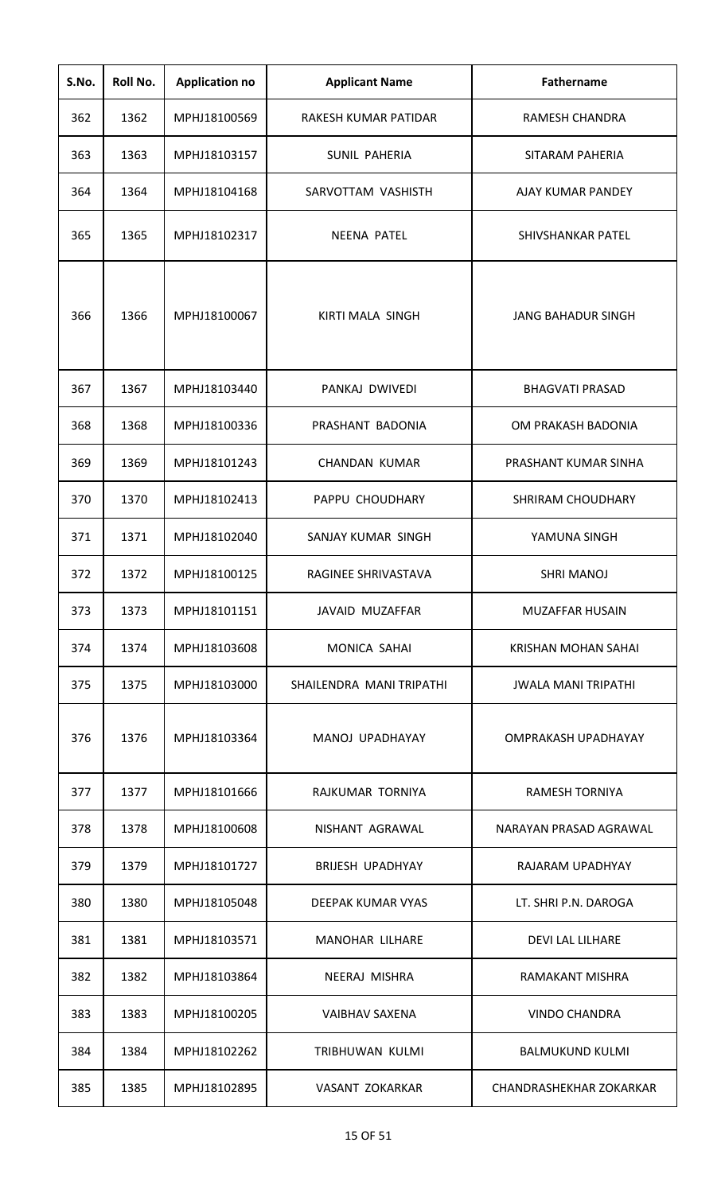| S.No. | Roll No. | <b>Application no</b> | <b>Applicant Name</b>    | <b>Fathername</b>              |
|-------|----------|-----------------------|--------------------------|--------------------------------|
| 362   | 1362     | MPHJ18100569          | RAKESH KUMAR PATIDAR     | RAMESH CHANDRA                 |
| 363   | 1363     | MPHJ18103157          | SUNIL PAHERIA            | SITARAM PAHERIA                |
| 364   | 1364     | MPHJ18104168          | SARVOTTAM VASHISTH       | <b>AJAY KUMAR PANDEY</b>       |
| 365   | 1365     | MPHJ18102317          | <b>NEENA PATEL</b>       | SHIVSHANKAR PATEL              |
| 366   | 1366     | MPHJ18100067          | KIRTI MALA SINGH         | <b>JANG BAHADUR SINGH</b>      |
| 367   | 1367     | MPHJ18103440          | PANKAJ DWIVEDI           | <b>BHAGVATI PRASAD</b>         |
| 368   | 1368     | MPHJ18100336          | PRASHANT BADONIA         | OM PRAKASH BADONIA             |
| 369   | 1369     | MPHJ18101243          | <b>CHANDAN KUMAR</b>     | PRASHANT KUMAR SINHA           |
| 370   | 1370     | MPHJ18102413          | PAPPU CHOUDHARY          | <b>SHRIRAM CHOUDHARY</b>       |
| 371   | 1371     | MPHJ18102040          | SANJAY KUMAR SINGH       | YAMUNA SINGH                   |
| 372   | 1372     | MPHJ18100125          | RAGINEE SHRIVASTAVA      | <b>SHRI MANOJ</b>              |
| 373   | 1373     | MPHJ18101151          | JAVAID MUZAFFAR          | MUZAFFAR HUSAIN                |
| 374   | 1374     | MPHJ18103608          | MONICA SAHAI             | KRISHAN MOHAN SAHAI            |
| 375   | 1375     | MPHJ18103000          | SHAILENDRA MANI TRIPATHI | <b>JWALA MANI TRIPATHI</b>     |
| 376   | 1376     | MPHJ18103364          | MANOJ UPADHAYAY          | <b>OMPRAKASH UPADHAYAY</b>     |
| 377   | 1377     | MPHJ18101666          | RAJKUMAR TORNIYA         | RAMESH TORNIYA                 |
| 378   | 1378     | MPHJ18100608          | NISHANT AGRAWAL          | NARAYAN PRASAD AGRAWAL         |
| 379   | 1379     | MPHJ18101727          | <b>BRIJESH UPADHYAY</b>  | RAJARAM UPADHYAY               |
| 380   | 1380     | MPHJ18105048          | DEEPAK KUMAR VYAS        | LT. SHRI P.N. DAROGA           |
| 381   | 1381     | MPHJ18103571          | <b>MANOHAR LILHARE</b>   | <b>DEVI LAL LILHARE</b>        |
| 382   | 1382     | MPHJ18103864          | NEERAJ MISHRA            | <b>RAMAKANT MISHRA</b>         |
| 383   | 1383     | MPHJ18100205          | <b>VAIBHAV SAXENA</b>    | <b>VINDO CHANDRA</b>           |
| 384   | 1384     | MPHJ18102262          | TRIBHUWAN KULMI          | <b>BALMUKUND KULMI</b>         |
| 385   | 1385     | MPHJ18102895          | VASANT ZOKARKAR          | <b>CHANDRASHEKHAR ZOKARKAR</b> |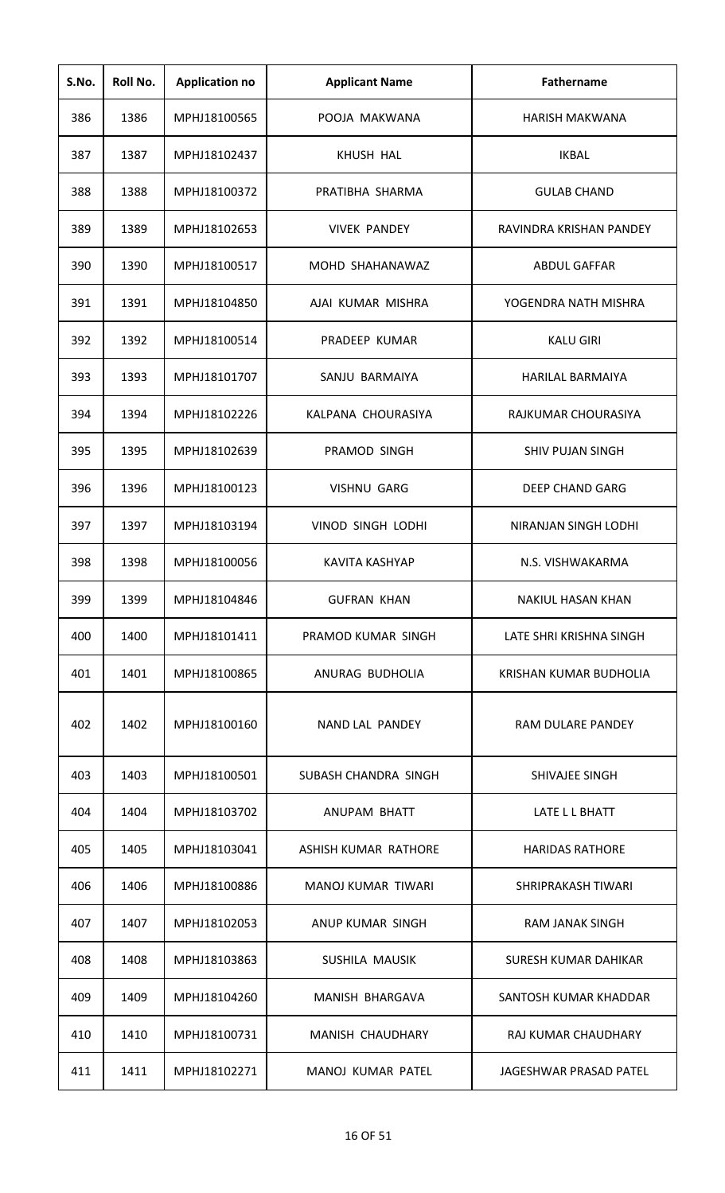| S.No. | Roll No. | <b>Application no</b> | <b>Applicant Name</b>    | <b>Fathername</b>        |
|-------|----------|-----------------------|--------------------------|--------------------------|
| 386   | 1386     | MPHJ18100565          | POOJA MAKWANA            | <b>HARISH MAKWANA</b>    |
| 387   | 1387     | MPHJ18102437          | KHUSH HAL                | <b>IKBAL</b>             |
| 388   | 1388     | MPHJ18100372          | PRATIBHA SHARMA          | <b>GULAB CHAND</b>       |
| 389   | 1389     | MPHJ18102653          | <b>VIVEK PANDEY</b>      | RAVINDRA KRISHAN PANDEY  |
| 390   | 1390     | MPHJ18100517          | MOHD SHAHANAWAZ          | <b>ABDUL GAFFAR</b>      |
| 391   | 1391     | MPHJ18104850          | AJAI KUMAR MISHRA        | YOGENDRA NATH MISHRA     |
| 392   | 1392     | MPHJ18100514          | PRADEEP KUMAR            | <b>KALU GIRI</b>         |
| 393   | 1393     | MPHJ18101707          | SANJU BARMAIYA           | <b>HARILAL BARMAIYA</b>  |
| 394   | 1394     | MPHJ18102226          | KALPANA CHOURASIYA       | RAJKUMAR CHOURASIYA      |
| 395   | 1395     | MPHJ18102639          | PRAMOD SINGH             | <b>SHIV PUJAN SINGH</b>  |
| 396   | 1396     | MPHJ18100123          | <b>VISHNU GARG</b>       | <b>DEEP CHAND GARG</b>   |
| 397   | 1397     | MPHJ18103194          | <b>VINOD SINGH LODHI</b> | NIRANJAN SINGH LODHI     |
| 398   | 1398     | MPHJ18100056          | KAVITA KASHYAP           | N.S. VISHWAKARMA         |
| 399   | 1399     | MPHJ18104846          | <b>GUFRAN KHAN</b>       | <b>NAKIUL HASAN KHAN</b> |
| 400   | 1400     | MPHJ18101411          | PRAMOD KUMAR SINGH       | LATE SHRI KRISHNA SINGH  |
| 401   | 1401     | MPHJ18100865          | ANURAG BUDHOLIA          | KRISHAN KUMAR BUDHOLIA   |
| 402   | 1402     | MPHJ18100160          | NAND LAL PANDEY          | <b>RAM DULARE PANDEY</b> |
| 403   | 1403     | MPHJ18100501          | SUBASH CHANDRA SINGH     | SHIVAJEE SINGH           |
| 404   | 1404     | MPHJ18103702          | ANUPAM BHATT             | LATE L L BHATT           |
| 405   | 1405     | MPHJ18103041          | ASHISH KUMAR RATHORE     | <b>HARIDAS RATHORE</b>   |
| 406   | 1406     | MPHJ18100886          | MANOJ KUMAR TIWARI       | SHRIPRAKASH TIWARI       |
| 407   | 1407     | MPHJ18102053          | ANUP KUMAR SINGH         | <b>RAM JANAK SINGH</b>   |
| 408   | 1408     | MPHJ18103863          | SUSHILA MAUSIK           | SURESH KUMAR DAHIKAR     |
| 409   | 1409     | MPHJ18104260          | MANISH BHARGAVA          | SANTOSH KUMAR KHADDAR    |
| 410   | 1410     | MPHJ18100731          | MANISH CHAUDHARY         | RAJ KUMAR CHAUDHARY      |
| 411   | 1411     | MPHJ18102271          | MANOJ KUMAR PATEL        | JAGESHWAR PRASAD PATEL   |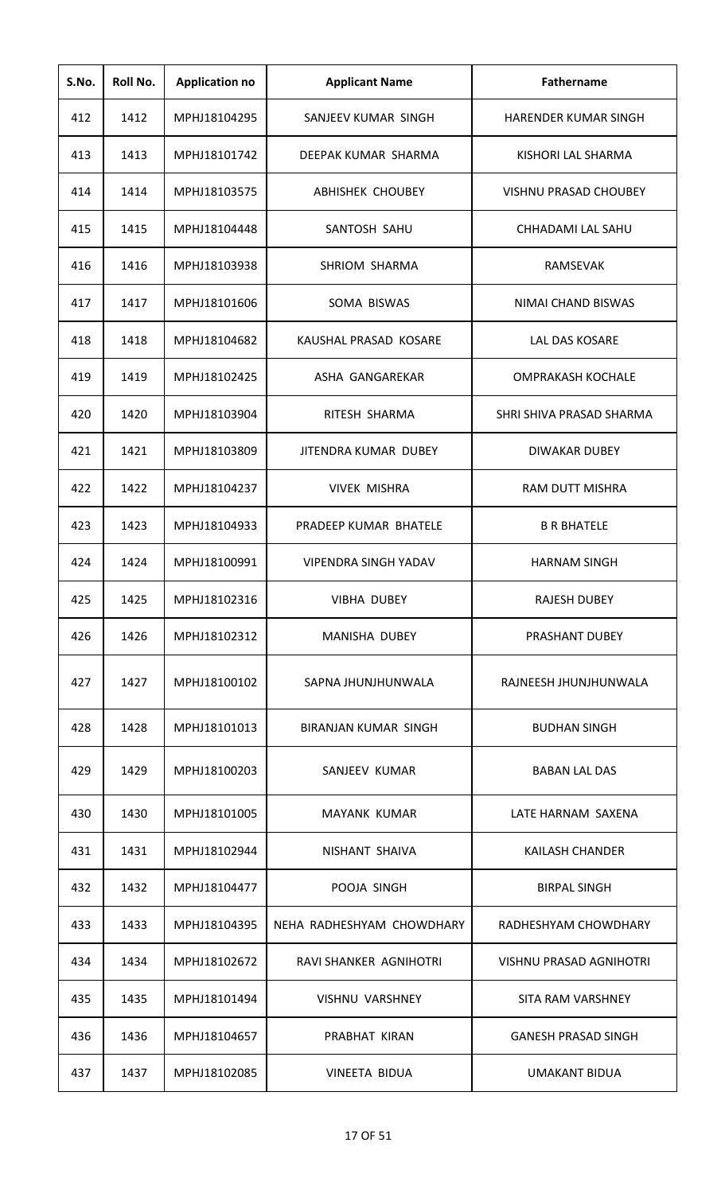| S.No. | Roll No. | <b>Application no</b> | <b>Applicant Name</b>       | <b>Fathername</b>              |
|-------|----------|-----------------------|-----------------------------|--------------------------------|
| 412   | 1412     | MPHJ18104295          | SANJEEV KUMAR SINGH         | <b>HARENDER KUMAR SINGH</b>    |
| 413   | 1413     | MPHJ18101742          | DEEPAK KUMAR SHARMA         | KISHORI LAL SHARMA             |
| 414   | 1414     | MPHJ18103575          | <b>ABHISHEK CHOUBEY</b>     | <b>VISHNU PRASAD CHOUBEY</b>   |
| 415   | 1415     | MPHJ18104448          | SANTOSH SAHU                | CHHADAMI LAL SAHU              |
| 416   | 1416     | MPHJ18103938          | SHRIOM SHARMA               | RAMSEVAK                       |
| 417   | 1417     | MPHJ18101606          | SOMA BISWAS                 | NIMAI CHAND BISWAS             |
| 418   | 1418     | MPHJ18104682          | KAUSHAL PRASAD KOSARE       | LAL DAS KOSARE                 |
| 419   | 1419     | MPHJ18102425          | ASHA GANGAREKAR             | <b>OMPRAKASH KOCHALE</b>       |
| 420   | 1420     | MPHJ18103904          | RITESH SHARMA               | SHRI SHIVA PRASAD SHARMA       |
| 421   | 1421     | MPHJ18103809          | JITENDRA KUMAR DUBEY        | DIWAKAR DUBEY                  |
| 422   | 1422     | MPHJ18104237          | <b>VIVEK MISHRA</b>         | RAM DUTT MISHRA                |
| 423   | 1423     | MPHJ18104933          | PRADEEP KUMAR BHATELE       | <b>B R BHATELE</b>             |
| 424   | 1424     | MPHJ18100991          | <b>VIPENDRA SINGH YADAV</b> | <b>HARNAM SINGH</b>            |
| 425   | 1425     | MPHJ18102316          | <b>VIBHA DUBEY</b>          | <b>RAJESH DUBEY</b>            |
| 426   | 1426     | MPHJ18102312          | <b>MANISHA DUBEY</b>        | PRASHANT DUBEY                 |
| 427   | 1427     | MPHJ18100102          | SAPNA JHUNJHUNWALA          | RAJNEESH JHUNJHUNWALA          |
| 428   | 1428     | MPHJ18101013          | BIRANJAN KUMAR SINGH        | <b>BUDHAN SINGH</b>            |
| 429   | 1429     | MPHJ18100203          | SANJEEV KUMAR               | <b>BABAN LAL DAS</b>           |
| 430   | 1430     | MPHJ18101005          | <b>MAYANK KUMAR</b>         | LATE HARNAM SAXENA             |
| 431   | 1431     | MPHJ18102944          | NISHANT SHAIVA              | <b>KAILASH CHANDER</b>         |
| 432   | 1432     | MPHJ18104477          | POOJA SINGH                 | <b>BIRPAL SINGH</b>            |
| 433   | 1433     | MPHJ18104395          | NEHA RADHESHYAM CHOWDHARY   | RADHESHYAM CHOWDHARY           |
| 434   | 1434     | MPHJ18102672          | RAVI SHANKER AGNIHOTRI      | <b>VISHNU PRASAD AGNIHOTRI</b> |
| 435   | 1435     | MPHJ18101494          | <b>VISHNU VARSHNEY</b>      | <b>SITA RAM VARSHNEY</b>       |
| 436   | 1436     | MPHJ18104657          | PRABHAT KIRAN               | <b>GANESH PRASAD SINGH</b>     |
| 437   | 1437     | MPHJ18102085          | <b>VINEETA BIDUA</b>        | <b>UMAKANT BIDUA</b>           |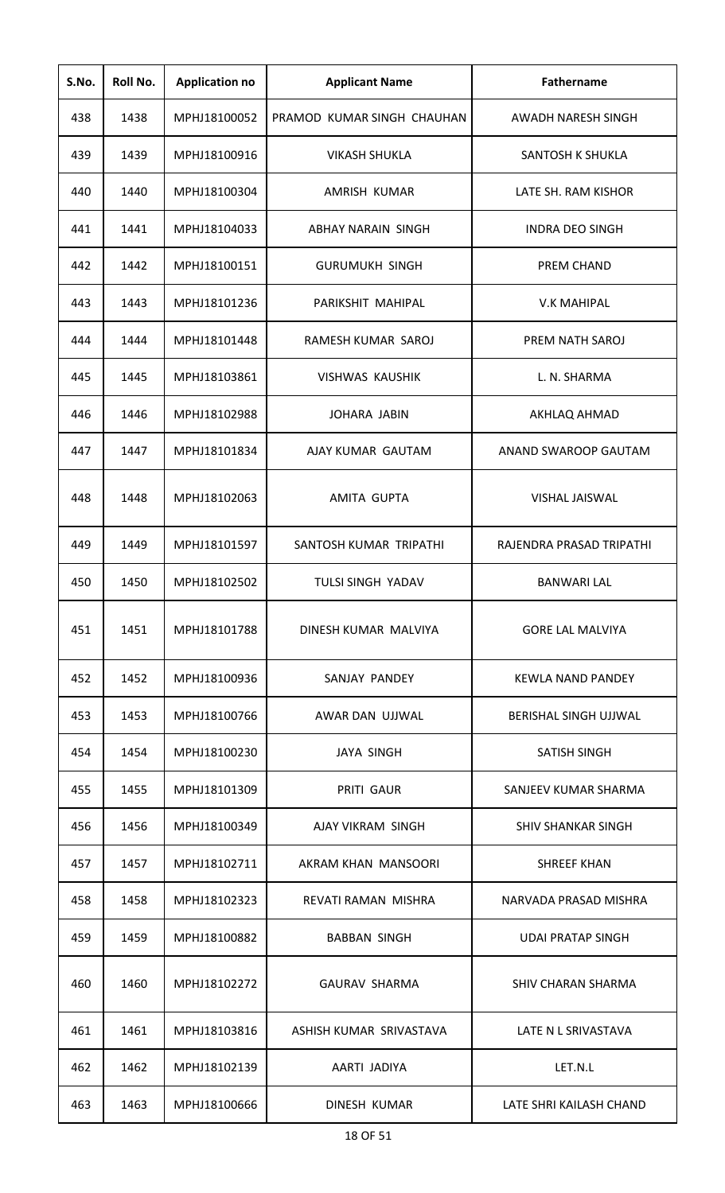| S.No. | Roll No. | <b>Application no</b> | <b>Applicant Name</b>      | Fathername                |
|-------|----------|-----------------------|----------------------------|---------------------------|
| 438   | 1438     | MPHJ18100052          | PRAMOD KUMAR SINGH CHAUHAN | AWADH NARESH SINGH        |
| 439   | 1439     | MPHJ18100916          | <b>VIKASH SHUKLA</b>       | SANTOSH K SHUKLA          |
| 440   | 1440     | MPHJ18100304          | AMRISH KUMAR               | LATE SH. RAM KISHOR       |
| 441   | 1441     | MPHJ18104033          | ABHAY NARAIN SINGH         | <b>INDRA DEO SINGH</b>    |
| 442   | 1442     | MPHJ18100151          | <b>GURUMUKH SINGH</b>      | PREM CHAND                |
| 443   | 1443     | MPHJ18101236          | PARIKSHIT MAHIPAL          | <b>V.K MAHIPAL</b>        |
| 444   | 1444     | MPHJ18101448          | RAMESH KUMAR SAROJ         | PREM NATH SAROJ           |
| 445   | 1445     | MPHJ18103861          | <b>VISHWAS KAUSHIK</b>     | L. N. SHARMA              |
| 446   | 1446     | MPHJ18102988          | <b>JOHARA JABIN</b>        | AKHLAQ AHMAD              |
| 447   | 1447     | MPHJ18101834          | AJAY KUMAR GAUTAM          | ANAND SWAROOP GAUTAM      |
| 448   | 1448     | MPHJ18102063          | AMITA GUPTA                | <b>VISHAL JAISWAL</b>     |
| 449   | 1449     | MPHJ18101597          | SANTOSH KUMAR TRIPATHI     | RAJENDRA PRASAD TRIPATHI  |
| 450   | 1450     | MPHJ18102502          | <b>TULSI SINGH YADAV</b>   | <b>BANWARI LAL</b>        |
| 451   | 1451     | MPHJ18101788          | DINESH KUMAR MALVIYA       | <b>GORE LAL MALVIYA</b>   |
| 452   | 1452     | MPHJ18100936          | SANJAY PANDEY              | KEWLA NAND PANDEY         |
| 453   | 1453     | MPHJ18100766          | AWAR DAN UJJWAL            | BERISHAL SINGH UJJWAL     |
| 454   | 1454     | MPHJ18100230          | <b>JAYA SINGH</b>          | SATISH SINGH              |
| 455   | 1455     | MPHJ18101309          | PRITI GAUR                 | SANJEEV KUMAR SHARMA      |
| 456   | 1456     | MPHJ18100349          | AJAY VIKRAM SINGH          | <b>SHIV SHANKAR SINGH</b> |
| 457   | 1457     | MPHJ18102711          | AKRAM KHAN MANSOORI        | <b>SHREEF KHAN</b>        |
| 458   | 1458     | MPHJ18102323          | REVATI RAMAN MISHRA        | NARVADA PRASAD MISHRA     |
| 459   | 1459     | MPHJ18100882          | <b>BABBAN SINGH</b>        | <b>UDAI PRATAP SINGH</b>  |
| 460   | 1460     | MPHJ18102272          | <b>GAURAV SHARMA</b>       | <b>SHIV CHARAN SHARMA</b> |
| 461   | 1461     | MPHJ18103816          | ASHISH KUMAR SRIVASTAVA    | LATE N L SRIVASTAVA       |
| 462   | 1462     | MPHJ18102139          | AARTI JADIYA               | LET.N.L                   |
| 463   | 1463     | MPHJ18100666          | DINESH KUMAR               | LATE SHRI KAILASH CHAND   |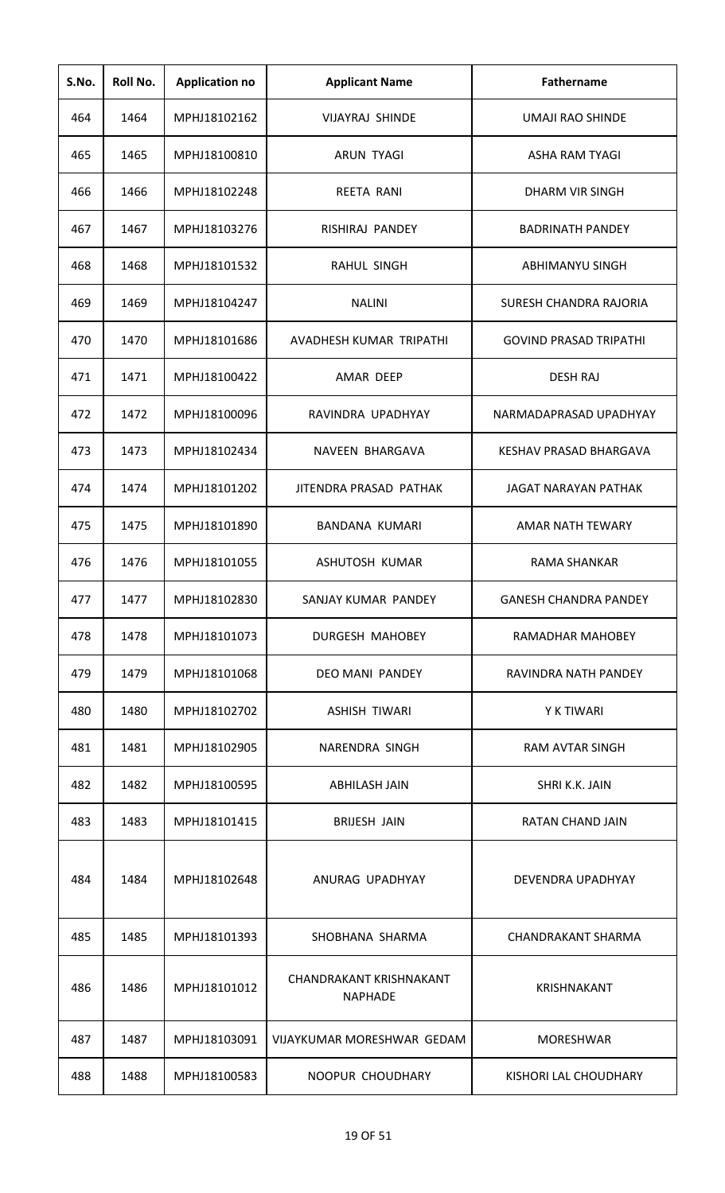| S.No. | Roll No. | <b>Application no</b> | <b>Applicant Name</b>                            | <b>Fathername</b>             |
|-------|----------|-----------------------|--------------------------------------------------|-------------------------------|
| 464   | 1464     | MPHJ18102162          | <b>VIJAYRAJ SHINDE</b>                           | UMAJI RAO SHINDE              |
| 465   | 1465     | MPHJ18100810          | <b>ARUN TYAGI</b>                                | <b>ASHA RAM TYAGI</b>         |
| 466   | 1466     | MPHJ18102248          | REETA RANI                                       | <b>DHARM VIR SINGH</b>        |
| 467   | 1467     | MPHJ18103276          | RISHIRAJ PANDEY                                  | <b>BADRINATH PANDEY</b>       |
| 468   | 1468     | MPHJ18101532          | <b>RAHUL SINGH</b>                               | ABHIMANYU SINGH               |
| 469   | 1469     | MPHJ18104247          | <b>NALINI</b>                                    | SURESH CHANDRA RAJORIA        |
| 470   | 1470     | MPHJ18101686          | AVADHESH KUMAR TRIPATHI                          | <b>GOVIND PRASAD TRIPATHI</b> |
| 471   | 1471     | MPHJ18100422          | AMAR DEEP                                        | <b>DESH RAJ</b>               |
| 472   | 1472     | MPHJ18100096          | RAVINDRA UPADHYAY                                | NARMADAPRASAD UPADHYAY        |
| 473   | 1473     | MPHJ18102434          | NAVEEN BHARGAVA                                  | <b>KESHAV PRASAD BHARGAVA</b> |
| 474   | 1474     | MPHJ18101202          | JITENDRA PRASAD PATHAK                           | <b>JAGAT NARAYAN PATHAK</b>   |
| 475   | 1475     | MPHJ18101890          | BANDANA KUMARI                                   | <b>AMAR NATH TEWARY</b>       |
| 476   | 1476     | MPHJ18101055          | ASHUTOSH KUMAR                                   | <b>RAMA SHANKAR</b>           |
| 477   | 1477     | MPHJ18102830          | SANJAY KUMAR PANDEY                              | <b>GANESH CHANDRA PANDEY</b>  |
| 478   | 1478     | MPHJ18101073          | <b>DURGESH MAHOBEY</b>                           | RAMADHAR MAHOBEY              |
| 479   | 1479     | MPHJ18101068          | DEO MANI PANDEY                                  | RAVINDRA NATH PANDEY          |
| 480   | 1480     | MPHJ18102702          | ASHISH TIWARI                                    | Y K TIWARI                    |
| 481   | 1481     | MPHJ18102905          | NARENDRA SINGH                                   | RAM AVTAR SINGH               |
| 482   | 1482     | MPHJ18100595          | <b>ABHILASH JAIN</b>                             | SHRI K.K. JAIN                |
| 483   | 1483     | MPHJ18101415          | <b>BRIJESH JAIN</b>                              | RATAN CHAND JAIN              |
| 484   | 1484     | MPHJ18102648          | ANURAG UPADHYAY                                  | DEVENDRA UPADHYAY             |
| 485   | 1485     | MPHJ18101393          | SHOBHANA SHARMA                                  | <b>CHANDRAKANT SHARMA</b>     |
| 486   | 1486     | MPHJ18101012          | <b>CHANDRAKANT KRISHNAKANT</b><br><b>NAPHADE</b> | <b>KRISHNAKANT</b>            |
| 487   | 1487     | MPHJ18103091          | VIJAYKUMAR MORESHWAR GEDAM                       | MORESHWAR                     |
| 488   | 1488     | MPHJ18100583          | NOOPUR CHOUDHARY                                 | KISHORI LAL CHOUDHARY         |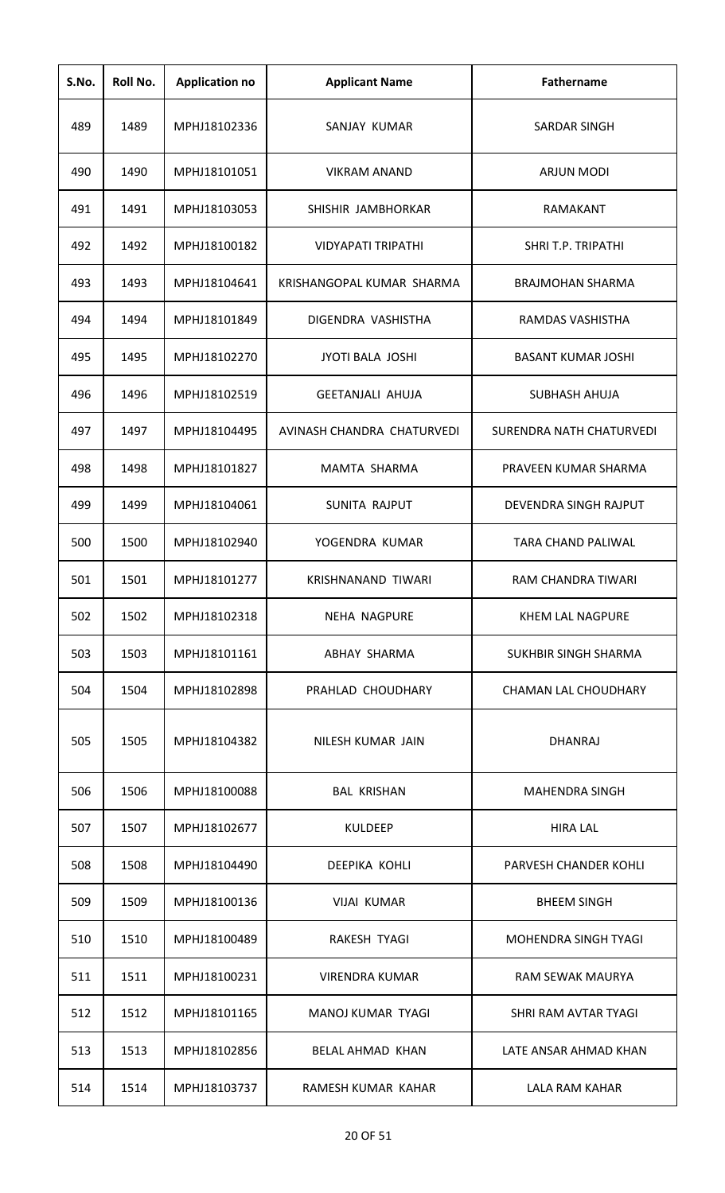| S.No. | Roll No. | <b>Application no</b> | <b>Applicant Name</b>      | <b>Fathername</b>           |
|-------|----------|-----------------------|----------------------------|-----------------------------|
| 489   | 1489     | MPHJ18102336          | SANJAY KUMAR               | <b>SARDAR SINGH</b>         |
| 490   | 1490     | MPHJ18101051          | <b>VIKRAM ANAND</b>        | ARJUN MODI                  |
| 491   | 1491     | MPHJ18103053          | SHISHIR JAMBHORKAR         | RAMAKANT                    |
| 492   | 1492     | MPHJ18100182          | <b>VIDYAPATI TRIPATHI</b>  | SHRI T.P. TRIPATHI          |
| 493   | 1493     | MPHJ18104641          | KRISHANGOPAL KUMAR SHARMA  | <b>BRAJMOHAN SHARMA</b>     |
| 494   | 1494     | MPHJ18101849          | DIGENDRA VASHISTHA         | RAMDAS VASHISTHA            |
| 495   | 1495     | MPHJ18102270          | <b>JYOTI BALA JOSHI</b>    | <b>BASANT KUMAR JOSHI</b>   |
| 496   | 1496     | MPHJ18102519          | <b>GEETANJALI AHUJA</b>    | <b>SUBHASH AHUJA</b>        |
| 497   | 1497     | MPHJ18104495          | AVINASH CHANDRA CHATURVEDI | SURENDRA NATH CHATURVEDI    |
| 498   | 1498     | MPHJ18101827          | MAMTA SHARMA               | PRAVEEN KUMAR SHARMA        |
| 499   | 1499     | MPHJ18104061          | SUNITA RAJPUT              | DEVENDRA SINGH RAJPUT       |
| 500   | 1500     | MPHJ18102940          | YOGENDRA KUMAR             | <b>TARA CHAND PALIWAL</b>   |
| 501   | 1501     | MPHJ18101277          | <b>KRISHNANAND TIWARI</b>  | RAM CHANDRA TIWARI          |
| 502   | 1502     | MPHJ18102318          | <b>NEHA NAGPURE</b>        | KHEM LAL NAGPURE            |
| 503   | 1503     | MPHJ18101161          | ABHAY SHARMA               | <b>SUKHBIR SINGH SHARMA</b> |
| 504   | 1504     | MPHJ18102898          | PRAHLAD CHOUDHARY          | <b>CHAMAN LAL CHOUDHARY</b> |
| 505   | 1505     | MPHJ18104382          | NILESH KUMAR JAIN          | <b>DHANRAJ</b>              |
| 506   | 1506     | MPHJ18100088          | <b>BAL KRISHAN</b>         | <b>MAHENDRA SINGH</b>       |
| 507   | 1507     | MPHJ18102677          | <b>KULDEEP</b>             | <b>HIRA LAL</b>             |
| 508   | 1508     | MPHJ18104490          | DEEPIKA KOHLI              | PARVESH CHANDER KOHLI       |
| 509   | 1509     | MPHJ18100136          | <b>VIJAI KUMAR</b>         | <b>BHEEM SINGH</b>          |
| 510   | 1510     | MPHJ18100489          | RAKESH TYAGI               | <b>MOHENDRA SINGH TYAGI</b> |
| 511   | 1511     | MPHJ18100231          | VIRENDRA KUMAR             | <b>RAM SEWAK MAURYA</b>     |
| 512   | 1512     | MPHJ18101165          | MANOJ KUMAR TYAGI          | SHRI RAM AVTAR TYAGI        |
| 513   | 1513     | MPHJ18102856          | <b>BELAL AHMAD KHAN</b>    | LATE ANSAR AHMAD KHAN       |
| 514   | 1514     | MPHJ18103737          | RAMESH KUMAR KAHAR         | LALA RAM KAHAR              |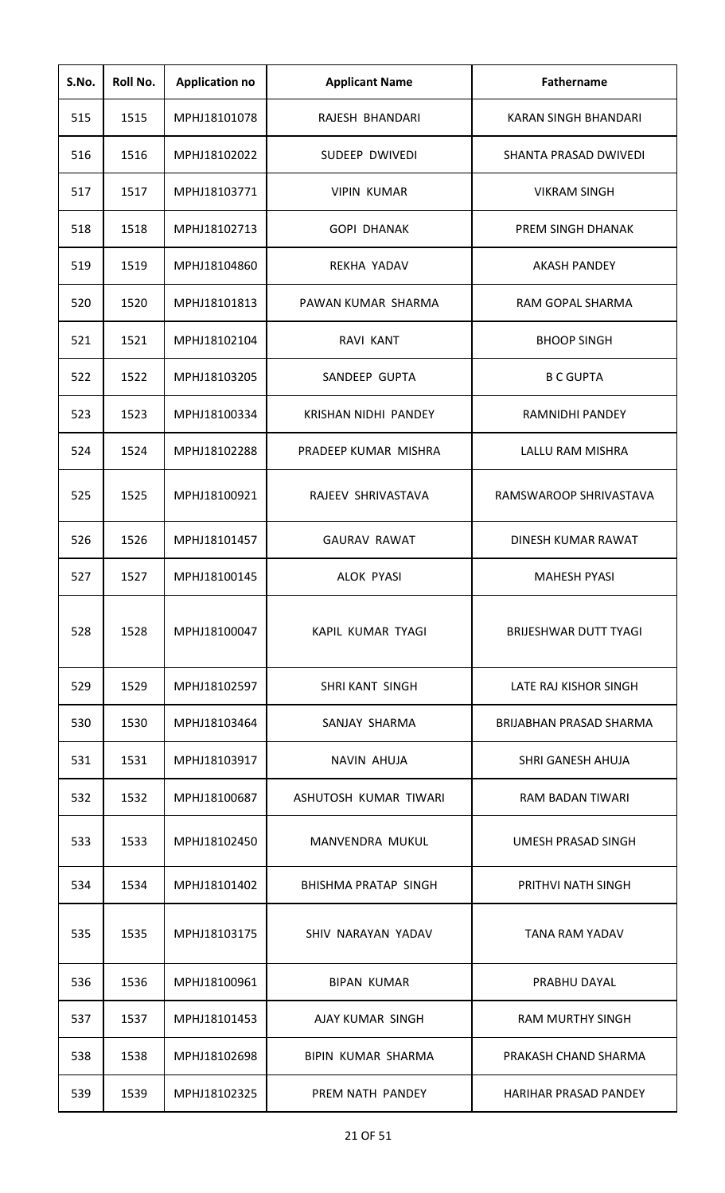| S.No. | Roll No. | <b>Application no</b> | <b>Applicant Name</b>       | <b>Fathername</b>              |
|-------|----------|-----------------------|-----------------------------|--------------------------------|
| 515   | 1515     | MPHJ18101078          | RAJESH BHANDARI             | KARAN SINGH BHANDARI           |
| 516   | 1516     | MPHJ18102022          | SUDEEP DWIVEDI              | SHANTA PRASAD DWIVEDI          |
| 517   | 1517     | MPHJ18103771          | <b>VIPIN KUMAR</b>          | <b>VIKRAM SINGH</b>            |
| 518   | 1518     | MPHJ18102713          | <b>GOPI DHANAK</b>          | PREM SINGH DHANAK              |
| 519   | 1519     | MPHJ18104860          | REKHA YADAV                 | <b>AKASH PANDEY</b>            |
| 520   | 1520     | MPHJ18101813          | PAWAN KUMAR SHARMA          | RAM GOPAL SHARMA               |
| 521   | 1521     | MPHJ18102104          | <b>RAVI KANT</b>            | <b>BHOOP SINGH</b>             |
| 522   | 1522     | MPHJ18103205          | SANDEEP GUPTA               | <b>B C GUPTA</b>               |
| 523   | 1523     | MPHJ18100334          | KRISHAN NIDHI PANDEY        | RAMNIDHI PANDEY                |
| 524   | 1524     | MPHJ18102288          | PRADEEP KUMAR MISHRA        | LALLU RAM MISHRA               |
| 525   | 1525     | MPHJ18100921          | RAJEEV SHRIVASTAVA          | RAMSWAROOP SHRIVASTAVA         |
| 526   | 1526     | MPHJ18101457          | <b>GAURAV RAWAT</b>         | DINESH KUMAR RAWAT             |
| 527   | 1527     | MPHJ18100145          | <b>ALOK PYASI</b>           | <b>MAHESH PYASI</b>            |
| 528   | 1528     | MPHJ18100047          | KAPIL KUMAR TYAGI           | BRIJESHWAR DUTT TYAGI          |
| 529   | 1529     | MPHJ18102597          | <b>SHRI KANT SINGH</b>      | LATE RAJ KISHOR SINGH          |
| 530   | 1530     | MPHJ18103464          | SANJAY SHARMA               | <b>BRIJABHAN PRASAD SHARMA</b> |
| 531   | 1531     | MPHJ18103917          | <b>NAVIN AHUJA</b>          | SHRI GANESH AHUJA              |
| 532   | 1532     | MPHJ18100687          | ASHUTOSH KUMAR TIWARI       | <b>RAM BADAN TIWARI</b>        |
| 533   | 1533     | MPHJ18102450          | MANVENDRA MUKUL             | UMESH PRASAD SINGH             |
| 534   | 1534     | MPHJ18101402          | <b>BHISHMA PRATAP SINGH</b> | PRITHVI NATH SINGH             |
| 535   | 1535     | MPHJ18103175          | SHIV NARAYAN YADAV          | <b>TANA RAM YADAV</b>          |
| 536   | 1536     | MPHJ18100961          | <b>BIPAN KUMAR</b>          | PRABHU DAYAL                   |
| 537   | 1537     | MPHJ18101453          | AJAY KUMAR SINGH            | <b>RAM MURTHY SINGH</b>        |
| 538   | 1538     | MPHJ18102698          | BIPIN KUMAR SHARMA          | PRAKASH CHAND SHARMA           |
| 539   | 1539     | MPHJ18102325          | PREM NATH PANDEY            | <b>HARIHAR PRASAD PANDEY</b>   |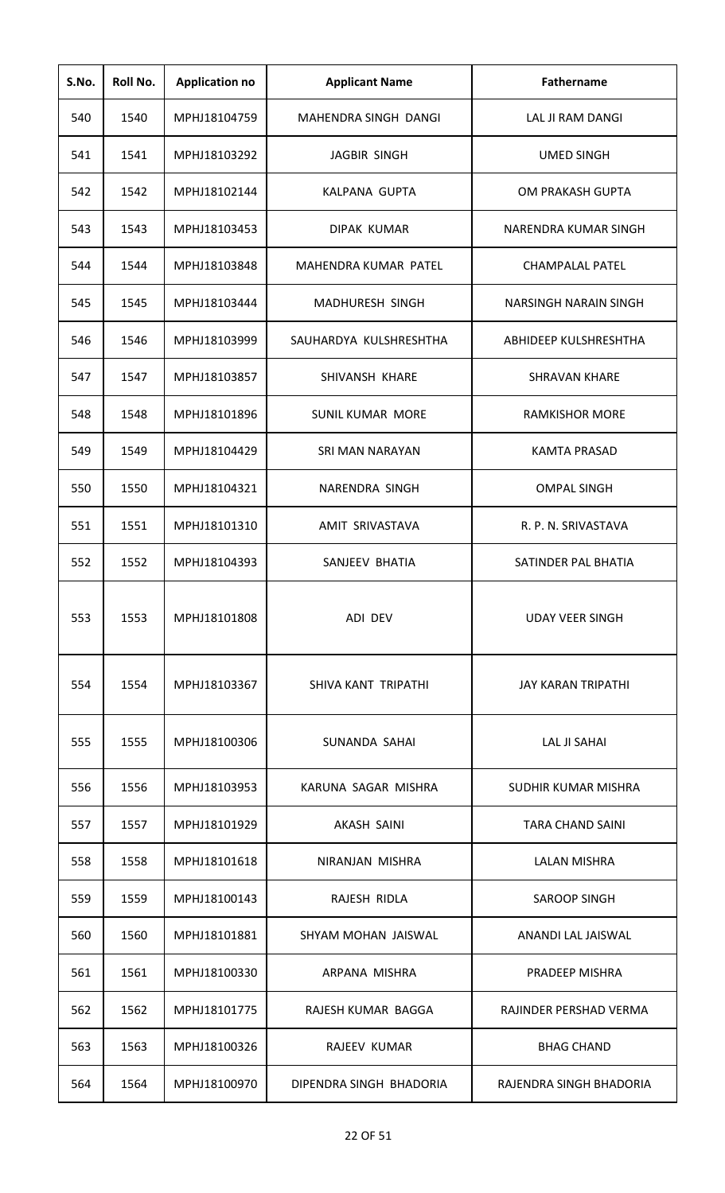| S.No. | Roll No. | <b>Application no</b> | <b>Applicant Name</b>   | <b>Fathername</b>            |
|-------|----------|-----------------------|-------------------------|------------------------------|
| 540   | 1540     | MPHJ18104759          | MAHENDRA SINGH DANGI    | LAL JI RAM DANGI             |
| 541   | 1541     | MPHJ18103292          | JAGBIR SINGH            | <b>UMED SINGH</b>            |
| 542   | 1542     | MPHJ18102144          | KALPANA GUPTA           | OM PRAKASH GUPTA             |
| 543   | 1543     | MPHJ18103453          | DIPAK KUMAR             | NARENDRA KUMAR SINGH         |
| 544   | 1544     | MPHJ18103848          | MAHENDRA KUMAR PATEL    | <b>CHAMPALAL PATEL</b>       |
| 545   | 1545     | MPHJ18103444          | <b>MADHURESH SINGH</b>  | <b>NARSINGH NARAIN SINGH</b> |
| 546   | 1546     | MPHJ18103999          | SAUHARDYA KULSHRESHTHA  | ABHIDEEP KULSHRESHTHA        |
| 547   | 1547     | MPHJ18103857          | SHIVANSH KHARE          | <b>SHRAVAN KHARE</b>         |
| 548   | 1548     | MPHJ18101896          | <b>SUNIL KUMAR MORE</b> | <b>RAMKISHOR MORE</b>        |
| 549   | 1549     | MPHJ18104429          | SRI MAN NARAYAN         | <b>KAMTA PRASAD</b>          |
| 550   | 1550     | MPHJ18104321          | NARENDRA SINGH          | <b>OMPAL SINGH</b>           |
| 551   | 1551     | MPHJ18101310          | AMIT SRIVASTAVA         | R. P. N. SRIVASTAVA          |
| 552   | 1552     | MPHJ18104393          | SANJEEV BHATIA          | SATINDER PAL BHATIA          |
| 553   | 1553     | MPHJ18101808          | ADI DEV                 | <b>UDAY VEER SINGH</b>       |
| 554   | 1554     | MPHJ18103367          | SHIVA KANT TRIPATHI     | <b>JAY KARAN TRIPATHI</b>    |
| 555   | 1555     | MPHJ18100306          | SUNANDA SAHAI           | LAL JI SAHAI                 |
| 556   | 1556     | MPHJ18103953          | KARUNA SAGAR MISHRA     | SUDHIR KUMAR MISHRA          |
| 557   | 1557     | MPHJ18101929          | <b>AKASH SAINI</b>      | <b>TARA CHAND SAINI</b>      |
| 558   | 1558     | MPHJ18101618          | NIRANJAN MISHRA         | <b>LALAN MISHRA</b>          |
| 559   | 1559     | MPHJ18100143          | RAJESH RIDLA            | <b>SAROOP SINGH</b>          |
| 560   | 1560     | MPHJ18101881          | SHYAM MOHAN JAISWAL     | ANANDI LAL JAISWAL           |
| 561   | 1561     | MPHJ18100330          | ARPANA MISHRA           | PRADEEP MISHRA               |
| 562   | 1562     | MPHJ18101775          | RAJESH KUMAR BAGGA      | RAJINDER PERSHAD VERMA       |
| 563   | 1563     | MPHJ18100326          | RAJEEV KUMAR            | <b>BHAG CHAND</b>            |
| 564   | 1564     | MPHJ18100970          | DIPENDRA SINGH BHADORIA | RAJENDRA SINGH BHADORIA      |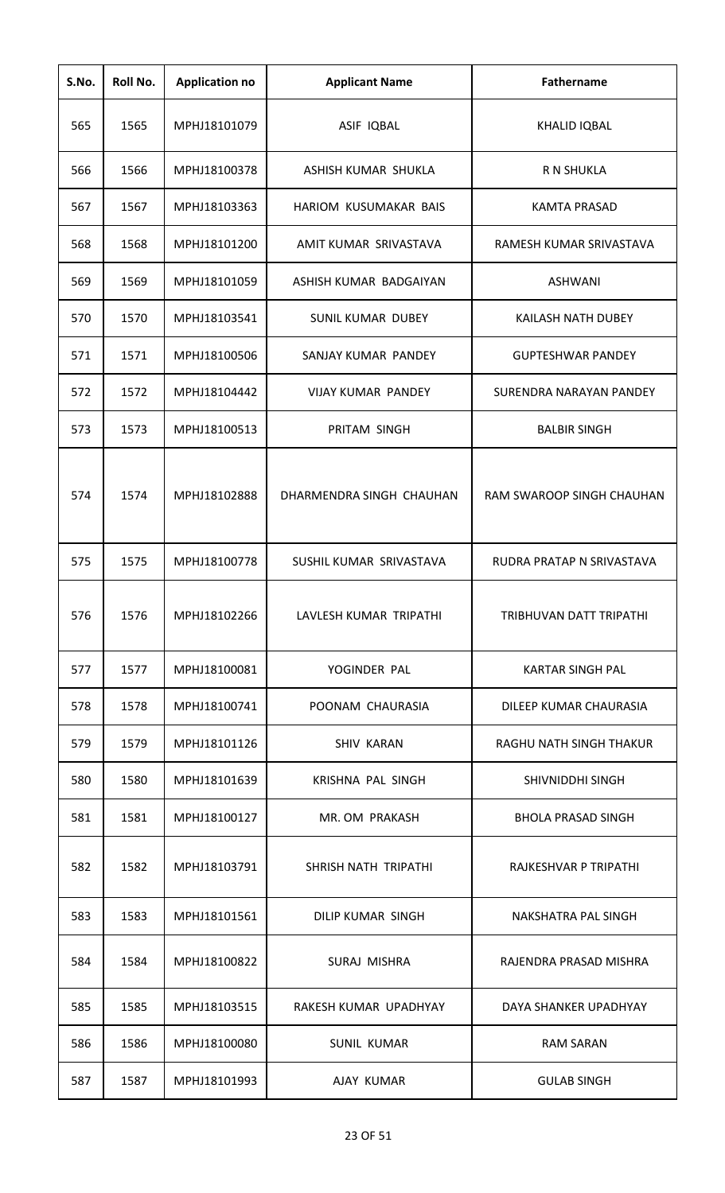| S.No. | Roll No. | <b>Application no</b> | <b>Applicant Name</b>     | <b>Fathername</b>         |
|-------|----------|-----------------------|---------------------------|---------------------------|
| 565   | 1565     | MPHJ18101079          | ASIF IQBAL                | <b>KHALID IQBAL</b>       |
| 566   | 1566     | MPHJ18100378          | ASHISH KUMAR SHUKLA       | R N SHUKLA                |
| 567   | 1567     | MPHJ18103363          | HARIOM KUSUMAKAR BAIS     | <b>KAMTA PRASAD</b>       |
| 568   | 1568     | MPHJ18101200          | AMIT KUMAR SRIVASTAVA     | RAMESH KUMAR SRIVASTAVA   |
| 569   | 1569     | MPHJ18101059          | ASHISH KUMAR BADGAIYAN    | <b>ASHWANI</b>            |
| 570   | 1570     | MPHJ18103541          | <b>SUNIL KUMAR DUBEY</b>  | KAILASH NATH DUBEY        |
| 571   | 1571     | MPHJ18100506          | SANJAY KUMAR PANDEY       | <b>GUPTESHWAR PANDEY</b>  |
| 572   | 1572     | MPHJ18104442          | <b>VIJAY KUMAR PANDEY</b> | SURENDRA NARAYAN PANDEY   |
| 573   | 1573     | MPHJ18100513          | PRITAM SINGH              | <b>BALBIR SINGH</b>       |
| 574   | 1574     | MPHJ18102888          | DHARMENDRA SINGH CHAUHAN  | RAM SWAROOP SINGH CHAUHAN |
| 575   | 1575     | MPHJ18100778          | SUSHIL KUMAR SRIVASTAVA   | RUDRA PRATAP N SRIVASTAVA |
| 576   | 1576     | MPHJ18102266          | LAVLESH KUMAR TRIPATHI    | TRIBHUVAN DATT TRIPATHI   |
| 577   | 1577     | MPHJ18100081          | YOGINDER PAL              | <b>KARTAR SINGH PAL</b>   |
| 578   | 1578     | MPHJ18100741          | POONAM CHAURASIA          | DILEEP KUMAR CHAURASIA    |
| 579   | 1579     | MPHJ18101126          | <b>SHIV KARAN</b>         | RAGHU NATH SINGH THAKUR   |
| 580   | 1580     | MPHJ18101639          | KRISHNA PAL SINGH         | SHIVNIDDHI SINGH          |
| 581   | 1581     | MPHJ18100127          | MR. OM PRAKASH            | <b>BHOLA PRASAD SINGH</b> |
| 582   | 1582     | MPHJ18103791          | SHRISH NATH TRIPATHI      | RAJKESHVAR P TRIPATHI     |
| 583   | 1583     | MPHJ18101561          | DILIP KUMAR SINGH         | NAKSHATRA PAL SINGH       |
| 584   | 1584     | MPHJ18100822          | SURAJ MISHRA              | RAJENDRA PRASAD MISHRA    |
| 585   | 1585     | MPHJ18103515          | RAKESH KUMAR UPADHYAY     | DAYA SHANKER UPADHYAY     |
| 586   | 1586     | MPHJ18100080          | <b>SUNIL KUMAR</b>        | <b>RAM SARAN</b>          |
| 587   | 1587     | MPHJ18101993          | AJAY KUMAR                | <b>GULAB SINGH</b>        |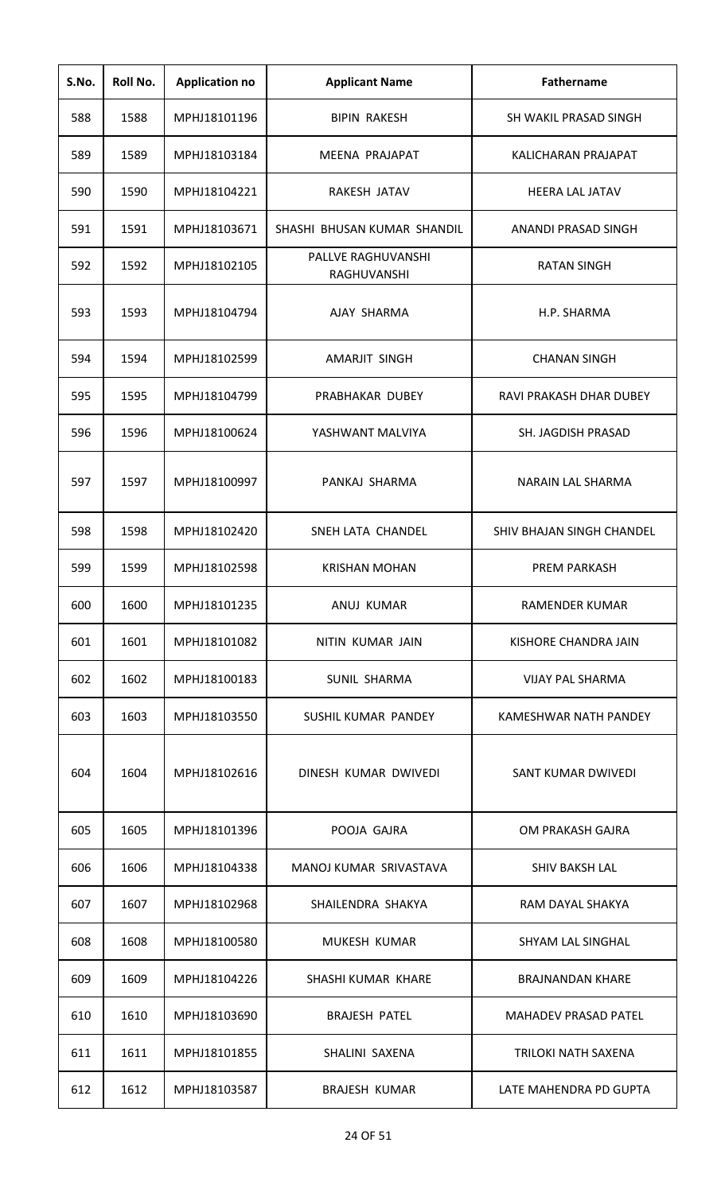| S.No. | Roll No. | <b>Application no</b> | <b>Applicant Name</b>             | <b>Fathername</b>           |
|-------|----------|-----------------------|-----------------------------------|-----------------------------|
| 588   | 1588     | MPHJ18101196          | <b>BIPIN RAKESH</b>               | SH WAKIL PRASAD SINGH       |
| 589   | 1589     | MPHJ18103184          | MEENA PRAJAPAT                    | KALICHARAN PRAJAPAT         |
| 590   | 1590     | MPHJ18104221          | RAKESH JATAV                      | <b>HEERA LAL JATAV</b>      |
| 591   | 1591     | MPHJ18103671          | SHASHI BHUSAN KUMAR SHANDIL       | ANANDI PRASAD SINGH         |
| 592   | 1592     | MPHJ18102105          | PALLVE RAGHUVANSHI<br>RAGHUVANSHI | <b>RATAN SINGH</b>          |
| 593   | 1593     | MPHJ18104794          | AJAY SHARMA                       | H.P. SHARMA                 |
| 594   | 1594     | MPHJ18102599          | AMARJIT SINGH                     | <b>CHANAN SINGH</b>         |
| 595   | 1595     | MPHJ18104799          | PRABHAKAR DUBEY                   | RAVI PRAKASH DHAR DUBEY     |
| 596   | 1596     | MPHJ18100624          | YASHWANT MALVIYA                  | SH. JAGDISH PRASAD          |
| 597   | 1597     | MPHJ18100997          | PANKAJ SHARMA                     | <b>NARAIN LAL SHARMA</b>    |
| 598   | 1598     | MPHJ18102420          | SNEH LATA CHANDEL                 | SHIV BHAJAN SINGH CHANDEL   |
| 599   | 1599     | MPHJ18102598          | <b>KRISHAN MOHAN</b>              | <b>PREM PARKASH</b>         |
| 600   | 1600     | MPHJ18101235          | ANUJ KUMAR                        | RAMENDER KUMAR              |
| 601   | 1601     | MPHJ18101082          | NITIN KUMAR JAIN                  | KISHORE CHANDRA JAIN        |
| 602   | 1602     | MPHJ18100183          | SUNIL SHARMA                      | <b>VIJAY PAL SHARMA</b>     |
| 603   | 1603     | MPHJ18103550          | SUSHIL KUMAR PANDEY               | KAMESHWAR NATH PANDEY       |
| 604   | 1604     | MPHJ18102616          | DINESH KUMAR DWIVEDI              | SANT KUMAR DWIVEDI          |
| 605   | 1605     | MPHJ18101396          | POOJA GAJRA                       | OM PRAKASH GAJRA            |
| 606   | 1606     | MPHJ18104338          | MANOJ KUMAR SRIVASTAVA            | <b>SHIV BAKSH LAL</b>       |
| 607   | 1607     | MPHJ18102968          | SHAILENDRA SHAKYA                 | RAM DAYAL SHAKYA            |
| 608   | 1608     | MPHJ18100580          | MUKESH KUMAR                      | <b>SHYAM LAL SINGHAL</b>    |
| 609   | 1609     | MPHJ18104226          | SHASHI KUMAR KHARE                | <b>BRAJNANDAN KHARE</b>     |
| 610   | 1610     | MPHJ18103690          | <b>BRAJESH PATEL</b>              | <b>MAHADEV PRASAD PATEL</b> |
| 611   | 1611     | MPHJ18101855          | SHALINI SAXENA                    | TRILOKI NATH SAXENA         |
| 612   | 1612     | MPHJ18103587          | <b>BRAJESH KUMAR</b>              | LATE MAHENDRA PD GUPTA      |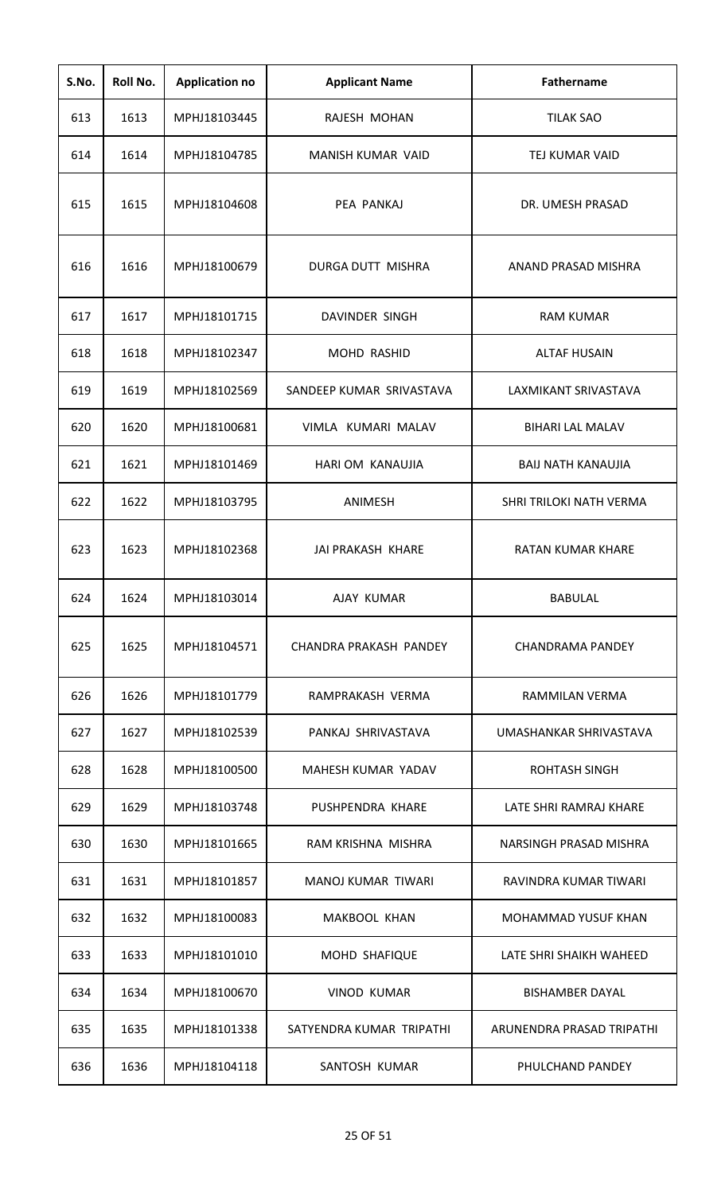| S.No. | Roll No. | <b>Application no</b> | <b>Applicant Name</b>     | <b>Fathername</b>         |
|-------|----------|-----------------------|---------------------------|---------------------------|
| 613   | 1613     | MPHJ18103445          | RAJESH MOHAN              | <b>TILAK SAO</b>          |
| 614   | 1614     | MPHJ18104785          | MANISH KUMAR VAID         | TEJ KUMAR VAID            |
| 615   | 1615     | MPHJ18104608          | PEA PANKAJ                | DR. UMESH PRASAD          |
| 616   | 1616     | MPHJ18100679          | DURGA DUTT MISHRA         | ANAND PRASAD MISHRA       |
| 617   | 1617     | MPHJ18101715          | DAVINDER SINGH            | <b>RAM KUMAR</b>          |
| 618   | 1618     | MPHJ18102347          | MOHD RASHID               | <b>ALTAF HUSAIN</b>       |
| 619   | 1619     | MPHJ18102569          | SANDEEP KUMAR SRIVASTAVA  | LAXMIKANT SRIVASTAVA      |
| 620   | 1620     | MPHJ18100681          | VIMLA KUMARI MALAV        | <b>BIHARI LAL MALAV</b>   |
| 621   | 1621     | MPHJ18101469          | HARI OM KANAUJIA          | <b>BAIJ NATH KANAUJIA</b> |
| 622   | 1622     | MPHJ18103795          | ANIMESH                   | SHRI TRILOKI NATH VERMA   |
| 623   | 1623     | MPHJ18102368          | JAI PRAKASH KHARE         | <b>RATAN KUMAR KHARE</b>  |
| 624   | 1624     | MPHJ18103014          | AJAY KUMAR                | <b>BABULAL</b>            |
| 625   | 1625     | MPHJ18104571          | CHANDRA PRAKASH PANDEY    | CHANDRAMA PANDEY          |
| 626   | 1626     | MPHJ18101779          | RAMPRAKASH VERMA          | RAMMILAN VERMA            |
| 627   | 1627     | MPHJ18102539          | PANKAJ SHRIVASTAVA        | UMASHANKAR SHRIVASTAVA    |
| 628   | 1628     | MPHJ18100500          | MAHESH KUMAR YADAV        | <b>ROHTASH SINGH</b>      |
| 629   | 1629     | MPHJ18103748          | PUSHPENDRA KHARE          | LATE SHRI RAMRAJ KHARE    |
| 630   | 1630     | MPHJ18101665          | RAM KRISHNA MISHRA        | NARSINGH PRASAD MISHRA    |
| 631   | 1631     | MPHJ18101857          | <b>MANOJ KUMAR TIWARI</b> | RAVINDRA KUMAR TIWARI     |
| 632   | 1632     | MPHJ18100083          | MAKBOOL KHAN              | MOHAMMAD YUSUF KHAN       |
| 633   | 1633     | MPHJ18101010          | MOHD SHAFIQUE             | LATE SHRI SHAIKH WAHEED   |
| 634   | 1634     | MPHJ18100670          | <b>VINOD KUMAR</b>        | <b>BISHAMBER DAYAL</b>    |
| 635   | 1635     | MPHJ18101338          | SATYENDRA KUMAR TRIPATHI  | ARUNENDRA PRASAD TRIPATHI |
| 636   | 1636     | MPHJ18104118          | SANTOSH KUMAR             | PHULCHAND PANDEY          |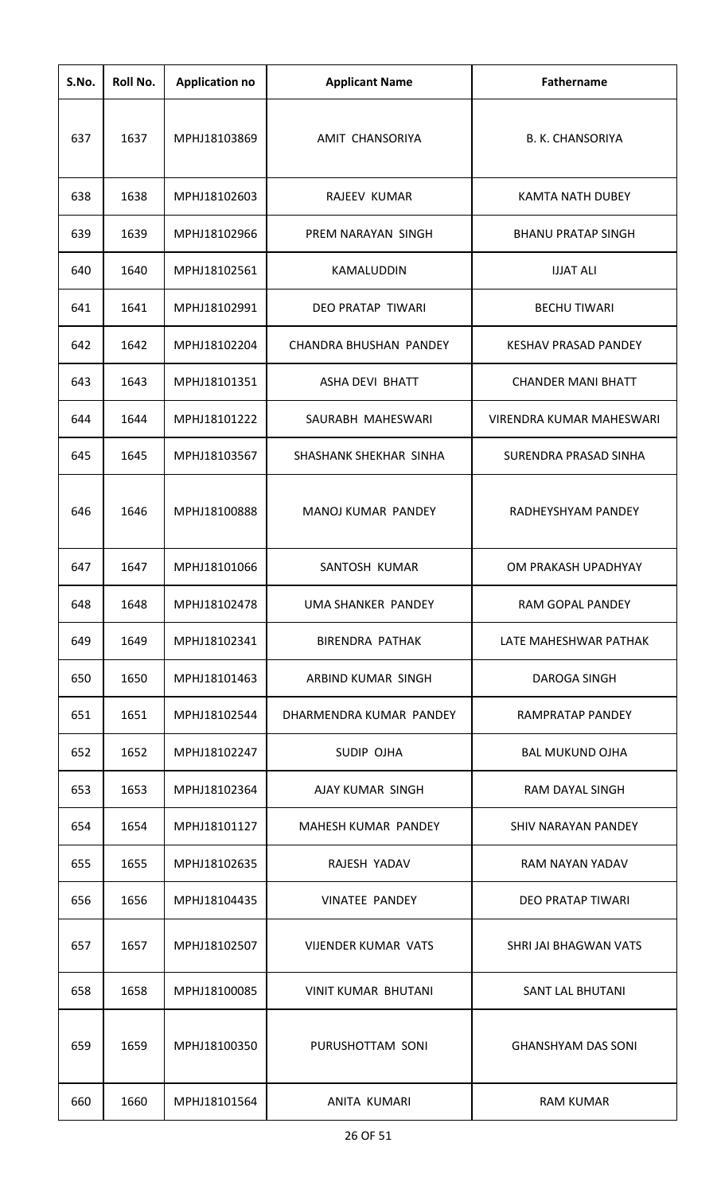| S.No. | Roll No. | <b>Application no</b> | <b>Applicant Name</b>         | <b>Fathername</b>           |
|-------|----------|-----------------------|-------------------------------|-----------------------------|
| 637   | 1637     | MPHJ18103869          | AMIT CHANSORIYA               | <b>B. K. CHANSORIYA</b>     |
| 638   | 1638     | MPHJ18102603          | <b>RAJEEV KUMAR</b>           | <b>KAMTA NATH DUBEY</b>     |
| 639   | 1639     | MPHJ18102966          | PREM NARAYAN SINGH            | <b>BHANU PRATAP SINGH</b>   |
| 640   | 1640     | MPHJ18102561          | KAMALUDDIN                    | <b>IJJAT ALI</b>            |
| 641   | 1641     | MPHJ18102991          | DEO PRATAP TIWARI             | <b>BECHU TIWARI</b>         |
| 642   | 1642     | MPHJ18102204          | <b>CHANDRA BHUSHAN PANDEY</b> | <b>KESHAV PRASAD PANDEY</b> |
| 643   | 1643     | MPHJ18101351          | <b>ASHA DEVI BHATT</b>        | <b>CHANDER MANI BHATT</b>   |
| 644   | 1644     | MPHJ18101222          | SAURABH MAHESWARI             | VIRENDRA KUMAR MAHESWARI    |
| 645   | 1645     | MPHJ18103567          | SHASHANK SHEKHAR SINHA        | SURENDRA PRASAD SINHA       |
| 646   | 1646     | MPHJ18100888          | MANOJ KUMAR PANDEY            | RADHEYSHYAM PANDEY          |
| 647   | 1647     | MPHJ18101066          | SANTOSH KUMAR                 | OM PRAKASH UPADHYAY         |
| 648   | 1648     | MPHJ18102478          | UMA SHANKER PANDEY            | RAM GOPAL PANDEY            |
| 649   | 1649     | MPHJ18102341          | <b>BIRENDRA PATHAK</b>        | LATE MAHESHWAR PATHAK       |
| 650   | 1650     | MPHJ18101463          | ARBIND KUMAR SINGH            | <b>DAROGA SINGH</b>         |
| 651   | 1651     | MPHJ18102544          | DHARMENDRA KUMAR PANDEY       | RAMPRATAP PANDEY            |
| 652   | 1652     | MPHJ18102247          | SUDIP OJHA                    | <b>BAL MUKUND OJHA</b>      |
| 653   | 1653     | MPHJ18102364          | AJAY KUMAR SINGH              | RAM DAYAL SINGH             |
| 654   | 1654     | MPHJ18101127          | MAHESH KUMAR PANDEY           | SHIV NARAYAN PANDEY         |
| 655   | 1655     | MPHJ18102635          | RAJESH YADAV                  | RAM NAYAN YADAV             |
| 656   | 1656     | MPHJ18104435          | <b>VINATEE PANDEY</b>         | DEO PRATAP TIWARI           |
| 657   | 1657     | MPHJ18102507          | <b>VIJENDER KUMAR VATS</b>    | SHRI JAI BHAGWAN VATS       |
| 658   | 1658     | MPHJ18100085          | <b>VINIT KUMAR BHUTANI</b>    | <b>SANT LAL BHUTANI</b>     |
| 659   | 1659     | MPHJ18100350          | PURUSHOTTAM SONI              | <b>GHANSHYAM DAS SONI</b>   |
| 660   | 1660     | MPHJ18101564          | ANITA KUMARI                  | <b>RAM KUMAR</b>            |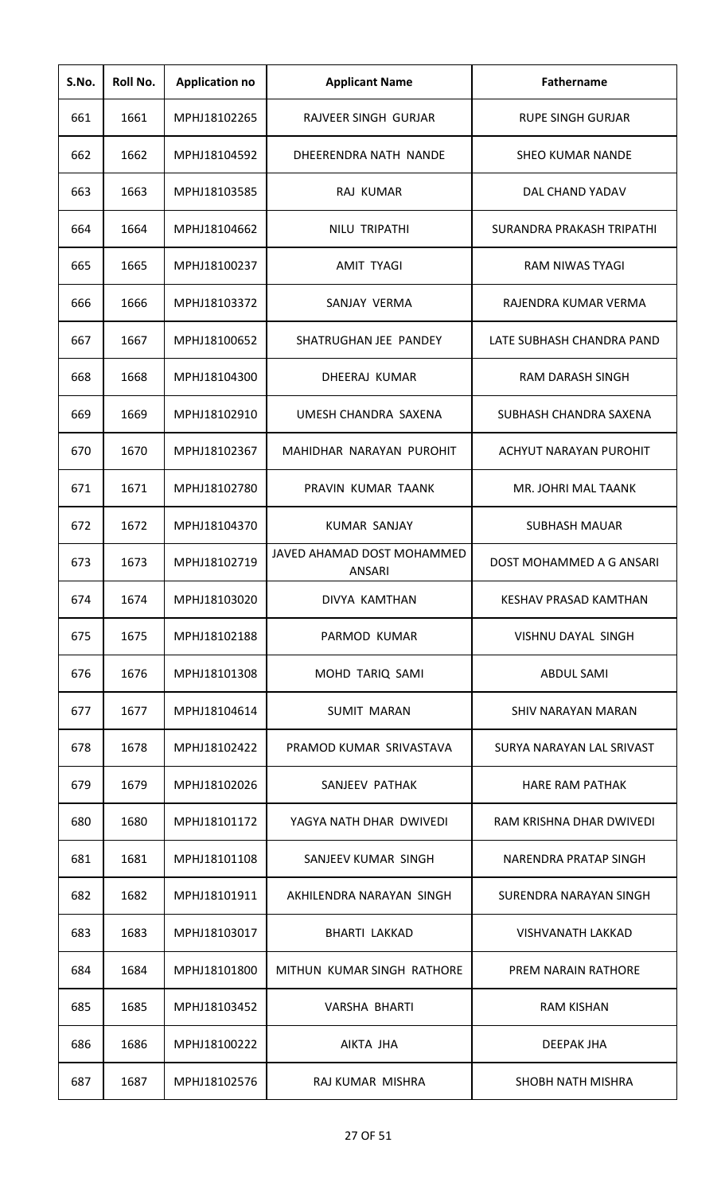| S.No. | Roll No. | <b>Application no</b> | <b>Applicant Name</b>                       | Fathername                   |
|-------|----------|-----------------------|---------------------------------------------|------------------------------|
| 661   | 1661     | MPHJ18102265          | RAJVEER SINGH GURJAR                        | RUPE SINGH GURJAR            |
| 662   | 1662     | MPHJ18104592          | DHEERENDRA NATH NANDE                       | <b>SHEO KUMAR NANDE</b>      |
| 663   | 1663     | MPHJ18103585          | RAJ KUMAR                                   | DAL CHAND YADAV              |
| 664   | 1664     | MPHJ18104662          | NILU TRIPATHI                               | SURANDRA PRAKASH TRIPATHI    |
| 665   | 1665     | MPHJ18100237          | <b>AMIT TYAGI</b>                           | RAM NIWAS TYAGI              |
| 666   | 1666     | MPHJ18103372          | SANJAY VERMA                                | RAJENDRA KUMAR VERMA         |
| 667   | 1667     | MPHJ18100652          | SHATRUGHAN JEE PANDEY                       | LATE SUBHASH CHANDRA PAND    |
| 668   | 1668     | MPHJ18104300          | DHEERAJ KUMAR                               | <b>RAM DARASH SINGH</b>      |
| 669   | 1669     | MPHJ18102910          | UMESH CHANDRA SAXENA                        | SUBHASH CHANDRA SAXENA       |
| 670   | 1670     | MPHJ18102367          | MAHIDHAR NARAYAN PUROHIT                    | ACHYUT NARAYAN PUROHIT       |
| 671   | 1671     | MPHJ18102780          | PRAVIN KUMAR TAANK                          | MR. JOHRI MAL TAANK          |
| 672   | 1672     | MPHJ18104370          | <b>KUMAR SANJAY</b>                         | <b>SUBHASH MAUAR</b>         |
| 673   | 1673     | MPHJ18102719          | JAVED AHAMAD DOST MOHAMMED<br><b>ANSARI</b> | DOST MOHAMMED A G ANSARI     |
| 674   | 1674     | MPHJ18103020          | DIVYA KAMTHAN                               | <b>KESHAV PRASAD KAMTHAN</b> |
| 675   | 1675     | MPHJ18102188          | PARMOD KUMAR                                | <b>VISHNU DAYAL SINGH</b>    |
| 676   | 1676     | MPHJ18101308          | MOHD TARIQ SAMI                             | <b>ABDUL SAMI</b>            |
| 677   | 1677     | MPHJ18104614          | <b>SUMIT MARAN</b>                          | SHIV NARAYAN MARAN           |
| 678   | 1678     | MPHJ18102422          | PRAMOD KUMAR SRIVASTAVA                     | SURYA NARAYAN LAL SRIVAST    |
| 679   | 1679     | MPHJ18102026          | SANJEEV PATHAK                              | <b>HARE RAM PATHAK</b>       |
| 680   | 1680     | MPHJ18101172          | YAGYA NATH DHAR DWIVEDI                     | RAM KRISHNA DHAR DWIVEDI     |
| 681   | 1681     | MPHJ18101108          | SANJEEV KUMAR SINGH                         | NARENDRA PRATAP SINGH        |
| 682   | 1682     | MPHJ18101911          | AKHILENDRA NARAYAN SINGH                    | SURENDRA NARAYAN SINGH       |
| 683   | 1683     | MPHJ18103017          | <b>BHARTI LAKKAD</b>                        | VISHVANATH LAKKAD            |
| 684   | 1684     | MPHJ18101800          | MITHUN KUMAR SINGH RATHORE                  | <b>PREM NARAIN RATHORE</b>   |
| 685   | 1685     | MPHJ18103452          | <b>VARSHA BHARTI</b>                        | <b>RAM KISHAN</b>            |
| 686   | 1686     | MPHJ18100222          | AIKTA JHA                                   | DEEPAK JHA                   |
| 687   | 1687     | MPHJ18102576          | RAJ KUMAR MISHRA                            | SHOBH NATH MISHRA            |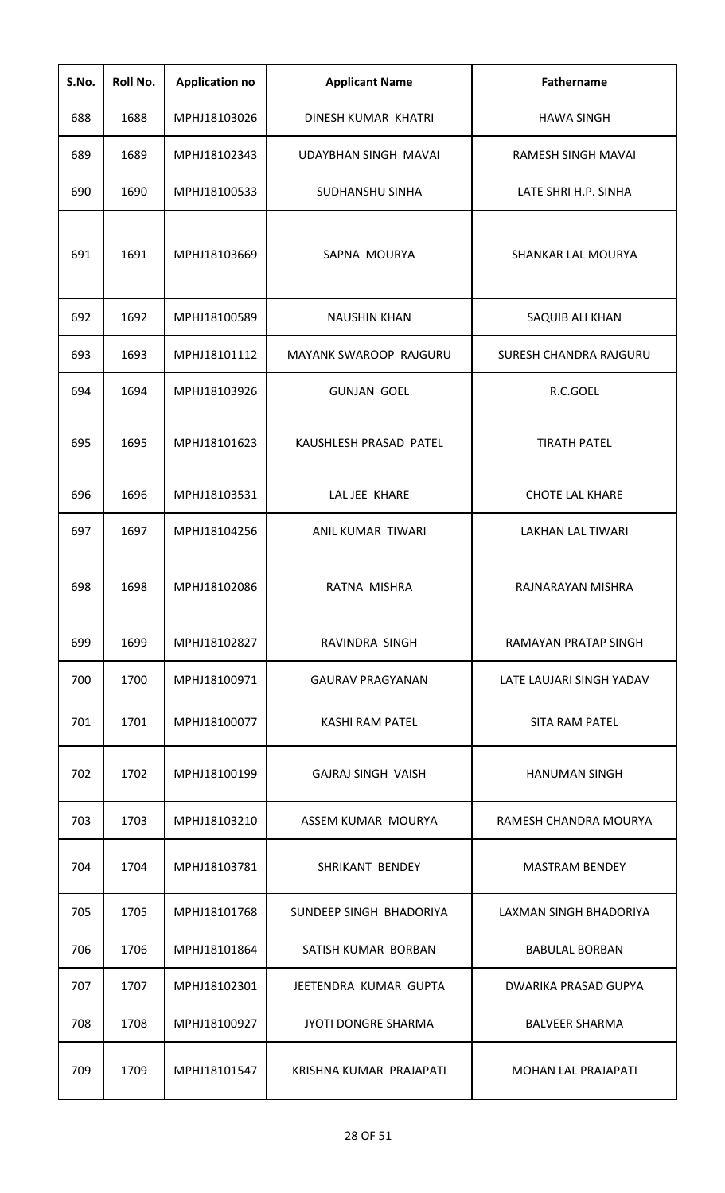| S.No. | Roll No. | <b>Application no</b> | <b>Applicant Name</b>      | <b>Fathername</b>          |
|-------|----------|-----------------------|----------------------------|----------------------------|
| 688   | 1688     | MPHJ18103026          | DINESH KUMAR KHATRI        | <b>HAWA SINGH</b>          |
| 689   | 1689     | MPHJ18102343          | UDAYBHAN SINGH MAVAI       | RAMESH SINGH MAVAI         |
| 690   | 1690     | MPHJ18100533          | SUDHANSHU SINHA            | LATE SHRI H.P. SINHA       |
| 691   | 1691     | MPHJ18103669          | SAPNA MOURYA               | SHANKAR LAL MOURYA         |
| 692   | 1692     | MPHJ18100589          | <b>NAUSHIN KHAN</b>        | SAQUIB ALI KHAN            |
| 693   | 1693     | MPHJ18101112          | MAYANK SWAROOP RAJGURU     | SURESH CHANDRA RAJGURU     |
| 694   | 1694     | MPHJ18103926          | <b>GUNJAN GOEL</b>         | R.C.GOEL                   |
| 695   | 1695     | MPHJ18101623          | KAUSHLESH PRASAD PATEL     | <b>TIRATH PATEL</b>        |
| 696   | 1696     | MPHJ18103531          | LAL JEE KHARE              | <b>CHOTE LAL KHARE</b>     |
| 697   | 1697     | MPHJ18104256          | ANIL KUMAR TIWARI          | <b>LAKHAN LAL TIWARI</b>   |
| 698   | 1698     | MPHJ18102086          | RATNA MISHRA               | RAJNARAYAN MISHRA          |
| 699   | 1699     | MPHJ18102827          | RAVINDRA SINGH             | RAMAYAN PRATAP SINGH       |
| 700   | 1700     | MPHJ18100971          | GAURAV PRAGYANAN           | LATE LAUJARI SINGH YADAV   |
| 701   | 1701     | MPHJ18100077          | KASHI RAM PATEL            | <b>SITA RAM PATEL</b>      |
| 702   | 1702     | MPHJ18100199          | GAJRAJ SINGH VAISH         | <b>HANUMAN SINGH</b>       |
| 703   | 1703     | MPHJ18103210          | ASSEM KUMAR MOURYA         | RAMESH CHANDRA MOURYA      |
| 704   | 1704     | MPHJ18103781          | SHRIKANT BENDEY            | <b>MASTRAM BENDEY</b>      |
| 705   | 1705     | MPHJ18101768          | SUNDEEP SINGH BHADORIYA    | LAXMAN SINGH BHADORIYA     |
| 706   | 1706     | MPHJ18101864          | SATISH KUMAR BORBAN        | <b>BABULAL BORBAN</b>      |
| 707   | 1707     | MPHJ18102301          | JEETENDRA KUMAR GUPTA      | DWARIKA PRASAD GUPYA       |
| 708   | 1708     | MPHJ18100927          | <b>JYOTI DONGRE SHARMA</b> | <b>BALVEER SHARMA</b>      |
| 709   | 1709     | MPHJ18101547          | KRISHNA KUMAR PRAJAPATI    | <b>MOHAN LAL PRAJAPATI</b> |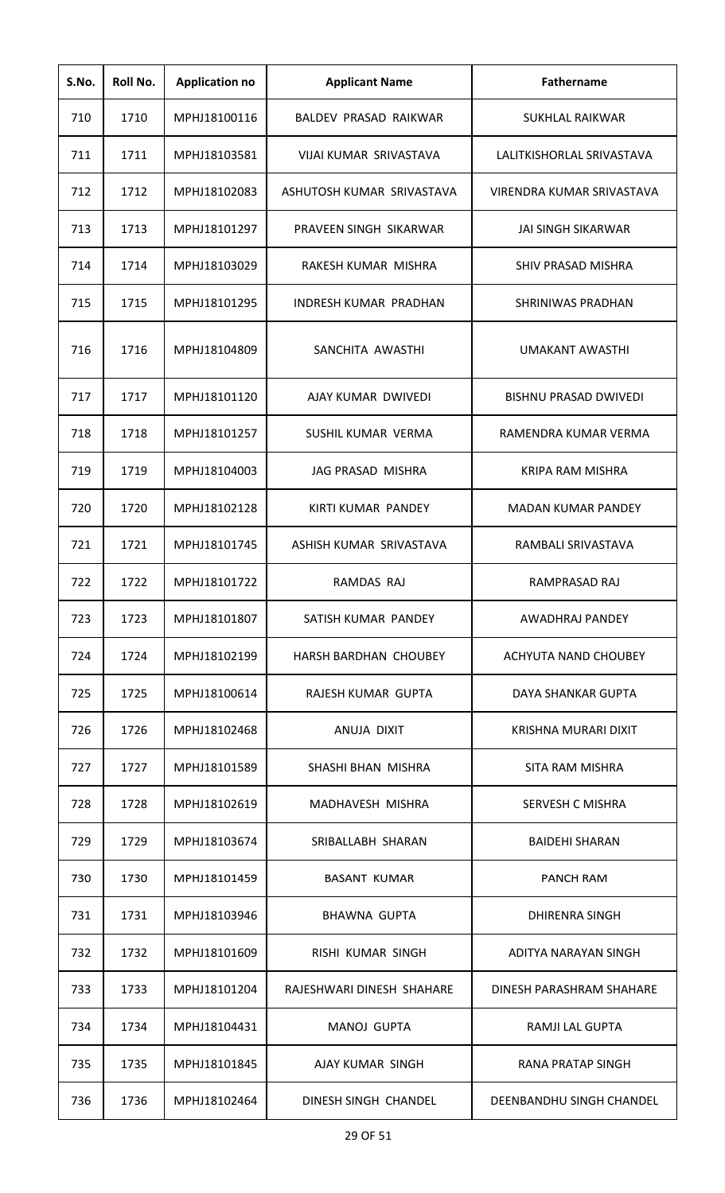| S.No. | Roll No. | <b>Application no</b> | <b>Applicant Name</b>        | Fathername                   |
|-------|----------|-----------------------|------------------------------|------------------------------|
| 710   | 1710     | MPHJ18100116          | BALDEV PRASAD RAIKWAR        | <b>SUKHLAL RAIKWAR</b>       |
| 711   | 1711     | MPHJ18103581          | VIJAI KUMAR SRIVASTAVA       | LALITKISHORLAL SRIVASTAVA    |
| 712   | 1712     | MPHJ18102083          | ASHUTOSH KUMAR SRIVASTAVA    | VIRENDRA KUMAR SRIVASTAVA    |
| 713   | 1713     | MPHJ18101297          | PRAVEEN SINGH SIKARWAR       | JAI SINGH SIKARWAR           |
| 714   | 1714     | MPHJ18103029          | RAKESH KUMAR MISHRA          | <b>SHIV PRASAD MISHRA</b>    |
| 715   | 1715     | MPHJ18101295          | INDRESH KUMAR PRADHAN        | SHRINIWAS PRADHAN            |
| 716   | 1716     | MPHJ18104809          | SANCHITA AWASTHI             | <b>UMAKANT AWASTHI</b>       |
| 717   | 1717     | MPHJ18101120          | AJAY KUMAR DWIVEDI           | <b>BISHNU PRASAD DWIVEDI</b> |
| 718   | 1718     | MPHJ18101257          | SUSHIL KUMAR VERMA           | RAMENDRA KUMAR VERMA         |
| 719   | 1719     | MPHJ18104003          | JAG PRASAD MISHRA            | <b>KRIPA RAM MISHRA</b>      |
| 720   | 1720     | MPHJ18102128          | KIRTI KUMAR PANDEY           | <b>MADAN KUMAR PANDEY</b>    |
| 721   | 1721     | MPHJ18101745          | ASHISH KUMAR SRIVASTAVA      | RAMBALI SRIVASTAVA           |
| 722   | 1722     | MPHJ18101722          | RAMDAS RAJ                   | RAMPRASAD RAJ                |
| 723   | 1723     | MPHJ18101807          | SATISH KUMAR PANDEY          | AWADHRAJ PANDEY              |
| 724   | 1724     | MPHJ18102199          | <b>HARSH BARDHAN CHOUBEY</b> | ACHYUTA NAND CHOUBEY         |
| 725   | 1725     | MPHJ18100614          | RAJESH KUMAR GUPTA           | DAYA SHANKAR GUPTA           |
| 726   | 1726     | MPHJ18102468          | ANUJA DIXIT                  | KRISHNA MURARI DIXIT         |
| 727   | 1727     | MPHJ18101589          | SHASHI BHAN MISHRA           | SITA RAM MISHRA              |
| 728   | 1728     | MPHJ18102619          | MADHAVESH MISHRA             | SERVESH C MISHRA             |
| 729   | 1729     | MPHJ18103674          | SRIBALLABH SHARAN            | <b>BAIDEHI SHARAN</b>        |
| 730   | 1730     | MPHJ18101459          | <b>BASANT KUMAR</b>          | PANCH RAM                    |
| 731   | 1731     | MPHJ18103946          | <b>BHAWNA GUPTA</b>          | DHIRENRA SINGH               |
| 732   | 1732     | MPHJ18101609          | RISHI KUMAR SINGH            | ADITYA NARAYAN SINGH         |
| 733   | 1733     | MPHJ18101204          | RAJESHWARI DINESH SHAHARE    | DINESH PARASHRAM SHAHARE     |
| 734   | 1734     | MPHJ18104431          | MANOJ GUPTA                  | RAMJI LAL GUPTA              |
| 735   | 1735     | MPHJ18101845          | AJAY KUMAR SINGH             | <b>RANA PRATAP SINGH</b>     |
| 736   | 1736     | MPHJ18102464          | DINESH SINGH CHANDEL         | DEENBANDHU SINGH CHANDEL     |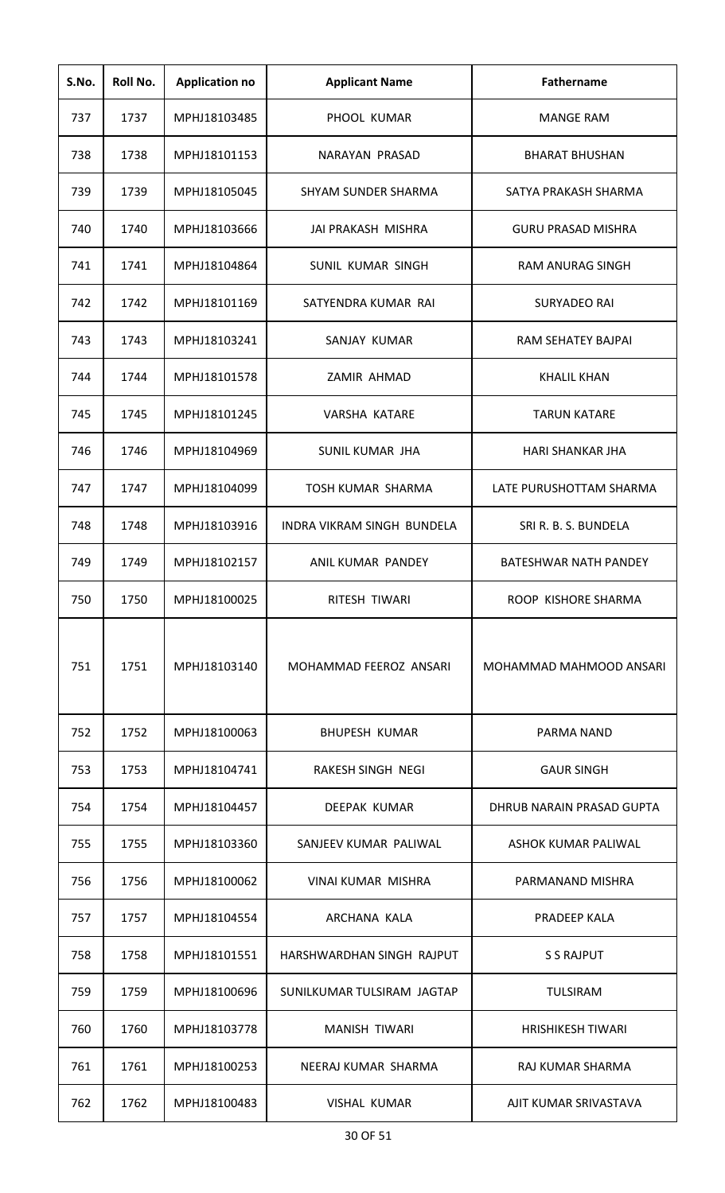| S.No. | Roll No. | <b>Application no</b> | <b>Applicant Name</b>      | <b>Fathername</b>         |
|-------|----------|-----------------------|----------------------------|---------------------------|
| 737   | 1737     | MPHJ18103485          | PHOOL KUMAR                | <b>MANGE RAM</b>          |
| 738   | 1738     | MPHJ18101153          | NARAYAN PRASAD             | <b>BHARAT BHUSHAN</b>     |
| 739   | 1739     | MPHJ18105045          | SHYAM SUNDER SHARMA        | SATYA PRAKASH SHARMA      |
| 740   | 1740     | MPHJ18103666          | JAI PRAKASH MISHRA         | <b>GURU PRASAD MISHRA</b> |
| 741   | 1741     | MPHJ18104864          | SUNIL KUMAR SINGH          | <b>RAM ANURAG SINGH</b>   |
| 742   | 1742     | MPHJ18101169          | SATYENDRA KUMAR RAI        | <b>SURYADEO RAI</b>       |
| 743   | 1743     | MPHJ18103241          | SANJAY KUMAR               | RAM SEHATEY BAJPAI        |
| 744   | 1744     | MPHJ18101578          | ZAMIR AHMAD                | <b>KHALIL KHAN</b>        |
| 745   | 1745     | MPHJ18101245          | <b>VARSHA KATARE</b>       | <b>TARUN KATARE</b>       |
| 746   | 1746     | MPHJ18104969          | <b>SUNIL KUMAR JHA</b>     | <b>HARI SHANKAR JHA</b>   |
| 747   | 1747     | MPHJ18104099          | <b>TOSH KUMAR SHARMA</b>   | LATE PURUSHOTTAM SHARMA   |
| 748   | 1748     | MPHJ18103916          | INDRA VIKRAM SINGH BUNDELA | SRI R. B. S. BUNDELA      |
| 749   | 1749     | MPHJ18102157          | ANIL KUMAR PANDEY          | BATESHWAR NATH PANDEY     |
| 750   | 1750     | MPHJ18100025          | RITESH TIWARI              | ROOP KISHORE SHARMA       |
| 751   | 1751     | MPHJ18103140          | MOHAMMAD FEEROZ ANSARI     | MOHAMMAD MAHMOOD ANSARI   |
| 752   | 1752     | MPHJ18100063          | <b>BHUPESH KUMAR</b>       | PARMA NAND                |
| 753   | 1753     | MPHJ18104741          | RAKESH SINGH NEGI          | <b>GAUR SINGH</b>         |
| 754   | 1754     | MPHJ18104457          | DEEPAK KUMAR               | DHRUB NARAIN PRASAD GUPTA |
| 755   | 1755     | MPHJ18103360          | SANJEEV KUMAR PALIWAL      | ASHOK KUMAR PALIWAL       |
| 756   | 1756     | MPHJ18100062          | VINAI KUMAR MISHRA         | PARMANAND MISHRA          |
| 757   | 1757     | MPHJ18104554          | ARCHANA KALA               | PRADEEP KALA              |
| 758   | 1758     | MPHJ18101551          | HARSHWARDHAN SINGH RAJPUT  | <b>S S RAJPUT</b>         |
| 759   | 1759     | MPHJ18100696          | SUNILKUMAR TULSIRAM JAGTAP | <b>TULSIRAM</b>           |
| 760   | 1760     | MPHJ18103778          | <b>MANISH TIWARI</b>       | <b>HRISHIKESH TIWARI</b>  |
| 761   | 1761     | MPHJ18100253          | NEERAJ KUMAR SHARMA        | <b>RAJ KUMAR SHARMA</b>   |
| 762   | 1762     | MPHJ18100483          | <b>VISHAL KUMAR</b>        | AJIT KUMAR SRIVASTAVA     |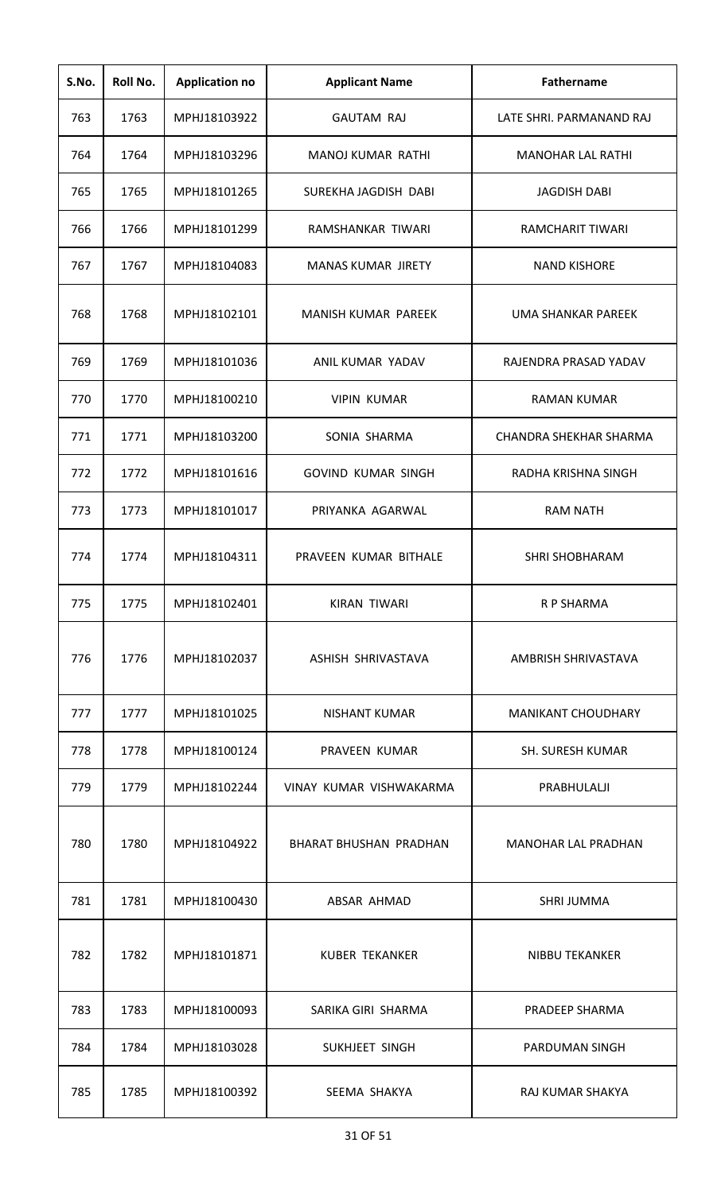| S.No. | Roll No. | <b>Application no</b> | <b>Applicant Name</b>     | <b>Fathername</b>         |
|-------|----------|-----------------------|---------------------------|---------------------------|
| 763   | 1763     | MPHJ18103922          | <b>GAUTAM RAJ</b>         | LATE SHRI. PARMANAND RAJ  |
| 764   | 1764     | MPHJ18103296          | <b>MANOJ KUMAR RATHI</b>  | <b>MANOHAR LAL RATHI</b>  |
| 765   | 1765     | MPHJ18101265          | SUREKHA JAGDISH DABI      | <b>JAGDISH DABI</b>       |
| 766   | 1766     | MPHJ18101299          | RAMSHANKAR TIWARI         | <b>RAMCHARIT TIWARI</b>   |
| 767   | 1767     | MPHJ18104083          | <b>MANAS KUMAR JIRETY</b> | <b>NAND KISHORE</b>       |
| 768   | 1768     | MPHJ18102101          | MANISH KUMAR PAREEK       | <b>UMA SHANKAR PAREEK</b> |
| 769   | 1769     | MPHJ18101036          | ANIL KUMAR YADAV          | RAJENDRA PRASAD YADAV     |
| 770   | 1770     | MPHJ18100210          | <b>VIPIN KUMAR</b>        | <b>RAMAN KUMAR</b>        |
| 771   | 1771     | MPHJ18103200          | SONIA SHARMA              | CHANDRA SHEKHAR SHARMA    |
| 772   | 1772     | MPHJ18101616          | <b>GOVIND KUMAR SINGH</b> | RADHA KRISHNA SINGH       |
| 773   | 1773     | MPHJ18101017          | PRIYANKA AGARWAL          | <b>RAM NATH</b>           |
| 774   | 1774     | MPHJ18104311          | PRAVEEN KUMAR BITHALE     | <b>SHRI SHOBHARAM</b>     |
| 775   | 1775     | MPHJ18102401          | <b>KIRAN TIWARI</b>       | R P SHARMA                |
| 776   | 1776     | MPHJ18102037          | ASHISH SHRIVASTAVA        | AMBRISH SHRIVASTAVA       |
| 777   | 1777     | MPHJ18101025          | <b>NISHANT KUMAR</b>      | <b>MANIKANT CHOUDHARY</b> |
| 778   | 1778     | MPHJ18100124          | PRAVEEN KUMAR             | <b>SH. SURESH KUMAR</b>   |
| 779   | 1779     | MPHJ18102244          | VINAY KUMAR VISHWAKARMA   | PRABHULALJI               |
| 780   | 1780     | MPHJ18104922          | BHARAT BHUSHAN PRADHAN    | MANOHAR LAL PRADHAN       |
| 781   | 1781     | MPHJ18100430          | ABSAR AHMAD               | <b>SHRI JUMMA</b>         |
| 782   | 1782     | MPHJ18101871          | <b>KUBER TEKANKER</b>     | <b>NIBBU TEKANKER</b>     |
| 783   | 1783     | MPHJ18100093          | SARIKA GIRI SHARMA        | PRADEEP SHARMA            |
| 784   | 1784     | MPHJ18103028          | SUKHJEET SINGH            | PARDUMAN SINGH            |
| 785   | 1785     | MPHJ18100392          | SEEMA SHAKYA              | RAJ KUMAR SHAKYA          |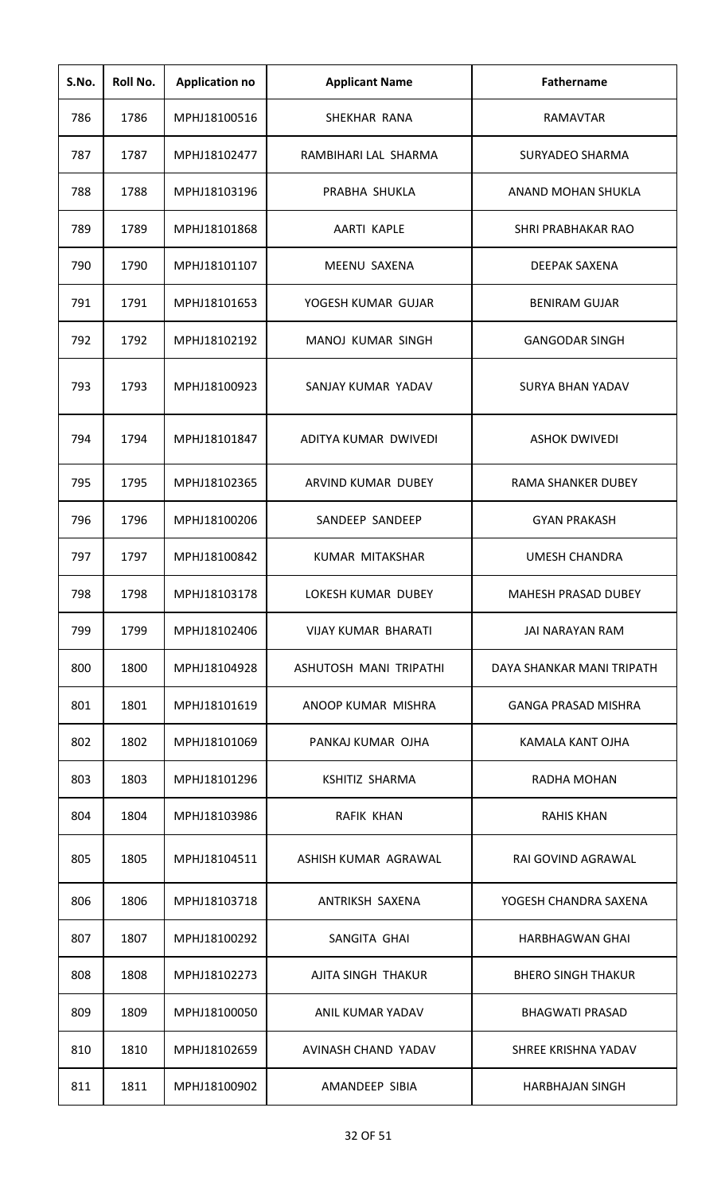| S.No. | Roll No. | <b>Application no</b> | <b>Applicant Name</b>  | <b>Fathername</b>          |
|-------|----------|-----------------------|------------------------|----------------------------|
| 786   | 1786     | MPHJ18100516          | SHEKHAR RANA           | RAMAVTAR                   |
| 787   | 1787     | MPHJ18102477          | RAMBIHARI LAL SHARMA   | SURYADEO SHARMA            |
| 788   | 1788     | MPHJ18103196          | PRABHA SHUKLA          | ANAND MOHAN SHUKLA         |
| 789   | 1789     | MPHJ18101868          | AARTI KAPLE            | SHRI PRABHAKAR RAO         |
| 790   | 1790     | MPHJ18101107          | MEENU SAXENA           | <b>DEEPAK SAXENA</b>       |
| 791   | 1791     | MPHJ18101653          | YOGESH KUMAR GUJAR     | <b>BENIRAM GUJAR</b>       |
| 792   | 1792     | MPHJ18102192          | MANOJ KUMAR SINGH      | <b>GANGODAR SINGH</b>      |
| 793   | 1793     | MPHJ18100923          | SANJAY KUMAR YADAV     | <b>SURYA BHAN YADAV</b>    |
| 794   | 1794     | MPHJ18101847          | ADITYA KUMAR DWIVEDI   | <b>ASHOK DWIVEDI</b>       |
| 795   | 1795     | MPHJ18102365          | ARVIND KUMAR DUBEY     | RAMA SHANKER DUBEY         |
| 796   | 1796     | MPHJ18100206          | SANDEEP SANDEEP        | <b>GYAN PRAKASH</b>        |
| 797   | 1797     | MPHJ18100842          | KUMAR MITAKSHAR        | <b>UMESH CHANDRA</b>       |
| 798   | 1798     | MPHJ18103178          | LOKESH KUMAR DUBEY     | MAHESH PRASAD DUBEY        |
| 799   | 1799     | MPHJ18102406          | VIJAY KUMAR BHARATI    | JAI NARAYAN RAM            |
| 800   | 1800     | MPHJ18104928          | ASHUTOSH MANI TRIPATHI | DAYA SHANKAR MANI TRIPATH  |
| 801   | 1801     | MPHJ18101619          | ANOOP KUMAR MISHRA     | <b>GANGA PRASAD MISHRA</b> |
| 802   | 1802     | MPHJ18101069          | PANKAJ KUMAR OJHA      | KAMALA KANT OJHA           |
| 803   | 1803     | MPHJ18101296          | <b>KSHITIZ SHARMA</b>  | RADHA MOHAN                |
| 804   | 1804     | MPHJ18103986          | <b>RAFIK KHAN</b>      | <b>RAHIS KHAN</b>          |
| 805   | 1805     | MPHJ18104511          | ASHISH KUMAR AGRAWAL   | RAI GOVIND AGRAWAL         |
| 806   | 1806     | MPHJ18103718          | ANTRIKSH SAXENA        | YOGESH CHANDRA SAXENA      |
| 807   | 1807     | MPHJ18100292          | SANGITA GHAI           | <b>HARBHAGWAN GHAI</b>     |
| 808   | 1808     | MPHJ18102273          | AJITA SINGH THAKUR     | <b>BHERO SINGH THAKUR</b>  |
| 809   | 1809     | MPHJ18100050          | ANIL KUMAR YADAV       | <b>BHAGWATI PRASAD</b>     |
| 810   | 1810     | MPHJ18102659          | AVINASH CHAND YADAV    | SHREE KRISHNA YADAV        |
| 811   | 1811     | MPHJ18100902          | AMANDEEP SIBIA         | <b>HARBHAJAN SINGH</b>     |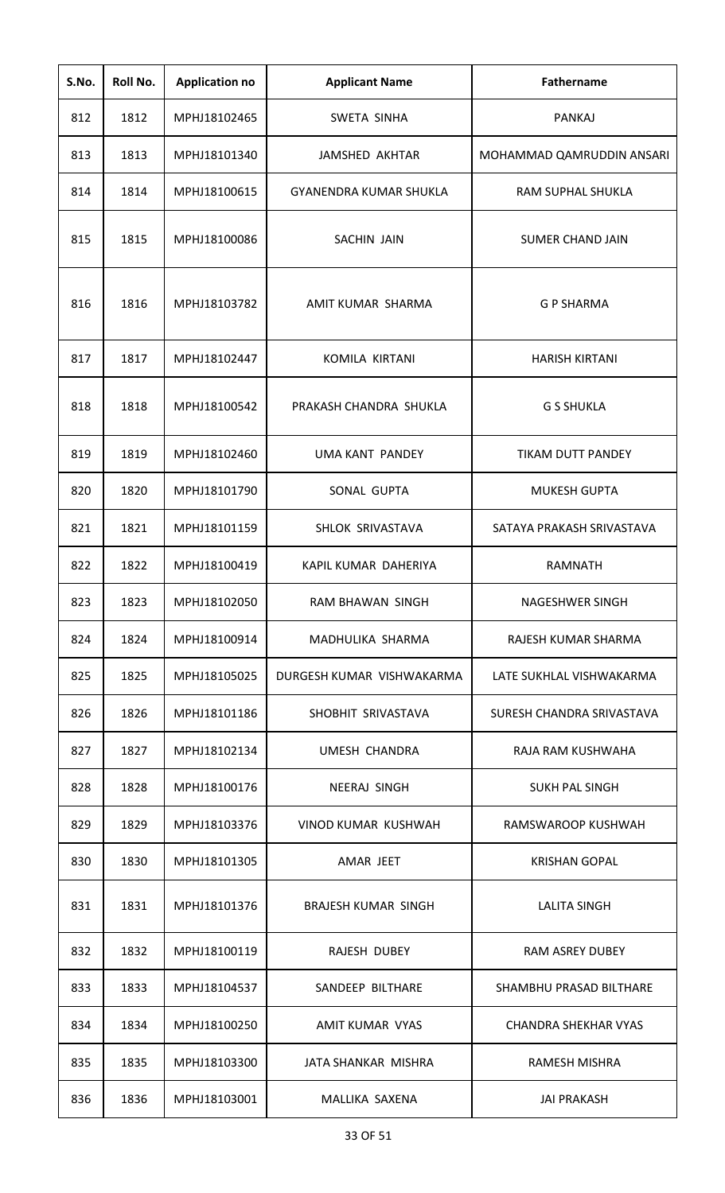| S.No. | Roll No. | <b>Application no</b> | <b>Applicant Name</b>         | <b>Fathername</b>           |
|-------|----------|-----------------------|-------------------------------|-----------------------------|
| 812   | 1812     | MPHJ18102465          | SWETA SINHA                   | <b>PANKAJ</b>               |
| 813   | 1813     | MPHJ18101340          | JAMSHED AKHTAR                | MOHAMMAD QAMRUDDIN ANSARI   |
| 814   | 1814     | MPHJ18100615          | <b>GYANENDRA KUMAR SHUKLA</b> | <b>RAM SUPHAL SHUKLA</b>    |
| 815   | 1815     | MPHJ18100086          | <b>SACHIN JAIN</b>            | <b>SUMER CHAND JAIN</b>     |
| 816   | 1816     | MPHJ18103782          | AMIT KUMAR SHARMA             | <b>G P SHARMA</b>           |
| 817   | 1817     | MPHJ18102447          | <b>KOMILA KIRTANI</b>         | <b>HARISH KIRTANI</b>       |
| 818   | 1818     | MPHJ18100542          | PRAKASH CHANDRA SHUKLA        | <b>G S SHUKLA</b>           |
| 819   | 1819     | MPHJ18102460          | <b>UMA KANT PANDEY</b>        | <b>TIKAM DUTT PANDEY</b>    |
| 820   | 1820     | MPHJ18101790          | SONAL GUPTA                   | <b>MUKESH GUPTA</b>         |
| 821   | 1821     | MPHJ18101159          | SHLOK SRIVASTAVA              | SATAYA PRAKASH SRIVASTAVA   |
| 822   | 1822     | MPHJ18100419          | KAPIL KUMAR DAHERIYA          | <b>RAMNATH</b>              |
| 823   | 1823     | MPHJ18102050          | RAM BHAWAN SINGH              | NAGESHWER SINGH             |
| 824   | 1824     | MPHJ18100914          | MADHULIKA SHARMA              | RAJESH KUMAR SHARMA         |
| 825   | 1825     | MPHJ18105025          | DURGESH KUMAR VISHWAKARMA     | LATE SUKHLAL VISHWAKARMA    |
| 826   | 1826     | MPHJ18101186          | SHOBHIT SRIVASTAVA            | SURESH CHANDRA SRIVASTAVA   |
| 827   | 1827     | MPHJ18102134          | UMESH CHANDRA                 | RAJA RAM KUSHWAHA           |
| 828   | 1828     | MPHJ18100176          | NEERAJ SINGH                  | SUKH PAL SINGH              |
| 829   | 1829     | MPHJ18103376          | VINOD KUMAR KUSHWAH           | RAMSWAROOP KUSHWAH          |
| 830   | 1830     | MPHJ18101305          | AMAR JEET                     | <b>KRISHAN GOPAL</b>        |
| 831   | 1831     | MPHJ18101376          | <b>BRAJESH KUMAR SINGH</b>    | <b>LALITA SINGH</b>         |
| 832   | 1832     | MPHJ18100119          | RAJESH DUBEY                  | <b>RAM ASREY DUBEY</b>      |
| 833   | 1833     | MPHJ18104537          | SANDEEP BILTHARE              | SHAMBHU PRASAD BILTHARE     |
| 834   | 1834     | MPHJ18100250          | AMIT KUMAR VYAS               | <b>CHANDRA SHEKHAR VYAS</b> |
| 835   | 1835     | MPHJ18103300          | <b>JATA SHANKAR MISHRA</b>    | <b>RAMESH MISHRA</b>        |
| 836   | 1836     | MPHJ18103001          | MALLIKA SAXENA                | <b>JAI PRAKASH</b>          |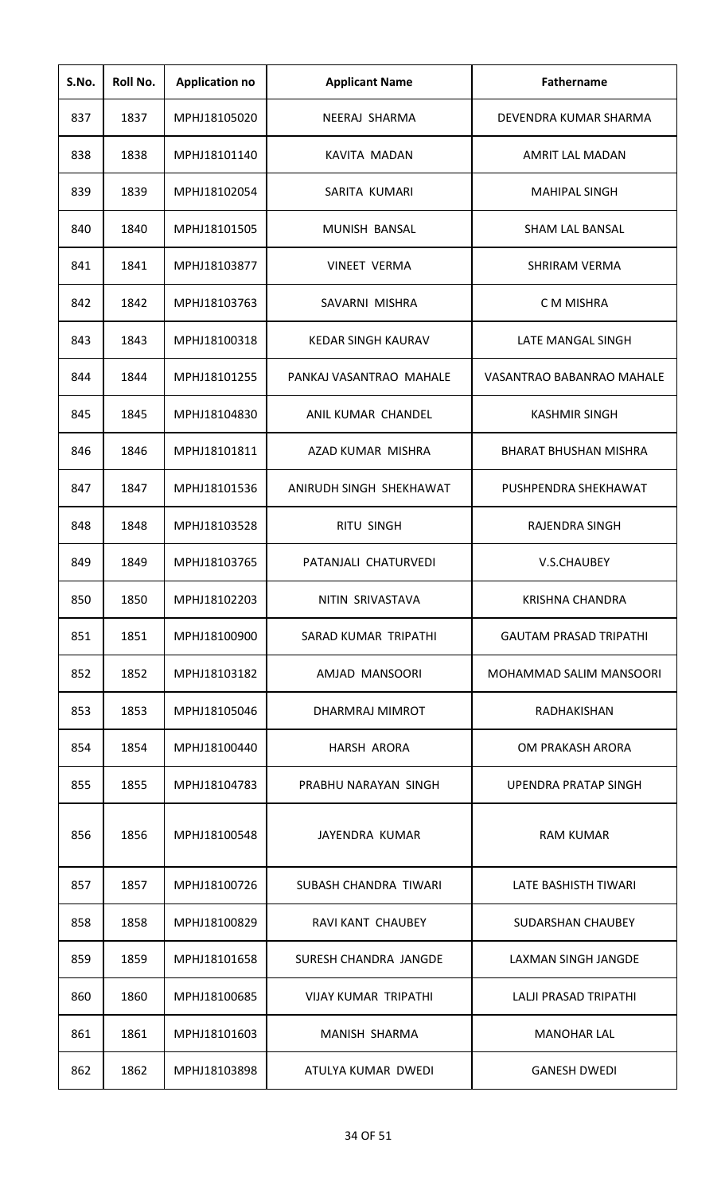| S.No. | Roll No. | <b>Application no</b> | <b>Applicant Name</b>       | <b>Fathername</b>             |
|-------|----------|-----------------------|-----------------------------|-------------------------------|
| 837   | 1837     | MPHJ18105020          | NEERAJ SHARMA               | DEVENDRA KUMAR SHARMA         |
| 838   | 1838     | MPHJ18101140          | <b>KAVITA MADAN</b>         | AMRIT LAL MADAN               |
| 839   | 1839     | MPHJ18102054          | SARITA KUMARI               | <b>MAHIPAL SINGH</b>          |
| 840   | 1840     | MPHJ18101505          | MUNISH BANSAL               | <b>SHAM LAL BANSAL</b>        |
| 841   | 1841     | MPHJ18103877          | <b>VINEET VERMA</b>         | <b>SHRIRAM VERMA</b>          |
| 842   | 1842     | MPHJ18103763          | SAVARNI MISHRA              | C M MISHRA                    |
| 843   | 1843     | MPHJ18100318          | <b>KEDAR SINGH KAURAV</b>   | <b>LATE MANGAL SINGH</b>      |
| 844   | 1844     | MPHJ18101255          | PANKAJ VASANTRAO MAHALE     | VASANTRAO BABANRAO MAHALE     |
| 845   | 1845     | MPHJ18104830          | ANIL KUMAR CHANDEL          | <b>KASHMIR SINGH</b>          |
| 846   | 1846     | MPHJ18101811          | AZAD KUMAR MISHRA           | <b>BHARAT BHUSHAN MISHRA</b>  |
| 847   | 1847     | MPHJ18101536          | ANIRUDH SINGH SHEKHAWAT     | PUSHPENDRA SHEKHAWAT          |
| 848   | 1848     | MPHJ18103528          | <b>RITU SINGH</b>           | <b>RAJENDRA SINGH</b>         |
| 849   | 1849     | MPHJ18103765          | PATANJALI CHATURVEDI        | V.S.CHAUBEY                   |
| 850   | 1850     | MPHJ18102203          | NITIN SRIVASTAVA            | <b>KRISHNA CHANDRA</b>        |
| 851   | 1851     | MPHJ18100900          | SARAD KUMAR TRIPATHI        | <b>GAUTAM PRASAD TRIPATHI</b> |
| 852   | 1852     | MPHJ18103182          | AMJAD MANSOORI              | MOHAMMAD SALIM MANSOORI       |
| 853   | 1853     | MPHJ18105046          | DHARMRAJ MIMROT             | RADHAKISHAN                   |
| 854   | 1854     | MPHJ18100440          | HARSH ARORA                 | OM PRAKASH ARORA              |
| 855   | 1855     | MPHJ18104783          | PRABHU NARAYAN SINGH        | UPENDRA PRATAP SINGH          |
| 856   | 1856     | MPHJ18100548          | JAYENDRA KUMAR              | <b>RAM KUMAR</b>              |
| 857   | 1857     | MPHJ18100726          | SUBASH CHANDRA TIWARI       | LATE BASHISTH TIWARI          |
| 858   | 1858     | MPHJ18100829          | RAVI KANT CHAUBEY           | SUDARSHAN CHAUBEY             |
| 859   | 1859     | MPHJ18101658          | SURESH CHANDRA JANGDE       | LAXMAN SINGH JANGDE           |
| 860   | 1860     | MPHJ18100685          | <b>VIJAY KUMAR TRIPATHI</b> | LALJI PRASAD TRIPATHI         |
| 861   | 1861     | MPHJ18101603          | MANISH SHARMA               | <b>MANOHAR LAL</b>            |
| 862   | 1862     | MPHJ18103898          | ATULYA KUMAR DWEDI          | <b>GANESH DWEDI</b>           |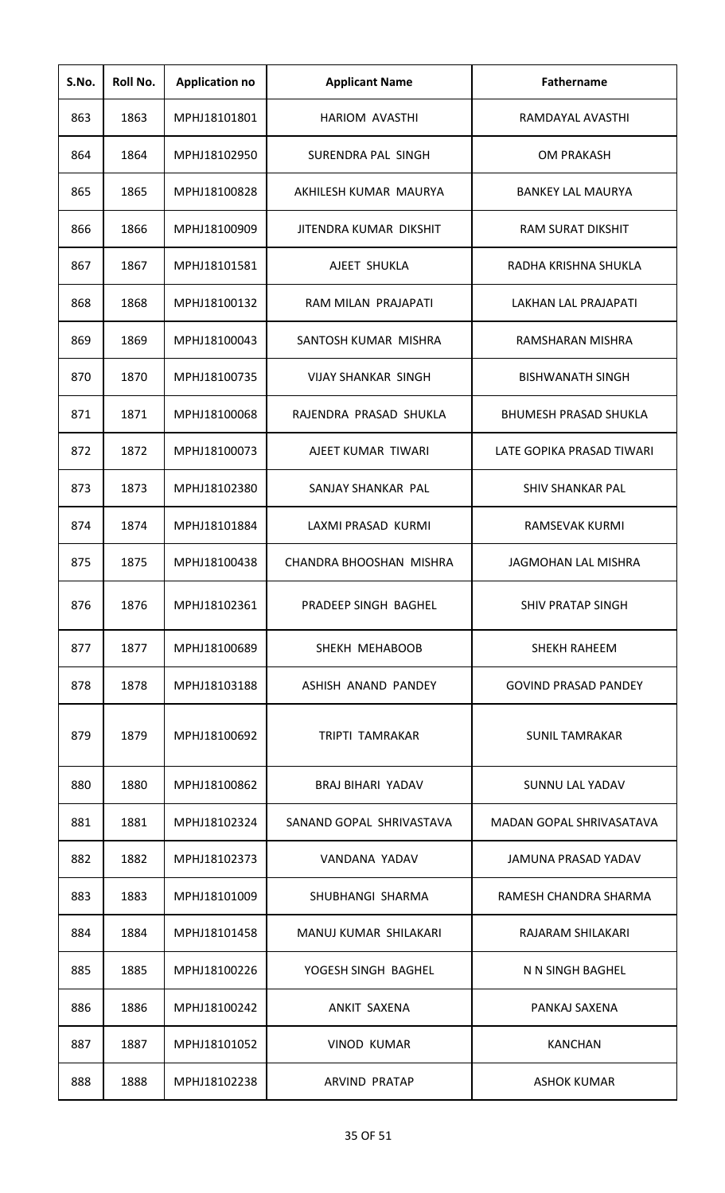| S.No. | Roll No. | <b>Application no</b> | <b>Applicant Name</b>      | Fathername                   |
|-------|----------|-----------------------|----------------------------|------------------------------|
| 863   | 1863     | MPHJ18101801          | <b>HARIOM AVASTHI</b>      | RAMDAYAL AVASTHI             |
| 864   | 1864     | MPHJ18102950          | SURENDRA PAL SINGH         | <b>OM PRAKASH</b>            |
| 865   | 1865     | MPHJ18100828          | AKHILESH KUMAR MAURYA      | <b>BANKEY LAL MAURYA</b>     |
| 866   | 1866     | MPHJ18100909          | JITENDRA KUMAR DIKSHIT     | <b>RAM SURAT DIKSHIT</b>     |
| 867   | 1867     | MPHJ18101581          | AJEET SHUKLA               | RADHA KRISHNA SHUKLA         |
| 868   | 1868     | MPHJ18100132          | RAM MILAN PRAJAPATI        | LAKHAN LAL PRAJAPATI         |
| 869   | 1869     | MPHJ18100043          | SANTOSH KUMAR MISHRA       | RAMSHARAN MISHRA             |
| 870   | 1870     | MPHJ18100735          | <b>VIJAY SHANKAR SINGH</b> | <b>BISHWANATH SINGH</b>      |
| 871   | 1871     | MPHJ18100068          | RAJENDRA PRASAD SHUKLA     | <b>BHUMESH PRASAD SHUKLA</b> |
| 872   | 1872     | MPHJ18100073          | AJEET KUMAR TIWARI         | LATE GOPIKA PRASAD TIWARI    |
| 873   | 1873     | MPHJ18102380          | SANJAY SHANKAR PAL         | <b>SHIV SHANKAR PAL</b>      |
| 874   | 1874     | MPHJ18101884          | LAXMI PRASAD KURMI         | RAMSEVAK KURMI               |
| 875   | 1875     | MPHJ18100438          | CHANDRA BHOOSHAN MISHRA    | <b>JAGMOHAN LAL MISHRA</b>   |
| 876   | 1876     | MPHJ18102361          | PRADEEP SINGH BAGHEL       | SHIV PRATAP SINGH            |
| 877   | 1877     | MPHJ18100689          | SHEKH MEHABOOB             | <b>SHEKH RAHEEM</b>          |
| 878   | 1878     | MPHJ18103188          | ASHISH ANAND PANDEY        | <b>GOVIND PRASAD PANDEY</b>  |
| 879   | 1879     | MPHJ18100692          | <b>TRIPTI TAMRAKAR</b>     | <b>SUNIL TAMRAKAR</b>        |
| 880   | 1880     | MPHJ18100862          | <b>BRAJ BIHARI YADAV</b>   | <b>SUNNU LAL YADAV</b>       |
| 881   | 1881     | MPHJ18102324          | SANAND GOPAL SHRIVASTAVA   | MADAN GOPAL SHRIVASATAVA     |
| 882   | 1882     | MPHJ18102373          | VANDANA YADAV              | JAMUNA PRASAD YADAV          |
| 883   | 1883     | MPHJ18101009          | SHUBHANGI SHARMA           | RAMESH CHANDRA SHARMA        |
| 884   | 1884     | MPHJ18101458          | MANUJ KUMAR SHILAKARI      | RAJARAM SHILAKARI            |
| 885   | 1885     | MPHJ18100226          | YOGESH SINGH BAGHEL        | N N SINGH BAGHEL             |
| 886   | 1886     | MPHJ18100242          | ANKIT SAXENA               | PANKAJ SAXENA                |
| 887   | 1887     | MPHJ18101052          | <b>VINOD KUMAR</b>         | <b>KANCHAN</b>               |
| 888   | 1888     | MPHJ18102238          | <b>ARVIND PRATAP</b>       | <b>ASHOK KUMAR</b>           |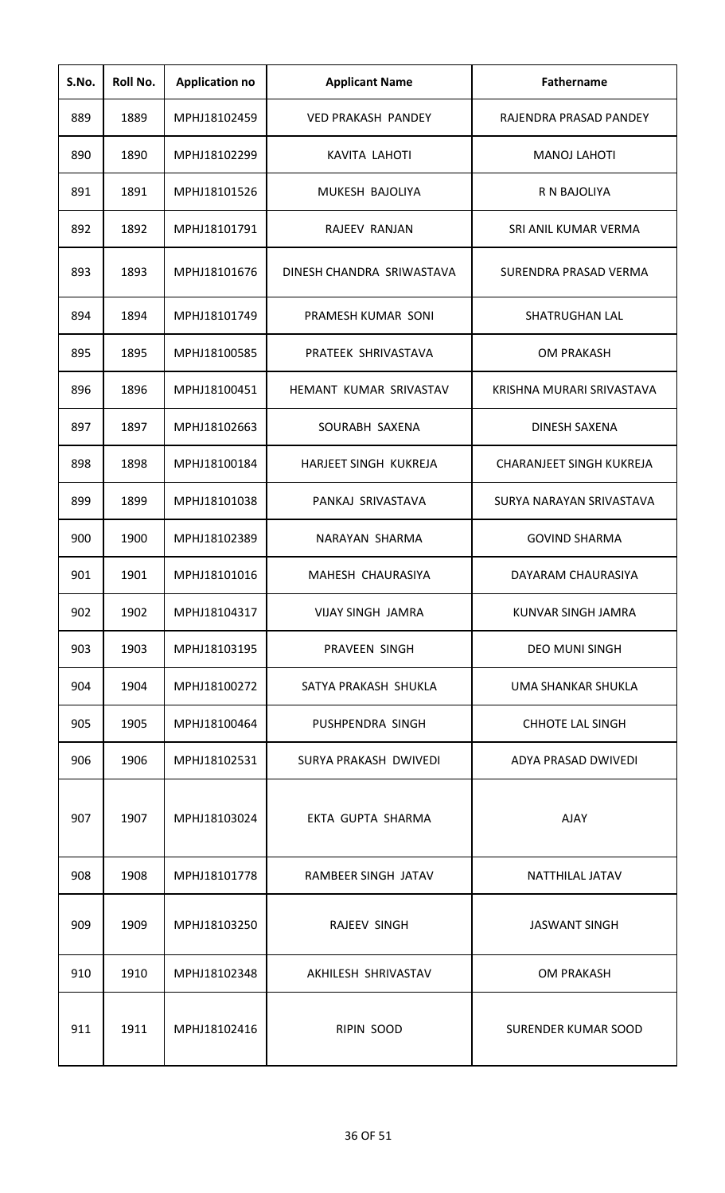| S.No. | Roll No. | <b>Application no</b> | <b>Applicant Name</b>     | <b>Fathername</b>               |
|-------|----------|-----------------------|---------------------------|---------------------------------|
| 889   | 1889     | MPHJ18102459          | <b>VED PRAKASH PANDEY</b> | RAJENDRA PRASAD PANDEY          |
| 890   | 1890     | MPHJ18102299          | KAVITA LAHOTI             | <b>MANOJ LAHOTI</b>             |
| 891   | 1891     | MPHJ18101526          | MUKESH BAJOLIYA           | R N BAJOLIYA                    |
| 892   | 1892     | MPHJ18101791          | RAJEEV RANJAN             | SRI ANIL KUMAR VERMA            |
| 893   | 1893     | MPHJ18101676          | DINESH CHANDRA SRIWASTAVA | SURENDRA PRASAD VERMA           |
| 894   | 1894     | MPHJ18101749          | PRAMESH KUMAR SONI        | SHATRUGHAN LAL                  |
| 895   | 1895     | MPHJ18100585          | PRATEEK SHRIVASTAVA       | <b>OM PRAKASH</b>               |
| 896   | 1896     | MPHJ18100451          | HEMANT KUMAR SRIVASTAV    | KRISHNA MURARI SRIVASTAVA       |
| 897   | 1897     | MPHJ18102663          | SOURABH SAXENA            | <b>DINESH SAXENA</b>            |
| 898   | 1898     | MPHJ18100184          | HARJEET SINGH KUKREJA     | <b>CHARANJEET SINGH KUKREJA</b> |
| 899   | 1899     | MPHJ18101038          | PANKAJ SRIVASTAVA         | SURYA NARAYAN SRIVASTAVA        |
| 900   | 1900     | MPHJ18102389          | NARAYAN SHARMA            | <b>GOVIND SHARMA</b>            |
| 901   | 1901     | MPHJ18101016          | MAHESH CHAURASIYA         | DAYARAM CHAURASIYA              |
| 902   | 1902     | MPHJ18104317          | <b>VIJAY SINGH JAMRA</b>  | KUNVAR SINGH JAMRA              |
| 903   | 1903     | MPHJ18103195          | PRAVEEN SINGH             | <b>DEO MUNI SINGH</b>           |
| 904   | 1904     | MPHJ18100272          | SATYA PRAKASH SHUKLA      | UMA SHANKAR SHUKLA              |
| 905   | 1905     | MPHJ18100464          | PUSHPENDRA SINGH          | <b>CHHOTE LAL SINGH</b>         |
| 906   | 1906     | MPHJ18102531          | SURYA PRAKASH DWIVEDI     | ADYA PRASAD DWIVEDI             |
| 907   | 1907     | MPHJ18103024          | EKTA GUPTA SHARMA         | <b>AJAY</b>                     |
| 908   | 1908     | MPHJ18101778          | RAMBEER SINGH JATAV       | NATTHILAL JATAV                 |
| 909   | 1909     | MPHJ18103250          | RAJEEV SINGH              | <b>JASWANT SINGH</b>            |
| 910   | 1910     | MPHJ18102348          | AKHILESH SHRIVASTAV       | <b>OM PRAKASH</b>               |
| 911   | 1911     | MPHJ18102416          | RIPIN SOOD                | <b>SURENDER KUMAR SOOD</b>      |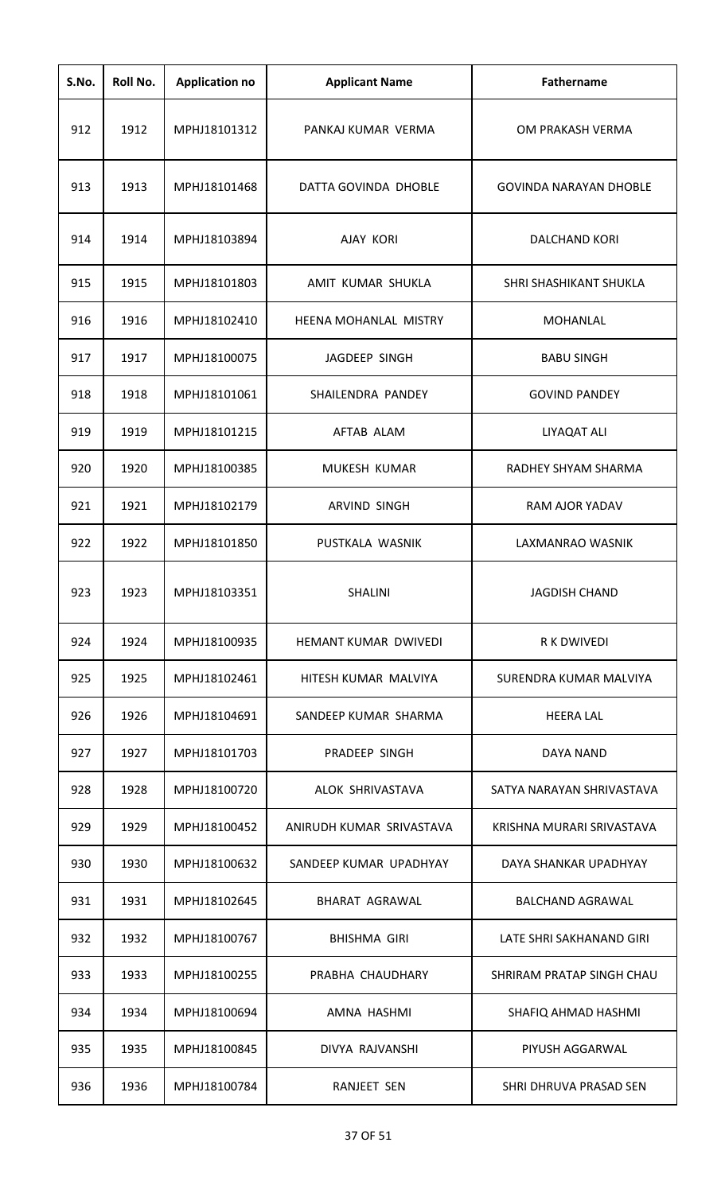| S.No. | Roll No. | <b>Application no</b> | <b>Applicant Name</b>    | <b>Fathername</b>             |
|-------|----------|-----------------------|--------------------------|-------------------------------|
| 912   | 1912     | MPHJ18101312          | PANKAJ KUMAR VERMA       | OM PRAKASH VERMA              |
| 913   | 1913     | MPHJ18101468          | DATTA GOVINDA DHOBLE     | <b>GOVINDA NARAYAN DHOBLE</b> |
| 914   | 1914     | MPHJ18103894          | <b>AJAY KORI</b>         | <b>DALCHAND KORI</b>          |
| 915   | 1915     | MPHJ18101803          | AMIT KUMAR SHUKLA        | SHRI SHASHIKANT SHUKLA        |
| 916   | 1916     | MPHJ18102410          | HEENA MOHANLAL MISTRY    | <b>MOHANLAL</b>               |
| 917   | 1917     | MPHJ18100075          | JAGDEEP SINGH            | <b>BABU SINGH</b>             |
| 918   | 1918     | MPHJ18101061          | SHAILENDRA PANDEY        | <b>GOVIND PANDEY</b>          |
| 919   | 1919     | MPHJ18101215          | AFTAB ALAM               | LIYAQAT ALI                   |
| 920   | 1920     | MPHJ18100385          | MUKESH KUMAR             | RADHEY SHYAM SHARMA           |
| 921   | 1921     | MPHJ18102179          | ARVIND SINGH             | RAM AJOR YADAV                |
| 922   | 1922     | MPHJ18101850          | PUSTKALA WASNIK          | LAXMANRAO WASNIK              |
| 923   | 1923     | MPHJ18103351          | SHALINI                  | JAGDISH CHAND                 |
| 924   | 1924     | MPHJ18100935          | HEMANT KUMAR DWIVEDI     | R K DWIVEDI                   |
| 925   | 1925     | MPHJ18102461          | HITESH KUMAR MALVIYA     | SURENDRA KUMAR MALVIYA        |
| 926   | 1926     | MPHJ18104691          | SANDEEP KUMAR SHARMA     | <b>HEERA LAL</b>              |
| 927   | 1927     | MPHJ18101703          | PRADEEP SINGH            | DAYA NAND                     |
| 928   | 1928     | MPHJ18100720          | ALOK SHRIVASTAVA         | SATYA NARAYAN SHRIVASTAVA     |
| 929   | 1929     | MPHJ18100452          | ANIRUDH KUMAR SRIVASTAVA | KRISHNA MURARI SRIVASTAVA     |
| 930   | 1930     | MPHJ18100632          | SANDEEP KUMAR UPADHYAY   | DAYA SHANKAR UPADHYAY         |
| 931   | 1931     | MPHJ18102645          | <b>BHARAT AGRAWAL</b>    | <b>BALCHAND AGRAWAL</b>       |
| 932   | 1932     | MPHJ18100767          | <b>BHISHMA GIRI</b>      | LATE SHRI SAKHANAND GIRI      |
| 933   | 1933     | MPHJ18100255          | PRABHA CHAUDHARY         | SHRIRAM PRATAP SINGH CHAU     |
| 934   | 1934     | MPHJ18100694          | AMNA HASHMI              | SHAFIQ AHMAD HASHMI           |
| 935   | 1935     | MPHJ18100845          | DIVYA RAJVANSHI          | PIYUSH AGGARWAL               |
| 936   | 1936     | MPHJ18100784          | <b>RANJEET SEN</b>       | SHRI DHRUVA PRASAD SEN        |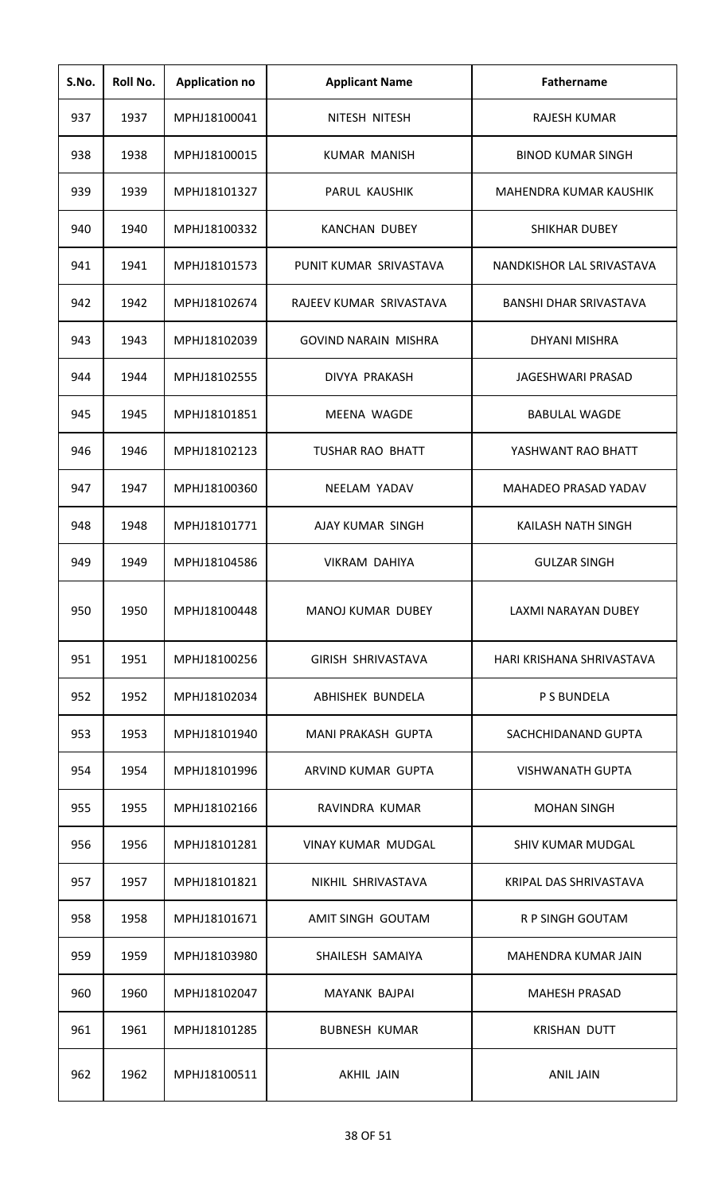| S.No. | Roll No. | <b>Application no</b> | <b>Applicant Name</b>       | <b>Fathername</b>             |
|-------|----------|-----------------------|-----------------------------|-------------------------------|
| 937   | 1937     | MPHJ18100041          | NITESH NITESH               | RAJESH KUMAR                  |
| 938   | 1938     | MPHJ18100015          | <b>KUMAR MANISH</b>         | <b>BINOD KUMAR SINGH</b>      |
| 939   | 1939     | MPHJ18101327          | PARUL KAUSHIK               | MAHENDRA KUMAR KAUSHIK        |
| 940   | 1940     | MPHJ18100332          | <b>KANCHAN DUBEY</b>        | <b>SHIKHAR DUBEY</b>          |
| 941   | 1941     | MPHJ18101573          | PUNIT KUMAR SRIVASTAVA      | NANDKISHOR LAL SRIVASTAVA     |
| 942   | 1942     | MPHJ18102674          | RAJEEV KUMAR SRIVASTAVA     | <b>BANSHI DHAR SRIVASTAVA</b> |
| 943   | 1943     | MPHJ18102039          | <b>GOVIND NARAIN MISHRA</b> | DHYANI MISHRA                 |
| 944   | 1944     | MPHJ18102555          | DIVYA PRAKASH               | <b>JAGESHWARI PRASAD</b>      |
| 945   | 1945     | MPHJ18101851          | MEENA WAGDE                 | <b>BABULAL WAGDE</b>          |
| 946   | 1946     | MPHJ18102123          | <b>TUSHAR RAO BHATT</b>     | YASHWANT RAO BHATT            |
| 947   | 1947     | MPHJ18100360          | NEELAM YADAV                | MAHADEO PRASAD YADAV          |
| 948   | 1948     | MPHJ18101771          | AJAY KUMAR SINGH            | KAILASH NATH SINGH            |
| 949   | 1949     | MPHJ18104586          | VIKRAM DAHIYA               | <b>GULZAR SINGH</b>           |
| 950   | 1950     | MPHJ18100448          | <b>MANOJ KUMAR DUBEY</b>    | LAXMI NARAYAN DUBEY           |
| 951   | 1951     | MPHJ18100256          | GIRISH SHRIVASTAVA          | HARI KRISHANA SHRIVASTAVA     |
| 952   | 1952     | MPHJ18102034          | ABHISHEK BUNDELA            | P S BUNDELA                   |
| 953   | 1953     | MPHJ18101940          | MANI PRAKASH GUPTA          | SACHCHIDANAND GUPTA           |
| 954   | 1954     | MPHJ18101996          | ARVIND KUMAR GUPTA          | <b>VISHWANATH GUPTA</b>       |
| 955   | 1955     | MPHJ18102166          | RAVINDRA KUMAR              | <b>MOHAN SINGH</b>            |
| 956   | 1956     | MPHJ18101281          | VINAY KUMAR MUDGAL          | SHIV KUMAR MUDGAL             |
| 957   | 1957     | MPHJ18101821          | NIKHIL SHRIVASTAVA          | KRIPAL DAS SHRIVASTAVA        |
| 958   | 1958     | MPHJ18101671          | AMIT SINGH GOUTAM           | R P SINGH GOUTAM              |
| 959   | 1959     | MPHJ18103980          | SHAILESH SAMAIYA            | MAHENDRA KUMAR JAIN           |
| 960   | 1960     | MPHJ18102047          | MAYANK BAJPAI               | <b>MAHESH PRASAD</b>          |
| 961   | 1961     | MPHJ18101285          | <b>BUBNESH KUMAR</b>        | <b>KRISHAN DUTT</b>           |
| 962   | 1962     | MPHJ18100511          | AKHIL JAIN                  | <b>ANIL JAIN</b>              |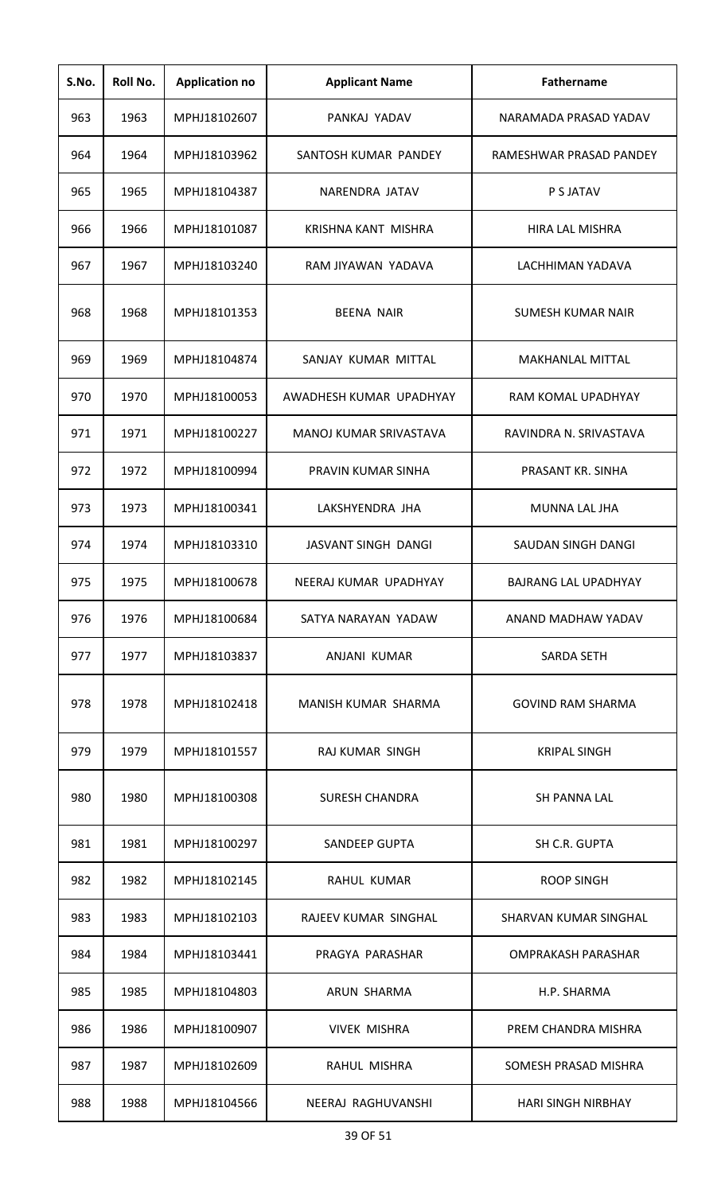| S.No. | Roll No. | <b>Application no</b> | <b>Applicant Name</b>   | Fathername                  |
|-------|----------|-----------------------|-------------------------|-----------------------------|
| 963   | 1963     | MPHJ18102607          | PANKAJ YADAV            | NARAMADA PRASAD YADAV       |
| 964   | 1964     | MPHJ18103962          | SANTOSH KUMAR PANDEY    | RAMESHWAR PRASAD PANDEY     |
| 965   | 1965     | MPHJ18104387          | NARENDRA JATAV          | P S JATAV                   |
| 966   | 1966     | MPHJ18101087          | KRISHNA KANT MISHRA     | <b>HIRA LAL MISHRA</b>      |
| 967   | 1967     | MPHJ18103240          | RAM JIYAWAN YADAVA      | LACHHIMAN YADAVA            |
| 968   | 1968     | MPHJ18101353          | <b>BEENA NAIR</b>       | <b>SUMESH KUMAR NAIR</b>    |
| 969   | 1969     | MPHJ18104874          | SANJAY KUMAR MITTAL     | <b>MAKHANLAL MITTAL</b>     |
| 970   | 1970     | MPHJ18100053          | AWADHESH KUMAR UPADHYAY | RAM KOMAL UPADHYAY          |
| 971   | 1971     | MPHJ18100227          | MANOJ KUMAR SRIVASTAVA  | RAVINDRA N. SRIVASTAVA      |
| 972   | 1972     | MPHJ18100994          | PRAVIN KUMAR SINHA      | PRASANT KR. SINHA           |
| 973   | 1973     | MPHJ18100341          | LAKSHYENDRA JHA         | MUNNA LAL JHA               |
| 974   | 1974     | MPHJ18103310          | JASVANT SINGH DANGI     | SAUDAN SINGH DANGI          |
| 975   | 1975     | MPHJ18100678          | NEERAJ KUMAR UPADHYAY   | <b>BAJRANG LAL UPADHYAY</b> |
| 976   | 1976     | MPHJ18100684          | SATYA NARAYAN YADAW     | ANAND MADHAW YADAV          |
| 977   | 1977     | MPHJ18103837          | ANJANI KUMAR            | <b>SARDA SETH</b>           |
| 978   | 1978     | MPHJ18102418          | MANISH KUMAR SHARMA     | <b>GOVIND RAM SHARMA</b>    |
| 979   | 1979     | MPHJ18101557          | RAJ KUMAR SINGH         | <b>KRIPAL SINGH</b>         |
| 980   | 1980     | MPHJ18100308          | <b>SURESH CHANDRA</b>   | SH PANNA LAL                |
| 981   | 1981     | MPHJ18100297          | <b>SANDEEP GUPTA</b>    | SH C.R. GUPTA               |
| 982   | 1982     | MPHJ18102145          | RAHUL KUMAR             | <b>ROOP SINGH</b>           |
| 983   | 1983     | MPHJ18102103          | RAJEEV KUMAR SINGHAL    | SHARVAN KUMAR SINGHAL       |
| 984   | 1984     | MPHJ18103441          | PRAGYA PARASHAR         | <b>OMPRAKASH PARASHAR</b>   |
| 985   | 1985     | MPHJ18104803          | ARUN SHARMA             | H.P. SHARMA                 |
| 986   | 1986     | MPHJ18100907          | <b>VIVEK MISHRA</b>     | PREM CHANDRA MISHRA         |
| 987   | 1987     | MPHJ18102609          | RAHUL MISHRA            | SOMESH PRASAD MISHRA        |
| 988   | 1988     | MPHJ18104566          | NEERAJ RAGHUVANSHI      | <b>HARI SINGH NIRBHAY</b>   |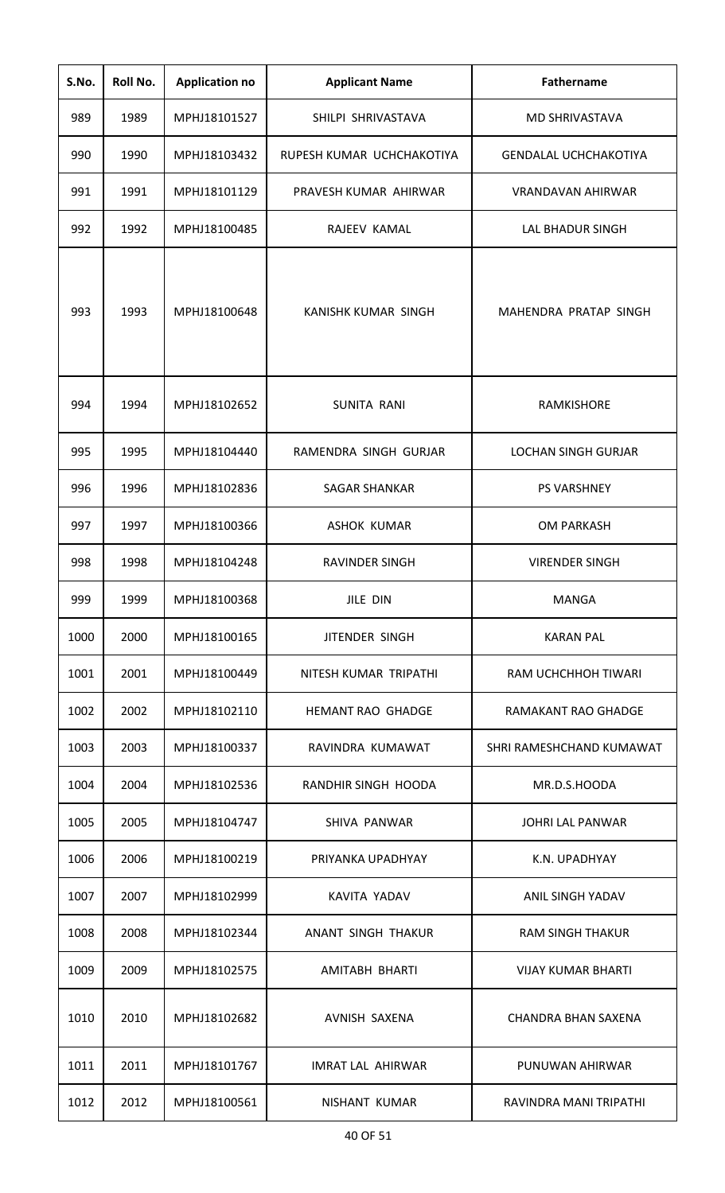| S.No. | Roll No. | <b>Application no</b> | <b>Applicant Name</b>     | <b>Fathername</b>            |
|-------|----------|-----------------------|---------------------------|------------------------------|
| 989   | 1989     | MPHJ18101527          | SHILPI SHRIVASTAVA        | <b>MD SHRIVASTAVA</b>        |
| 990   | 1990     | MPHJ18103432          | RUPESH KUMAR UCHCHAKOTIYA | <b>GENDALAL UCHCHAKOTIYA</b> |
| 991   | 1991     | MPHJ18101129          | PRAVESH KUMAR AHIRWAR     | <b>VRANDAVAN AHIRWAR</b>     |
| 992   | 1992     | MPHJ18100485          | RAJEEV KAMAL              | <b>LAL BHADUR SINGH</b>      |
| 993   | 1993     | MPHJ18100648          | KANISHK KUMAR SINGH       | MAHENDRA PRATAP SINGH        |
| 994   | 1994     | MPHJ18102652          | SUNITA RANI               | <b>RAMKISHORE</b>            |
| 995   | 1995     | MPHJ18104440          | RAMENDRA SINGH GURJAR     | <b>LOCHAN SINGH GURJAR</b>   |
| 996   | 1996     | MPHJ18102836          | <b>SAGAR SHANKAR</b>      | <b>PS VARSHNEY</b>           |
| 997   | 1997     | MPHJ18100366          | <b>ASHOK KUMAR</b>        | <b>OM PARKASH</b>            |
| 998   | 1998     | MPHJ18104248          | <b>RAVINDER SINGH</b>     | <b>VIRENDER SINGH</b>        |
| 999   | 1999     | MPHJ18100368          | JILE DIN                  | <b>MANGA</b>                 |
| 1000  | 2000     | MPHJ18100165          | <b>JITENDER SINGH</b>     | <b>KARAN PAL</b>             |
| 1001  | 2001     | MPHJ18100449          | NITESH KUMAR TRIPATHI     | RAM UCHCHHOH TIWARI          |
| 1002  | 2002     | MPHJ18102110          | <b>HEMANT RAO GHADGE</b>  | RAMAKANT RAO GHADGE          |
| 1003  | 2003     | MPHJ18100337          | RAVINDRA KUMAWAT          | SHRI RAMESHCHAND KUMAWAT     |
| 1004  | 2004     | MPHJ18102536          | RANDHIR SINGH HOODA       | MR.D.S.HOODA                 |
| 1005  | 2005     | MPHJ18104747          | SHIVA PANWAR              | <b>JOHRI LAL PANWAR</b>      |
| 1006  | 2006     | MPHJ18100219          | PRIYANKA UPADHYAY         | K.N. UPADHYAY                |
| 1007  | 2007     | MPHJ18102999          | KAVITA YADAV              | ANIL SINGH YADAV             |
| 1008  | 2008     | MPHJ18102344          | ANANT SINGH THAKUR        | <b>RAM SINGH THAKUR</b>      |
| 1009  | 2009     | MPHJ18102575          | AMITABH BHARTI            | <b>VIJAY KUMAR BHARTI</b>    |
| 1010  | 2010     | MPHJ18102682          | AVNISH SAXENA             | <b>CHANDRA BHAN SAXENA</b>   |
| 1011  | 2011     | MPHJ18101767          | <b>IMRAT LAL AHIRWAR</b>  | PUNUWAN AHIRWAR              |
| 1012  | 2012     | MPHJ18100561          | <b>NISHANT KUMAR</b>      | RAVINDRA MANI TRIPATHI       |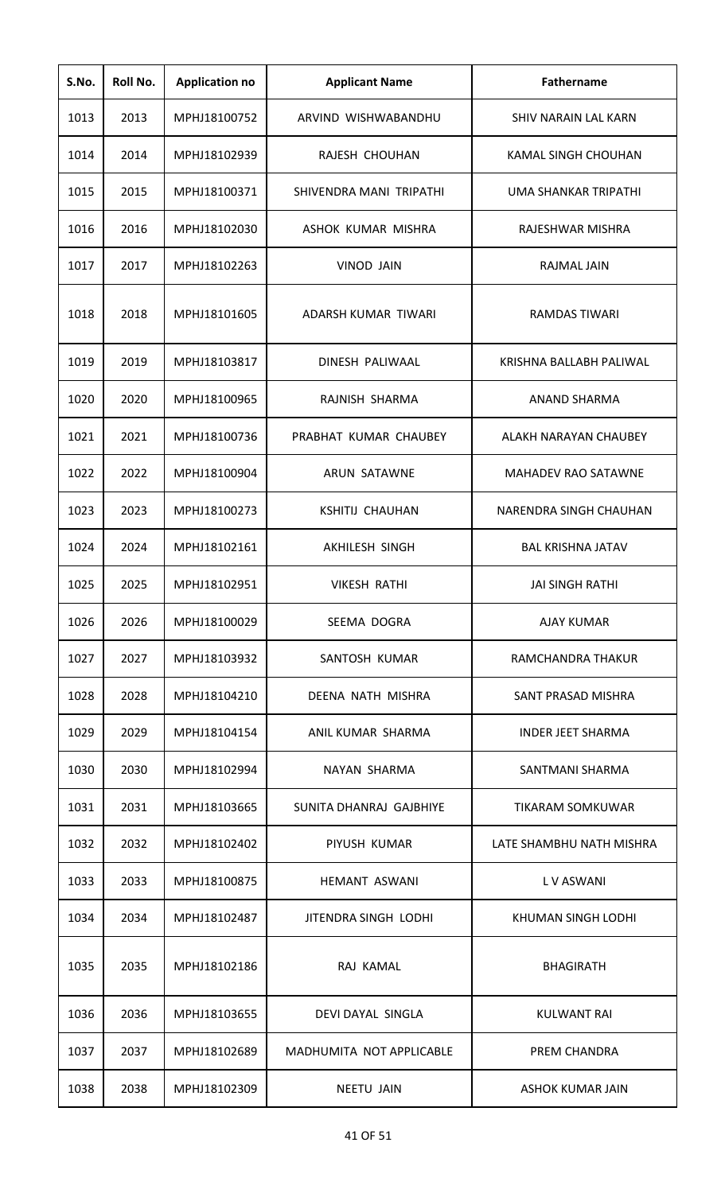| S.No. | Roll No. | <b>Application no</b> | <b>Applicant Name</b>    | <b>Fathername</b>          |
|-------|----------|-----------------------|--------------------------|----------------------------|
| 1013  | 2013     | MPHJ18100752          | ARVIND WISHWABANDHU      | SHIV NARAIN LAL KARN       |
| 1014  | 2014     | MPHJ18102939          | RAJESH CHOUHAN           | KAMAL SINGH CHOUHAN        |
| 1015  | 2015     | MPHJ18100371          | SHIVENDRA MANI TRIPATHI  | UMA SHANKAR TRIPATHI       |
| 1016  | 2016     | MPHJ18102030          | ASHOK KUMAR MISHRA       | RAJESHWAR MISHRA           |
| 1017  | 2017     | MPHJ18102263          | <b>VINOD JAIN</b>        | RAJMAL JAIN                |
| 1018  | 2018     | MPHJ18101605          | ADARSH KUMAR TIWARI      | RAMDAS TIWARI              |
| 1019  | 2019     | MPHJ18103817          | DINESH PALIWAAL          | KRISHNA BALLABH PALIWAL    |
| 1020  | 2020     | MPHJ18100965          | RAJNISH SHARMA           | ANAND SHARMA               |
| 1021  | 2021     | MPHJ18100736          | PRABHAT KUMAR CHAUBEY    | ALAKH NARAYAN CHAUBEY      |
| 1022  | 2022     | MPHJ18100904          | <b>ARUN SATAWNE</b>      | <b>MAHADEV RAO SATAWNE</b> |
| 1023  | 2023     | MPHJ18100273          | <b>KSHITIJ CHAUHAN</b>   | NARENDRA SINGH CHAUHAN     |
| 1024  | 2024     | MPHJ18102161          | <b>AKHILESH SINGH</b>    | <b>BAL KRISHNA JATAV</b>   |
| 1025  | 2025     | MPHJ18102951          | <b>VIKESH RATHI</b>      | <b>JAI SINGH RATHI</b>     |
| 1026  | 2026     | MPHJ18100029          | SEEMA DOGRA              | AJAY KUMAR                 |
| 1027  | 2027     | MPHJ18103932          | SANTOSH KUMAR            | RAMCHANDRA THAKUR          |
| 1028  | 2028     | MPHJ18104210          | DEENA NATH MISHRA        | SANT PRASAD MISHRA         |
| 1029  | 2029     | MPHJ18104154          | ANIL KUMAR SHARMA        | <b>INDER JEET SHARMA</b>   |
| 1030  | 2030     | MPHJ18102994          | NAYAN SHARMA             | SANTMANI SHARMA            |
| 1031  | 2031     | MPHJ18103665          | SUNITA DHANRAJ GAJBHIYE  | TIKARAM SOMKUWAR           |
| 1032  | 2032     | MPHJ18102402          | PIYUSH KUMAR             | LATE SHAMBHU NATH MISHRA   |
| 1033  | 2033     | MPHJ18100875          | HEMANT ASWANI            | L V ASWANI                 |
| 1034  | 2034     | MPHJ18102487          | JITENDRA SINGH LODHI     | KHUMAN SINGH LODHI         |
| 1035  | 2035     | MPHJ18102186          | RAJ KAMAL                | <b>BHAGIRATH</b>           |
| 1036  | 2036     | MPHJ18103655          | DEVI DAYAL SINGLA        | KULWANT RAI                |
| 1037  | 2037     | MPHJ18102689          | MADHUMITA NOT APPLICABLE | PREM CHANDRA               |
| 1038  | 2038     | MPHJ18102309          | <b>NEETU JAIN</b>        | ASHOK KUMAR JAIN           |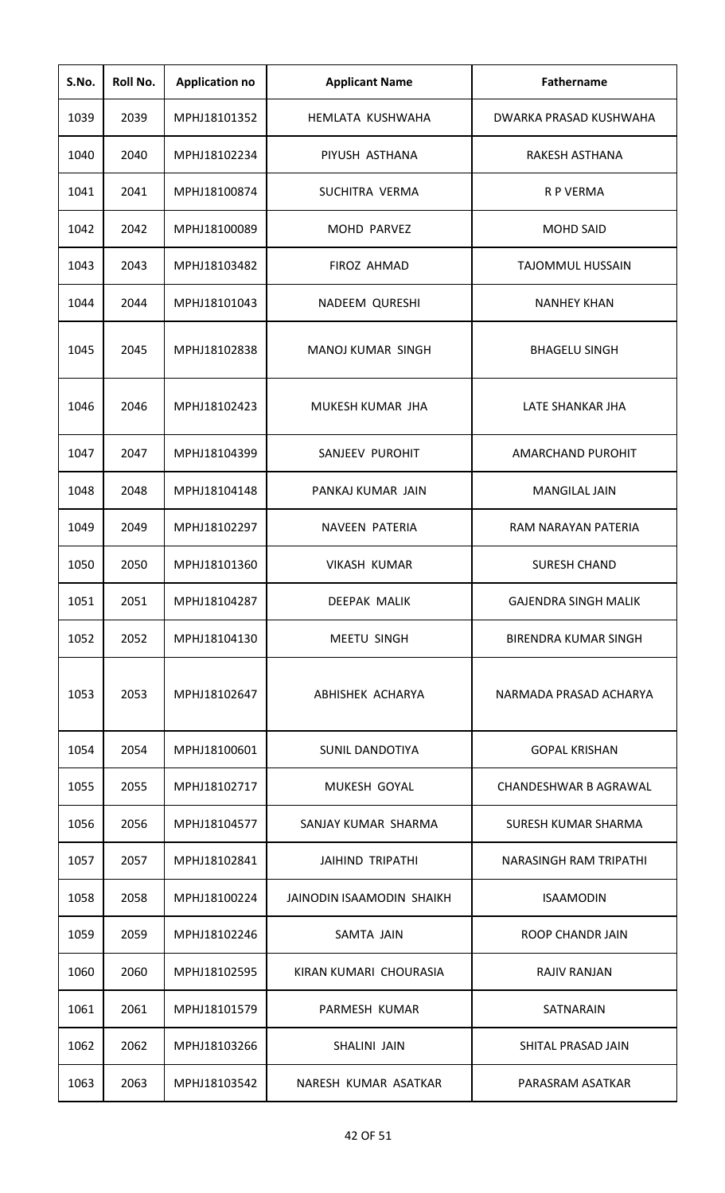| S.No. | Roll No. | <b>Application no</b> | <b>Applicant Name</b>     | <b>Fathername</b>           |
|-------|----------|-----------------------|---------------------------|-----------------------------|
| 1039  | 2039     | MPHJ18101352          | HEMLATA KUSHWAHA          | DWARKA PRASAD KUSHWAHA      |
| 1040  | 2040     | MPHJ18102234          | PIYUSH ASTHANA            | RAKESH ASTHANA              |
| 1041  | 2041     | MPHJ18100874          | SUCHITRA VERMA            | R P VERMA                   |
| 1042  | 2042     | MPHJ18100089          | <b>MOHD PARVEZ</b>        | <b>MOHD SAID</b>            |
| 1043  | 2043     | MPHJ18103482          | <b>FIROZ AHMAD</b>        | <b>TAJOMMUL HUSSAIN</b>     |
| 1044  | 2044     | MPHJ18101043          | NADEEM QURESHI            | <b>NANHEY KHAN</b>          |
| 1045  | 2045     | MPHJ18102838          | <b>MANOJ KUMAR SINGH</b>  | <b>BHAGELU SINGH</b>        |
| 1046  | 2046     | MPHJ18102423          | MUKESH KUMAR JHA          | LATE SHANKAR JHA            |
| 1047  | 2047     | MPHJ18104399          | SANJEEV PUROHIT           | <b>AMARCHAND PUROHIT</b>    |
| 1048  | 2048     | MPHJ18104148          | PANKAJ KUMAR JAIN         | <b>MANGILAL JAIN</b>        |
| 1049  | 2049     | MPHJ18102297          | <b>NAVEEN PATERIA</b>     | RAM NARAYAN PATERIA         |
| 1050  | 2050     | MPHJ18101360          | <b>VIKASH KUMAR</b>       | <b>SURESH CHAND</b>         |
| 1051  | 2051     | MPHJ18104287          | <b>DEEPAK MALIK</b>       | <b>GAJENDRA SINGH MALIK</b> |
| 1052  | 2052     | MPHJ18104130          | <b>MEETU SINGH</b>        | <b>BIRENDRA KUMAR SINGH</b> |
| 1053  | 2053     | MPHJ18102647          | ABHISHEK ACHARYA          | NARMADA PRASAD ACHARYA      |
| 1054  | 2054     | MPHJ18100601          | <b>SUNIL DANDOTIYA</b>    | <b>GOPAL KRISHAN</b>        |
| 1055  | 2055     | MPHJ18102717          | MUKESH GOYAL              | CHANDESHWAR B AGRAWAL       |
| 1056  | 2056     | MPHJ18104577          | SANJAY KUMAR SHARMA       | SURESH KUMAR SHARMA         |
| 1057  | 2057     | MPHJ18102841          | <b>JAIHIND TRIPATHI</b>   | NARASINGH RAM TRIPATHI      |
| 1058  | 2058     | MPHJ18100224          | JAINODIN ISAAMODIN SHAIKH | <b>ISAAMODIN</b>            |
| 1059  | 2059     | MPHJ18102246          | SAMTA JAIN                | <b>ROOP CHANDR JAIN</b>     |
| 1060  | 2060     | MPHJ18102595          | KIRAN KUMARI CHOURASIA    | <b>RAJIV RANJAN</b>         |
| 1061  | 2061     | MPHJ18101579          | PARMESH KUMAR             | SATNARAIN                   |
| 1062  | 2062     | MPHJ18103266          | SHALINI JAIN              | SHITAL PRASAD JAIN          |
| 1063  | 2063     | MPHJ18103542          | NARESH KUMAR ASATKAR      | PARASRAM ASATKAR            |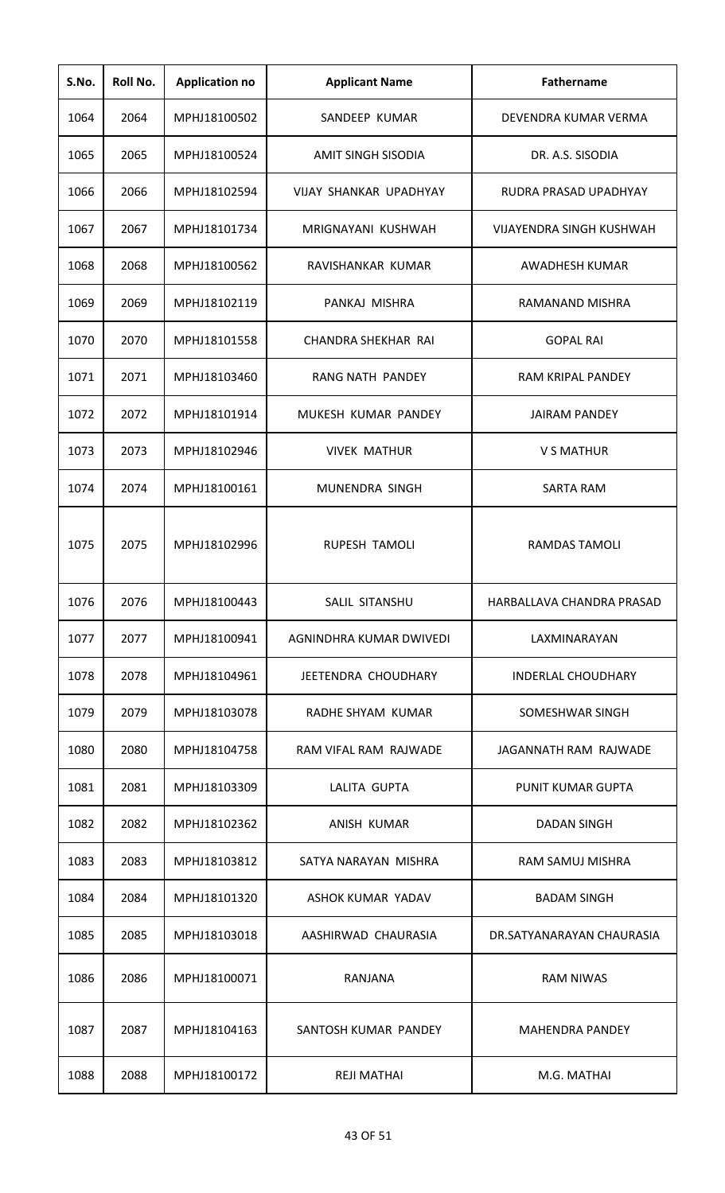| S.No. | Roll No. | <b>Application no</b> | <b>Applicant Name</b>     | <b>Fathername</b>               |
|-------|----------|-----------------------|---------------------------|---------------------------------|
| 1064  | 2064     | MPHJ18100502          | SANDEEP KUMAR             | DEVENDRA KUMAR VERMA            |
| 1065  | 2065     | MPHJ18100524          | <b>AMIT SINGH SISODIA</b> | DR. A.S. SISODIA                |
| 1066  | 2066     | MPHJ18102594          | VIJAY SHANKAR UPADHYAY    | RUDRA PRASAD UPADHYAY           |
| 1067  | 2067     | MPHJ18101734          | MRIGNAYANI KUSHWAH        | <b>VIJAYENDRA SINGH KUSHWAH</b> |
| 1068  | 2068     | MPHJ18100562          | RAVISHANKAR KUMAR         | AWADHESH KUMAR                  |
| 1069  | 2069     | MPHJ18102119          | PANKAJ MISHRA             | RAMANAND MISHRA                 |
| 1070  | 2070     | MPHJ18101558          | CHANDRA SHEKHAR RAI       | <b>GOPAL RAI</b>                |
| 1071  | 2071     | MPHJ18103460          | RANG NATH PANDEY          | <b>RAM KRIPAL PANDEY</b>        |
| 1072  | 2072     | MPHJ18101914          | MUKESH KUMAR PANDEY       | <b>JAIRAM PANDEY</b>            |
| 1073  | 2073     | MPHJ18102946          | <b>VIVEK MATHUR</b>       | V S MATHUR                      |
| 1074  | 2074     | MPHJ18100161          | MUNENDRA SINGH            | <b>SARTA RAM</b>                |
| 1075  | 2075     | MPHJ18102996          | <b>RUPESH TAMOLI</b>      | <b>RAMDAS TAMOLI</b>            |
| 1076  | 2076     | MPHJ18100443          | SALIL SITANSHU            | HARBALLAVA CHANDRA PRASAD       |
| 1077  | 2077     | MPHJ18100941          | AGNINDHRA KUMAR DWIVEDI   | LAXMINARAYAN                    |
| 1078  | 2078     | MPHJ18104961          | JEETENDRA CHOUDHARY       | <b>INDERLAL CHOUDHARY</b>       |
| 1079  | 2079     | MPHJ18103078          | RADHE SHYAM KUMAR         | SOMESHWAR SINGH                 |
| 1080  | 2080     | MPHJ18104758          | RAM VIFAL RAM RAJWADE     | JAGANNATH RAM RAJWADE           |
| 1081  | 2081     | MPHJ18103309          | LALITA GUPTA              | <b>PUNIT KUMAR GUPTA</b>        |
| 1082  | 2082     | MPHJ18102362          | ANISH KUMAR               | <b>DADAN SINGH</b>              |
| 1083  | 2083     | MPHJ18103812          | SATYA NARAYAN MISHRA      | RAM SAMUJ MISHRA                |
| 1084  | 2084     | MPHJ18101320          | ASHOK KUMAR YADAV         | <b>BADAM SINGH</b>              |
| 1085  | 2085     | MPHJ18103018          | AASHIRWAD CHAURASIA       | DR.SATYANARAYAN CHAURASIA       |
| 1086  | 2086     | MPHJ18100071          | RANJANA                   | <b>RAM NIWAS</b>                |
| 1087  | 2087     | MPHJ18104163          | SANTOSH KUMAR PANDEY      | <b>MAHENDRA PANDEY</b>          |
| 1088  | 2088     | MPHJ18100172          | <b>REJI MATHAI</b>        | M.G. MATHAI                     |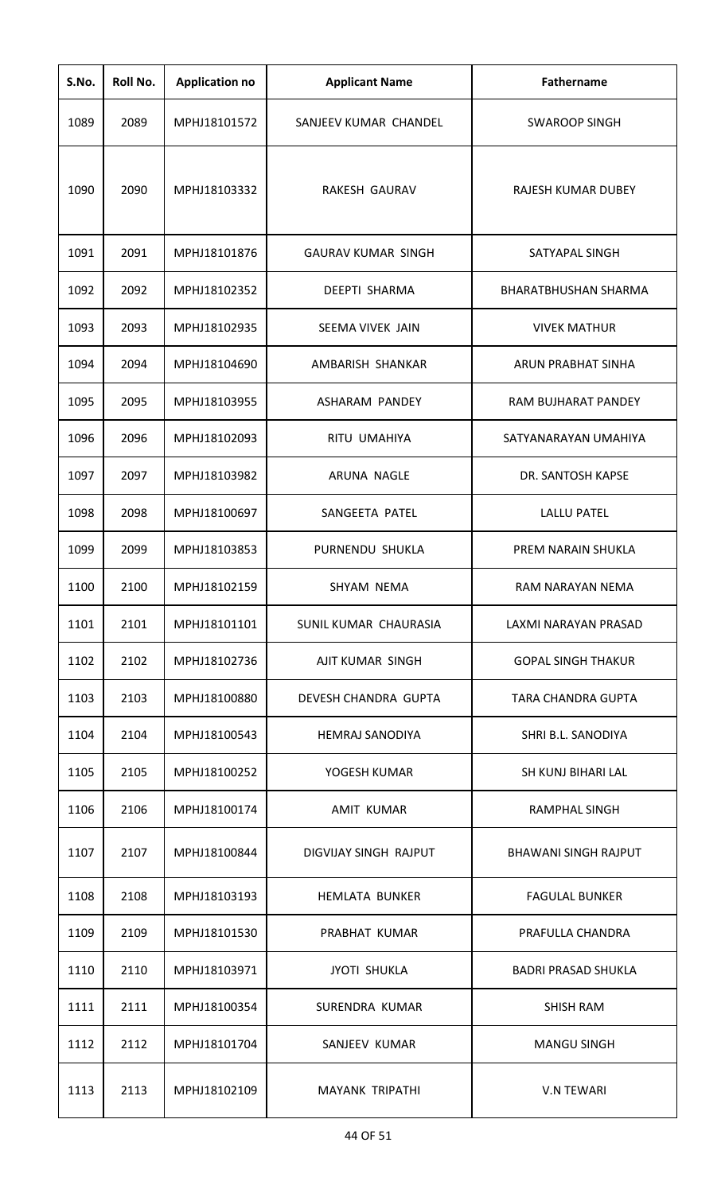| S.No. | Roll No. | <b>Application no</b> | <b>Applicant Name</b>     | <b>Fathername</b>           |
|-------|----------|-----------------------|---------------------------|-----------------------------|
| 1089  | 2089     | MPHJ18101572          | SANJEEV KUMAR CHANDEL     | <b>SWAROOP SINGH</b>        |
| 1090  | 2090     | MPHJ18103332          | RAKESH GAURAV             | RAJESH KUMAR DUBEY          |
| 1091  | 2091     | MPHJ18101876          | <b>GAURAV KUMAR SINGH</b> | SATYAPAL SINGH              |
| 1092  | 2092     | MPHJ18102352          | <b>DEEPTI SHARMA</b>      | <b>BHARATBHUSHAN SHARMA</b> |
| 1093  | 2093     | MPHJ18102935          | SEEMA VIVEK JAIN          | <b>VIVEK MATHUR</b>         |
| 1094  | 2094     | MPHJ18104690          | AMBARISH SHANKAR          | ARUN PRABHAT SINHA          |
| 1095  | 2095     | MPHJ18103955          | ASHARAM PANDEY            | RAM BUJHARAT PANDEY         |
| 1096  | 2096     | MPHJ18102093          | RITU UMAHIYA              | SATYANARAYAN UMAHIYA        |
| 1097  | 2097     | MPHJ18103982          | ARUNA NAGLE               | DR. SANTOSH KAPSE           |
| 1098  | 2098     | MPHJ18100697          | SANGEETA PATEL            | <b>LALLU PATEL</b>          |
| 1099  | 2099     | MPHJ18103853          | PURNENDU SHUKLA           | PREM NARAIN SHUKLA          |
| 1100  | 2100     | MPHJ18102159          | SHYAM NEMA                | RAM NARAYAN NEMA            |
| 1101  | 2101     | MPHJ18101101          | SUNIL KUMAR CHAURASIA     | LAXMI NARAYAN PRASAD        |
| 1102  | 2102     | MPHJ18102736          | AJIT KUMAR SINGH          | <b>GOPAL SINGH THAKUR</b>   |
| 1103  | 2103     | MPHJ18100880          | DEVESH CHANDRA GUPTA      | <b>TARA CHANDRA GUPTA</b>   |
| 1104  | 2104     | MPHJ18100543          | <b>HEMRAJ SANODIYA</b>    | SHRI B.L. SANODIYA          |
| 1105  | 2105     | MPHJ18100252          | YOGESH KUMAR              | SH KUNJ BIHARI LAL          |
| 1106  | 2106     | MPHJ18100174          | <b>AMIT KUMAR</b>         | <b>RAMPHAL SINGH</b>        |
| 1107  | 2107     | MPHJ18100844          | DIGVIJAY SINGH RAJPUT     | <b>BHAWANI SINGH RAJPUT</b> |
| 1108  | 2108     | MPHJ18103193          | <b>HEMLATA BUNKER</b>     | <b>FAGULAL BUNKER</b>       |
| 1109  | 2109     | MPHJ18101530          | PRABHAT KUMAR             | PRAFULLA CHANDRA            |
| 1110  | 2110     | MPHJ18103971          | <b>JYOTI SHUKLA</b>       | <b>BADRI PRASAD SHUKLA</b>  |
| 1111  | 2111     | MPHJ18100354          | SURENDRA KUMAR            | <b>SHISH RAM</b>            |
| 1112  | 2112     | MPHJ18101704          | SANJEEV KUMAR             | <b>MANGU SINGH</b>          |
| 1113  | 2113     | MPHJ18102109          | <b>MAYANK TRIPATHI</b>    | <b>V.N TEWARI</b>           |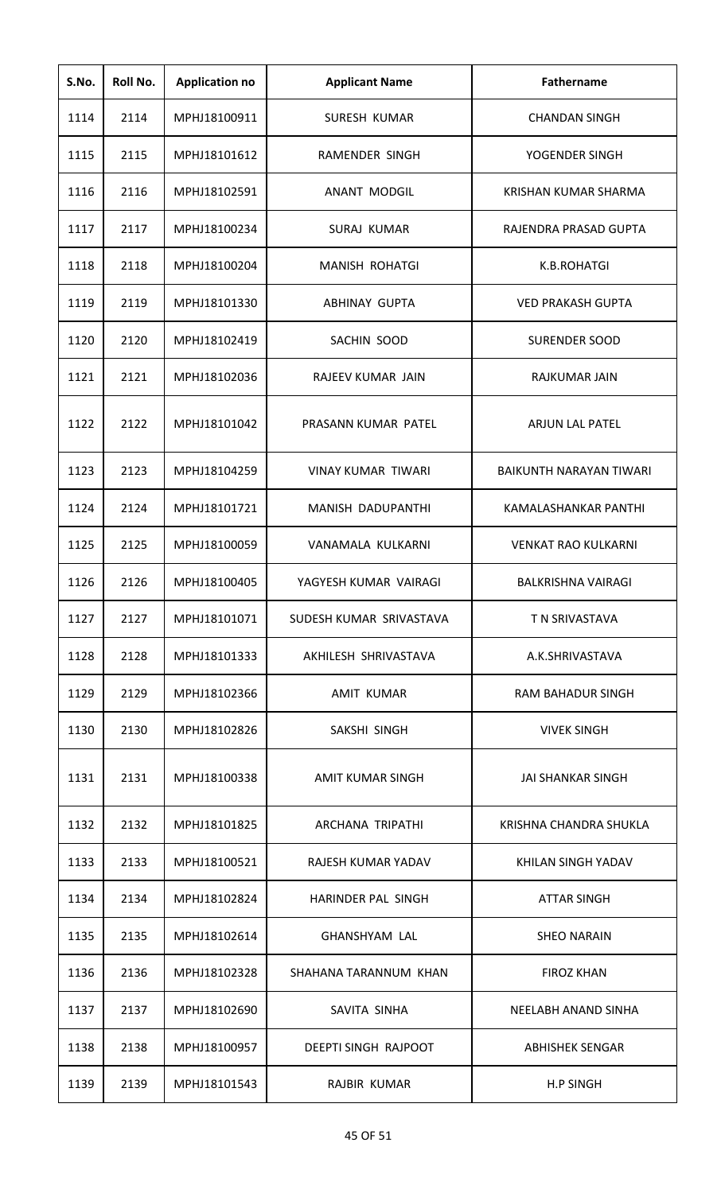| S.No. | Roll No. | <b>Application no</b> | <b>Applicant Name</b>       | <b>Fathername</b>          |
|-------|----------|-----------------------|-----------------------------|----------------------------|
| 1114  | 2114     | MPHJ18100911          | SURESH KUMAR                | <b>CHANDAN SINGH</b>       |
| 1115  | 2115     | MPHJ18101612          | RAMENDER SINGH              | YOGENDER SINGH             |
| 1116  | 2116     | MPHJ18102591          | <b>ANANT MODGIL</b>         | KRISHAN KUMAR SHARMA       |
| 1117  | 2117     | MPHJ18100234          | <b>SURAJ KUMAR</b>          | RAJENDRA PRASAD GUPTA      |
| 1118  | 2118     | MPHJ18100204          | <b>MANISH ROHATGI</b>       | K.B.ROHATGI                |
| 1119  | 2119     | MPHJ18101330          | <b>ABHINAY GUPTA</b>        | <b>VED PRAKASH GUPTA</b>   |
| 1120  | 2120     | MPHJ18102419          | SACHIN SOOD                 | <b>SURENDER SOOD</b>       |
| 1121  | 2121     | MPHJ18102036          | RAJEEV KUMAR JAIN           | RAJKUMAR JAIN              |
| 1122  | 2122     | MPHJ18101042          | PRASANN KUMAR PATEL         | ARJUN LAL PATEL            |
| 1123  | 2123     | MPHJ18104259          | VINAY KUMAR TIWARI          | BAIKUNTH NARAYAN TIWARI    |
| 1124  | 2124     | MPHJ18101721          | MANISH DADUPANTHI           | KAMALASHANKAR PANTHI       |
| 1125  | 2125     | MPHJ18100059          | VANAMALA KULKARNI           | <b>VENKAT RAO KULKARNI</b> |
| 1126  | 2126     | MPHJ18100405          | YAGYESH KUMAR VAIRAGI       | <b>BALKRISHNA VAIRAGI</b>  |
| 1127  | 2127     | MPHJ18101071          | SUDESH KUMAR SRIVASTAVA     | T N SRIVASTAVA             |
| 1128  | 2128     | MPHJ18101333          | AKHILESH SHRIVASTAVA        | A.K.SHRIVASTAVA            |
| 1129  | 2129     | MPHJ18102366          | AMIT KUMAR                  | RAM BAHADUR SINGH          |
| 1130  | 2130     | MPHJ18102826          | SAKSHI SINGH                | <b>VIVEK SINGH</b>         |
| 1131  | 2131     | MPHJ18100338          | AMIT KUMAR SINGH            | JAI SHANKAR SINGH          |
| 1132  | 2132     | MPHJ18101825          | ARCHANA TRIPATHI            | KRISHNA CHANDRA SHUKLA     |
| 1133  | 2133     | MPHJ18100521          | RAJESH KUMAR YADAV          | KHILAN SINGH YADAV         |
| 1134  | 2134     | MPHJ18102824          | HARINDER PAL SINGH          | <b>ATTAR SINGH</b>         |
| 1135  | 2135     | MPHJ18102614          | <b>GHANSHYAM LAL</b>        | <b>SHEO NARAIN</b>         |
| 1136  | 2136     | MPHJ18102328          | SHAHANA TARANNUM KHAN       | <b>FIROZ KHAN</b>          |
| 1137  | 2137     | MPHJ18102690          | SAVITA SINHA                | NEELABH ANAND SINHA        |
| 1138  | 2138     | MPHJ18100957          | <b>DEEPTI SINGH RAJPOOT</b> | <b>ABHISHEK SENGAR</b>     |
| 1139  | 2139     | MPHJ18101543          | RAJBIR KUMAR                | <b>H.P SINGH</b>           |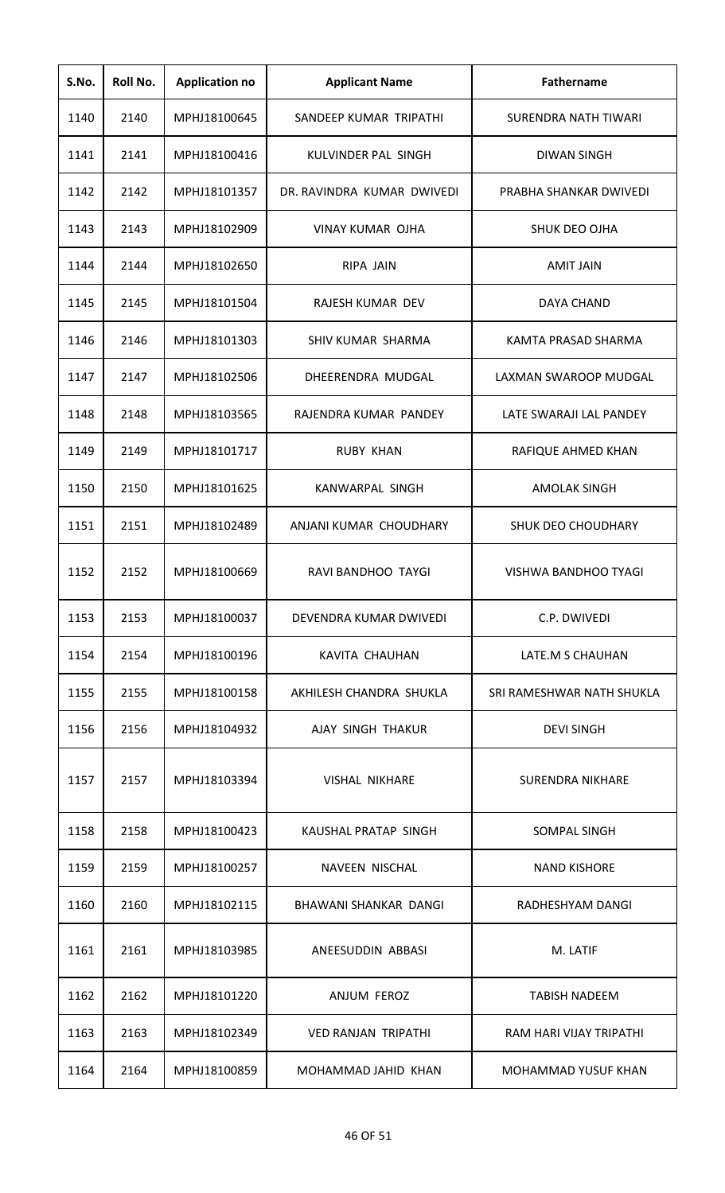| S.No. | Roll No. | <b>Application no</b> | <b>Applicant Name</b>      | <b>Fathername</b>          |
|-------|----------|-----------------------|----------------------------|----------------------------|
| 1140  | 2140     | MPHJ18100645          | SANDEEP KUMAR TRIPATHI     | SURENDRA NATH TIWARI       |
| 1141  | 2141     | MPHJ18100416          | KULVINDER PAL SINGH        | <b>DIWAN SINGH</b>         |
| 1142  | 2142     | MPHJ18101357          | DR. RAVINDRA KUMAR DWIVEDI | PRABHA SHANKAR DWIVEDI     |
| 1143  | 2143     | MPHJ18102909          | VINAY KUMAR OJHA           | <b>SHUK DEO OJHA</b>       |
| 1144  | 2144     | MPHJ18102650          | RIPA JAIN                  | <b>AMIT JAIN</b>           |
| 1145  | 2145     | MPHJ18101504          | RAJESH KUMAR DEV           | DAYA CHAND                 |
| 1146  | 2146     | MPHJ18101303          | SHIV KUMAR SHARMA          | KAMTA PRASAD SHARMA        |
| 1147  | 2147     | MPHJ18102506          | DHEERENDRA MUDGAL          | LAXMAN SWAROOP MUDGAL      |
| 1148  | 2148     | MPHJ18103565          | RAJENDRA KUMAR PANDEY      | LATE SWARAJI LAL PANDEY    |
| 1149  | 2149     | MPHJ18101717          | <b>RUBY KHAN</b>           | RAFIQUE AHMED KHAN         |
| 1150  | 2150     | MPHJ18101625          | <b>KANWARPAL SINGH</b>     | <b>AMOLAK SINGH</b>        |
| 1151  | 2151     | MPHJ18102489          | ANJANI KUMAR CHOUDHARY     | <b>SHUK DEO CHOUDHARY</b>  |
| 1152  | 2152     | MPHJ18100669          | RAVI BANDHOO TAYGI         | VISHWA BANDHOO TYAGI       |
| 1153  | 2153     | MPHJ18100037          | DEVENDRA KUMAR DWIVEDI     | C.P. DWIVEDI               |
| 1154  | 2154     | MPHJ18100196          | KAVITA CHAUHAN             | LATE.M S CHAUHAN           |
| 1155  | 2155     | MPHJ18100158          | AKHILESH CHANDRA SHUKLA    | SRI RAMESHWAR NATH SHUKLA  |
| 1156  | 2156     | MPHJ18104932          | AJAY SINGH THAKUR          | <b>DEVI SINGH</b>          |
| 1157  | 2157     | MPHJ18103394          | <b>VISHAL NIKHARE</b>      | <b>SURENDRA NIKHARE</b>    |
| 1158  | 2158     | MPHJ18100423          | KAUSHAL PRATAP SINGH       | SOMPAL SINGH               |
| 1159  | 2159     | MPHJ18100257          | NAVEEN NISCHAL             | <b>NAND KISHORE</b>        |
| 1160  | 2160     | MPHJ18102115          | BHAWANI SHANKAR DANGI      | RADHESHYAM DANGI           |
| 1161  | 2161     | MPHJ18103985          | ANEESUDDIN ABBASI          | M. LATIF                   |
| 1162  | 2162     | MPHJ18101220          | <b>ANJUM FEROZ</b>         | <b>TABISH NADEEM</b>       |
| 1163  | 2163     | MPHJ18102349          | <b>VED RANJAN TRIPATHI</b> | RAM HARI VIJAY TRIPATHI    |
| 1164  | 2164     | MPHJ18100859          | MOHAMMAD JAHID KHAN        | <b>MOHAMMAD YUSUF KHAN</b> |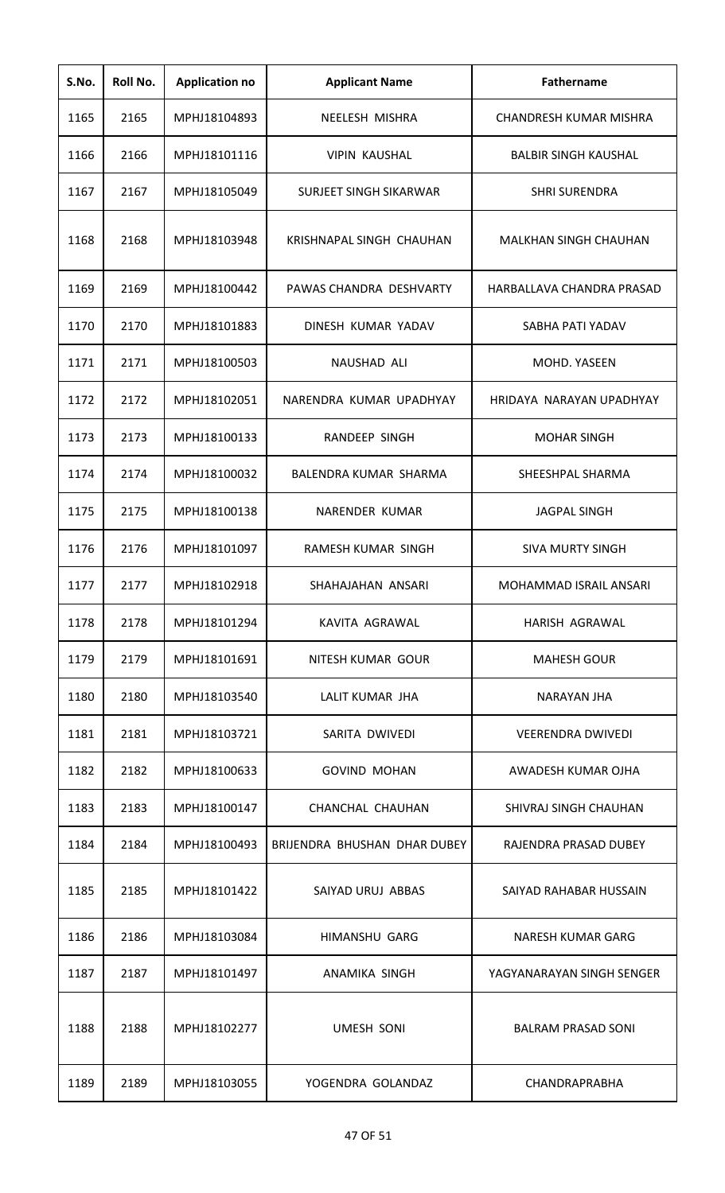| S.No. | Roll No. | <b>Application no</b> | <b>Applicant Name</b>        | Fathername                    |
|-------|----------|-----------------------|------------------------------|-------------------------------|
| 1165  | 2165     | MPHJ18104893          | NEELESH MISHRA               | <b>CHANDRESH KUMAR MISHRA</b> |
| 1166  | 2166     | MPHJ18101116          | <b>VIPIN KAUSHAL</b>         | <b>BALBIR SINGH KAUSHAL</b>   |
| 1167  | 2167     | MPHJ18105049          | SURJEET SINGH SIKARWAR       | <b>SHRI SURENDRA</b>          |
| 1168  | 2168     | MPHJ18103948          | KRISHNAPAL SINGH CHAUHAN     | MALKHAN SINGH CHAUHAN         |
| 1169  | 2169     | MPHJ18100442          | PAWAS CHANDRA DESHVARTY      | HARBALLAVA CHANDRA PRASAD     |
| 1170  | 2170     | MPHJ18101883          | DINESH KUMAR YADAV           | SABHA PATI YADAV              |
| 1171  | 2171     | MPHJ18100503          | NAUSHAD ALI                  | MOHD. YASEEN                  |
| 1172  | 2172     | MPHJ18102051          | NARENDRA KUMAR UPADHYAY      | HRIDAYA NARAYAN UPADHYAY      |
| 1173  | 2173     | MPHJ18100133          | RANDEEP SINGH                | <b>MOHAR SINGH</b>            |
| 1174  | 2174     | MPHJ18100032          | BALENDRA KUMAR SHARMA        | SHEESHPAL SHARMA              |
| 1175  | 2175     | MPHJ18100138          | NARENDER KUMAR               | <b>JAGPAL SINGH</b>           |
| 1176  | 2176     | MPHJ18101097          | RAMESH KUMAR SINGH           | <b>SIVA MURTY SINGH</b>       |
| 1177  | 2177     | MPHJ18102918          | SHAHAJAHAN ANSARI            | <b>MOHAMMAD ISRAIL ANSARI</b> |
| 1178  | 2178     | MPHJ18101294          | KAVITA AGRAWAL               | HARISH AGRAWAL                |
| 1179  | 2179     | MPHJ18101691          | NITESH KUMAR GOUR            | <b>MAHESH GOUR</b>            |
| 1180  | 2180     | MPHJ18103540          | LALIT KUMAR JHA              | NARAYAN JHA                   |
| 1181  | 2181     | MPHJ18103721          | SARITA DWIVEDI               | <b>VEERENDRA DWIVEDI</b>      |
| 1182  | 2182     | MPHJ18100633          | <b>GOVIND MOHAN</b>          | AWADESH KUMAR OJHA            |
| 1183  | 2183     | MPHJ18100147          | CHANCHAL CHAUHAN             | SHIVRAJ SINGH CHAUHAN         |
| 1184  | 2184     | MPHJ18100493          | BRIJENDRA BHUSHAN DHAR DUBEY | RAJENDRA PRASAD DUBEY         |
| 1185  | 2185     | MPHJ18101422          | SAIYAD URUJ ABBAS            | SAIYAD RAHABAR HUSSAIN        |
| 1186  | 2186     | MPHJ18103084          | <b>HIMANSHU GARG</b>         | NARESH KUMAR GARG             |
| 1187  | 2187     | MPHJ18101497          | ANAMIKA SINGH                | YAGYANARAYAN SINGH SENGER     |
| 1188  | 2188     | MPHJ18102277          | <b>UMESH SONI</b>            | <b>BALRAM PRASAD SONI</b>     |
| 1189  | 2189     | MPHJ18103055          | YOGENDRA GOLANDAZ            | CHANDRAPRABHA                 |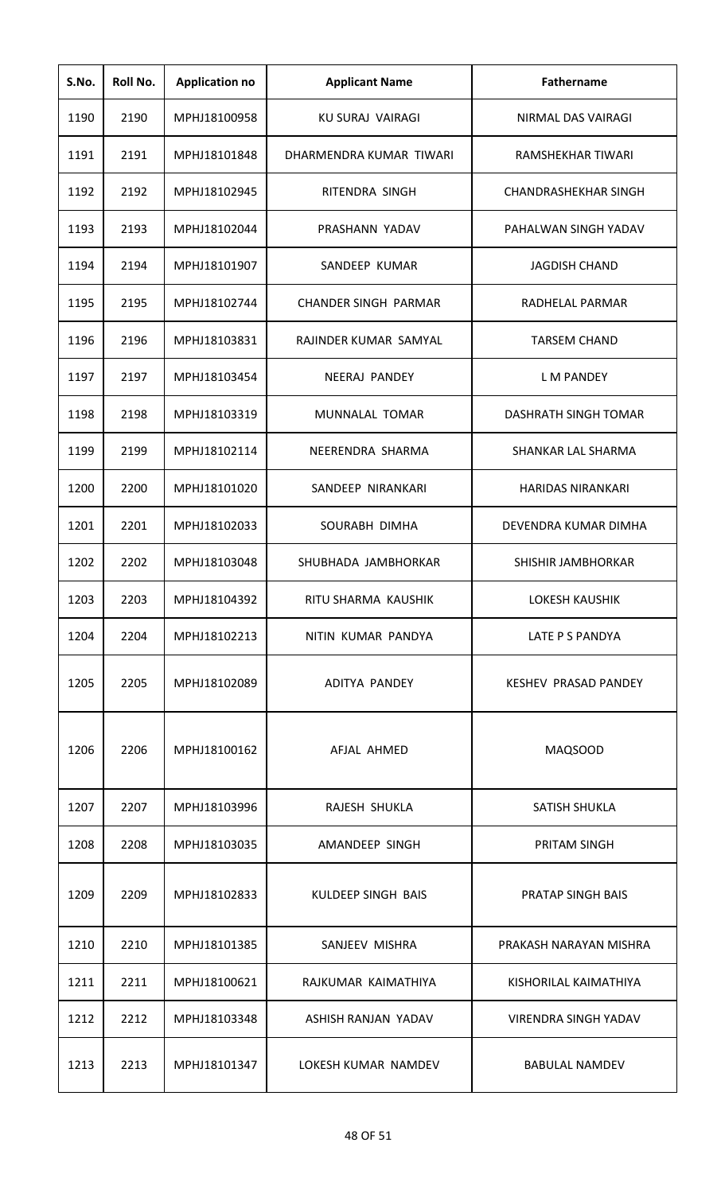| S.No. | Roll No. | <b>Application no</b> | <b>Applicant Name</b>       | <b>Fathername</b>           |
|-------|----------|-----------------------|-----------------------------|-----------------------------|
| 1190  | 2190     | MPHJ18100958          | KU SURAJ VAIRAGI            | NIRMAL DAS VAIRAGI          |
| 1191  | 2191     | MPHJ18101848          | DHARMENDRA KUMAR TIWARI     | RAMSHEKHAR TIWARI           |
| 1192  | 2192     | MPHJ18102945          | RITENDRA SINGH              | <b>CHANDRASHEKHAR SINGH</b> |
| 1193  | 2193     | MPHJ18102044          | PRASHANN YADAV              | PAHALWAN SINGH YADAV        |
| 1194  | 2194     | MPHJ18101907          | SANDEEP KUMAR               | <b>JAGDISH CHAND</b>        |
| 1195  | 2195     | MPHJ18102744          | <b>CHANDER SINGH PARMAR</b> | RADHELAL PARMAR             |
| 1196  | 2196     | MPHJ18103831          | RAJINDER KUMAR SAMYAL       | <b>TARSEM CHAND</b>         |
| 1197  | 2197     | MPHJ18103454          | <b>NEERAJ PANDEY</b>        | <b>LM PANDEY</b>            |
| 1198  | 2198     | MPHJ18103319          | MUNNALAL TOMAR              | DASHRATH SINGH TOMAR        |
| 1199  | 2199     | MPHJ18102114          | NEERENDRA SHARMA            | SHANKAR LAL SHARMA          |
| 1200  | 2200     | MPHJ18101020          | SANDEEP NIRANKARI           | <b>HARIDAS NIRANKARI</b>    |
| 1201  | 2201     | MPHJ18102033          | SOURABH DIMHA               | DEVENDRA KUMAR DIMHA        |
| 1202  | 2202     | MPHJ18103048          | SHUBHADA JAMBHORKAR         | SHISHIR JAMBHORKAR          |
| 1203  | 2203     | MPHJ18104392          | RITU SHARMA KAUSHIK         | <b>LOKESH KAUSHIK</b>       |
| 1204  | 2204     | MPHJ18102213          | NITIN KUMAR PANDYA          | LATE P S PANDYA             |
| 1205  | 2205     | MPHJ18102089          | ADITYA PANDEY               | KESHEV PRASAD PANDEY        |
| 1206  | 2206     | MPHJ18100162          | AFJAL AHMED                 | <b>MAQSOOD</b>              |
| 1207  | 2207     | MPHJ18103996          | RAJESH SHUKLA               | SATISH SHUKLA               |
| 1208  | 2208     | MPHJ18103035          | AMANDEEP SINGH              | PRITAM SINGH                |
| 1209  | 2209     | MPHJ18102833          | KULDEEP SINGH BAIS          | PRATAP SINGH BAIS           |
| 1210  | 2210     | MPHJ18101385          | SANJEEV MISHRA              | PRAKASH NARAYAN MISHRA      |
| 1211  | 2211     | MPHJ18100621          | RAJKUMAR KAIMATHIYA         | KISHORILAL KAIMATHIYA       |
| 1212  | 2212     | MPHJ18103348          | ASHISH RANJAN YADAV         | VIRENDRA SINGH YADAV        |
| 1213  | 2213     | MPHJ18101347          | LOKESH KUMAR NAMDEV         | <b>BABULAL NAMDEV</b>       |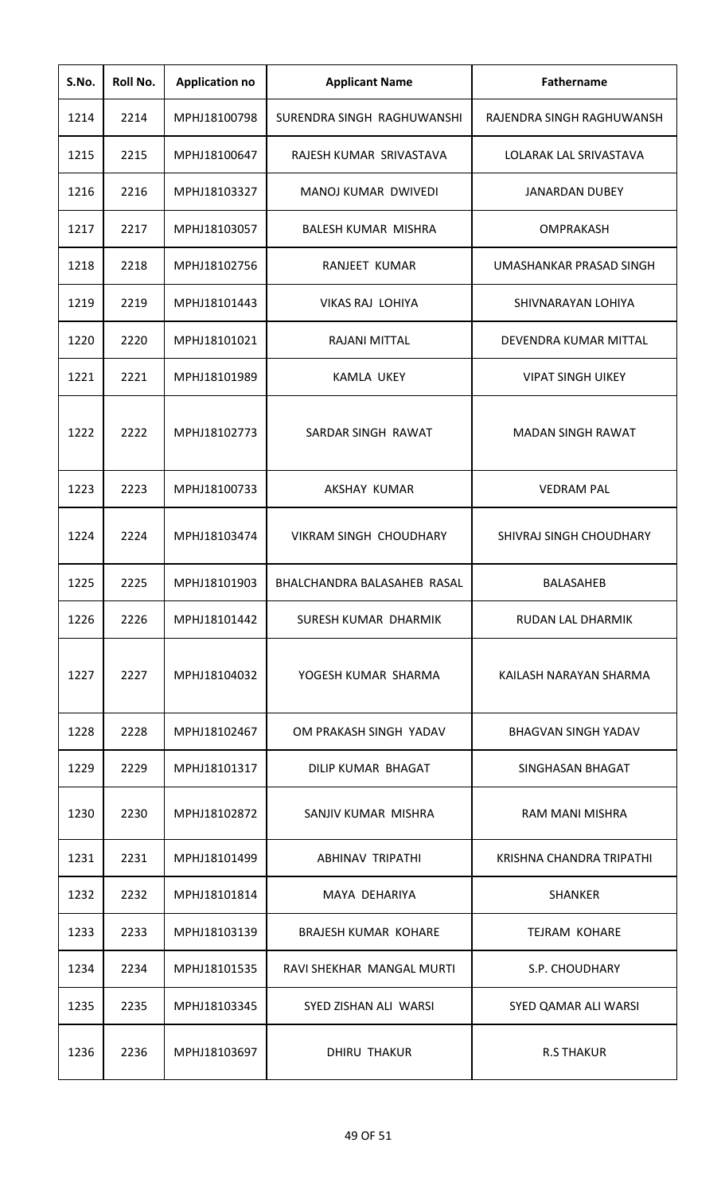| S.No. | Roll No. | <b>Application no</b> | <b>Applicant Name</b>       | <b>Fathername</b>          |
|-------|----------|-----------------------|-----------------------------|----------------------------|
| 1214  | 2214     | MPHJ18100798          | SURENDRA SINGH RAGHUWANSHI  | RAJENDRA SINGH RAGHUWANSH  |
| 1215  | 2215     | MPHJ18100647          | RAJESH KUMAR SRIVASTAVA     | LOLARAK LAL SRIVASTAVA     |
| 1216  | 2216     | MPHJ18103327          | MANOJ KUMAR DWIVEDI         | <b>JANARDAN DUBEY</b>      |
| 1217  | 2217     | MPHJ18103057          | BALESH KUMAR MISHRA         | <b>OMPRAKASH</b>           |
| 1218  | 2218     | MPHJ18102756          | RANJEET KUMAR               | UMASHANKAR PRASAD SINGH    |
| 1219  | 2219     | MPHJ18101443          | <b>VIKAS RAJ LOHIYA</b>     | SHIVNARAYAN LOHIYA         |
| 1220  | 2220     | MPHJ18101021          | RAJANI MITTAL               | DEVENDRA KUMAR MITTAL      |
| 1221  | 2221     | MPHJ18101989          | <b>KAMLA UKEY</b>           | <b>VIPAT SINGH UIKEY</b>   |
| 1222  | 2222     | MPHJ18102773          | SARDAR SINGH RAWAT          | <b>MADAN SINGH RAWAT</b>   |
| 1223  | 2223     | MPHJ18100733          | AKSHAY KUMAR                | <b>VEDRAM PAL</b>          |
| 1224  | 2224     | MPHJ18103474          | VIKRAM SINGH CHOUDHARY      | SHIVRAJ SINGH CHOUDHARY    |
| 1225  | 2225     | MPHJ18101903          | BHALCHANDRA BALASAHEB RASAL | <b>BALASAHEB</b>           |
| 1226  | 2226     | MPHJ18101442          | SURESH KUMAR DHARMIK        | RUDAN LAL DHARMIK          |
| 1227  | 2227     | MPHJ18104032          | YOGESH KUMAR SHARMA         | KAILASH NARAYAN SHARMA     |
| 1228  | 2228     | MPHJ18102467          | OM PRAKASH SINGH YADAV      | <b>BHAGVAN SINGH YADAV</b> |
| 1229  | 2229     | MPHJ18101317          | DILIP KUMAR BHAGAT          | SINGHASAN BHAGAT           |
| 1230  | 2230     | MPHJ18102872          | SANJIV KUMAR MISHRA         | RAM MANI MISHRA            |
| 1231  | 2231     | MPHJ18101499          | <b>ABHINAV TRIPATHI</b>     | KRISHNA CHANDRA TRIPATHI   |
| 1232  | 2232     | MPHJ18101814          | MAYA DEHARIYA               | <b>SHANKER</b>             |
| 1233  | 2233     | MPHJ18103139          | <b>BRAJESH KUMAR KOHARE</b> | <b>TEJRAM KOHARE</b>       |
| 1234  | 2234     | MPHJ18101535          | RAVI SHEKHAR MANGAL MURTI   | S.P. CHOUDHARY             |
| 1235  | 2235     | MPHJ18103345          | SYED ZISHAN ALI WARSI       | SYED QAMAR ALI WARSI       |
| 1236  | 2236     | MPHJ18103697          | <b>DHIRU THAKUR</b>         | <b>R.S THAKUR</b>          |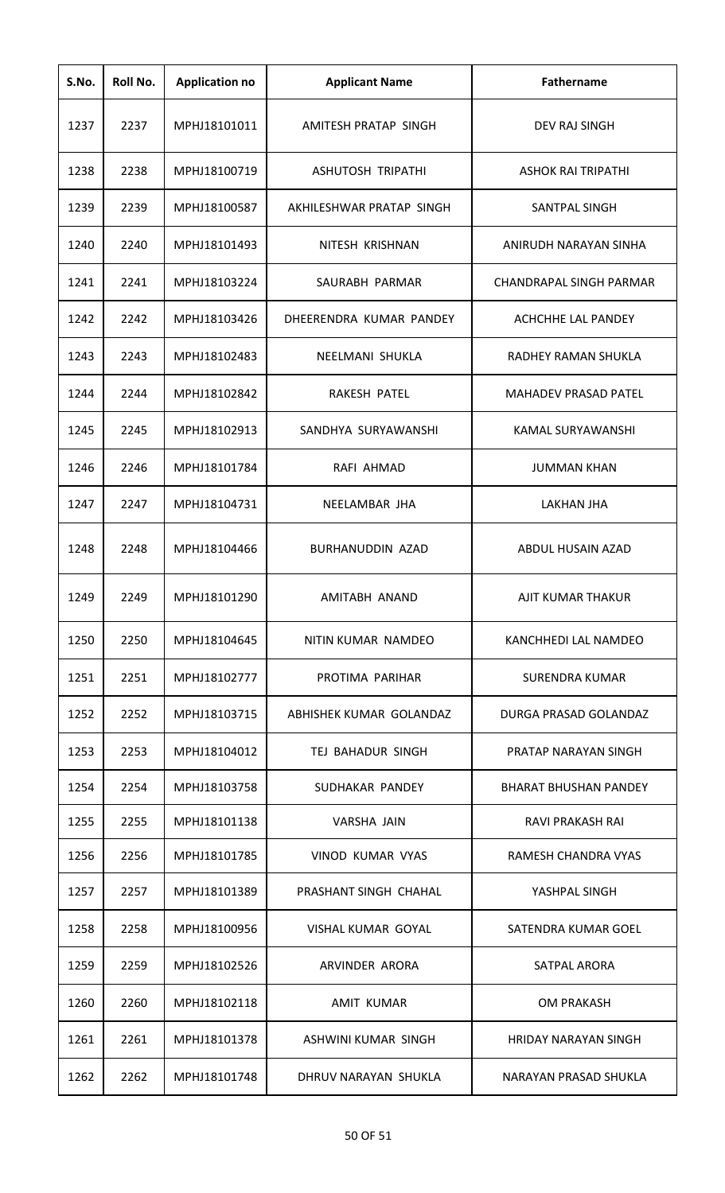| S.No. | Roll No. | <b>Application no</b> | <b>Applicant Name</b>    | Fathername                     |
|-------|----------|-----------------------|--------------------------|--------------------------------|
| 1237  | 2237     | MPHJ18101011          | AMITESH PRATAP SINGH     | <b>DEV RAJ SINGH</b>           |
| 1238  | 2238     | MPHJ18100719          | ASHUTOSH TRIPATHI        | ASHOK RAI TRIPATHI             |
| 1239  | 2239     | MPHJ18100587          | AKHILFSHWAR PRATAP SINGH | SANTPAL SINGH                  |
| 1240  | 2240     | MPHJ18101493          | NITESH KRISHNAN          | ANIRUDH NARAYAN SINHA          |
| 1241  | 2241     | MPHJ18103224          | SAURABH PARMAR           | <b>CHANDRAPAL SINGH PARMAR</b> |
| 1242  | 2242     | MPHJ18103426          | DHEERENDRA KUMAR PANDEY  | ACHCHHE LAL PANDEY             |
| 1243  | 2243     | MPHJ18102483          | NEELMANI SHUKLA          | RADHEY RAMAN SHUKLA            |
| 1244  | 2244     | MPHJ18102842          | RAKESH PATEL             | <b>MAHADEV PRASAD PATEL</b>    |
| 1245  | 2245     | MPHJ18102913          | SANDHYA SURYAWANSHI      | KAMAL SURYAWANSHI              |
| 1246  | 2246     | MPHJ18101784          | RAFI AHMAD               | <b>JUMMAN KHAN</b>             |
| 1247  | 2247     | MPHJ18104731          | NEELAMBAR JHA            | <b>LAKHAN JHA</b>              |
| 1248  | 2248     | MPHJ18104466          | BURHANUDDIN AZAD         | ABDUL HUSAIN AZAD              |
| 1249  | 2249     | MPHJ18101290          | AMITABH ANAND            | AJIT KUMAR THAKUR              |
| 1250  | 2250     | MPHJ18104645          | NITIN KUMAR NAMDEO       | KANCHHEDI LAL NAMDEO           |
| 1251  | 2251     | MPHJ18102777          | PROTIMA PARIHAR          | SURENDRA KUMAR                 |
| 1252  | 2252     | MPHJ18103715          | ABHISHEK KUMAR GOLANDAZ  | DURGA PRASAD GOLANDAZ          |
| 1253  | 2253     | MPHJ18104012          | TEJ BAHADUR SINGH        | PRATAP NARAYAN SINGH           |
| 1254  | 2254     | MPHJ18103758          | SUDHAKAR PANDEY          | <b>BHARAT BHUSHAN PANDEY</b>   |
| 1255  | 2255     | MPHJ18101138          | VARSHA JAIN              | RAVI PRAKASH RAI               |
| 1256  | 2256     | MPHJ18101785          | VINOD KUMAR VYAS         | RAMESH CHANDRA VYAS            |
| 1257  | 2257     | MPHJ18101389          | PRASHANT SINGH CHAHAL    | YASHPAL SINGH                  |
| 1258  | 2258     | MPHJ18100956          | VISHAL KUMAR GOYAL       | SATENDRA KUMAR GOEL            |
| 1259  | 2259     | MPHJ18102526          | ARVINDER ARORA           | <b>SATPAL ARORA</b>            |
| 1260  | 2260     | MPHJ18102118          | <b>AMIT KUMAR</b>        | <b>OM PRAKASH</b>              |
| 1261  | 2261     | MPHJ18101378          | ASHWINI KUMAR SINGH      | <b>HRIDAY NARAYAN SINGH</b>    |
| 1262  | 2262     | MPHJ18101748          | DHRUV NARAYAN SHUKLA     | NARAYAN PRASAD SHUKLA          |